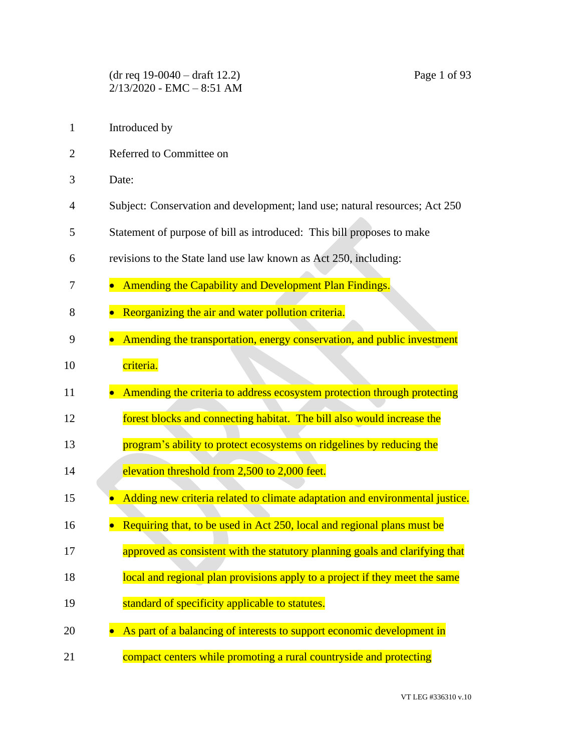- 1 Introduced by
- 2 Referred to Committee on
- 3 Date:
- 4 Subject: Conservation and development; land use; natural resources; Act 250
- 5 Statement of purpose of bill as introduced: This bill proposes to make
- 6 revisions to the State land use law known as Act 250, including:
- 7 Amending the Capability and Development Plan Findings.
- 8 Reorganizing the air and water pollution criteria.
- 9 Amending the transportation, energy conservation, and public investment
- 10 criteria.
- 11 Amending the criteria to address ecosystem protection through protecting
- 12 forest blocks and connecting habitat. The bill also would increase the
- 13 **program's ability to protect ecosystems on ridgelines by reducing the**
- 14 elevation threshold from 2,500 to 2,000 feet.
- **15** Adding new criteria related to climate adaptation and environmental justice.
- 16 Requiring that, to be used in Act 250, local and regional plans must be
- 17 **approved as consistent with the statutory planning goals and clarifying that**
- 18 **local and regional plan provisions apply to a project if they meet the same**
- 19 **Standard of specificity applicable to statutes.**
- 20 As part of a balancing of interests to support economic development in
- 21 compact centers while promoting a rural countryside and protecting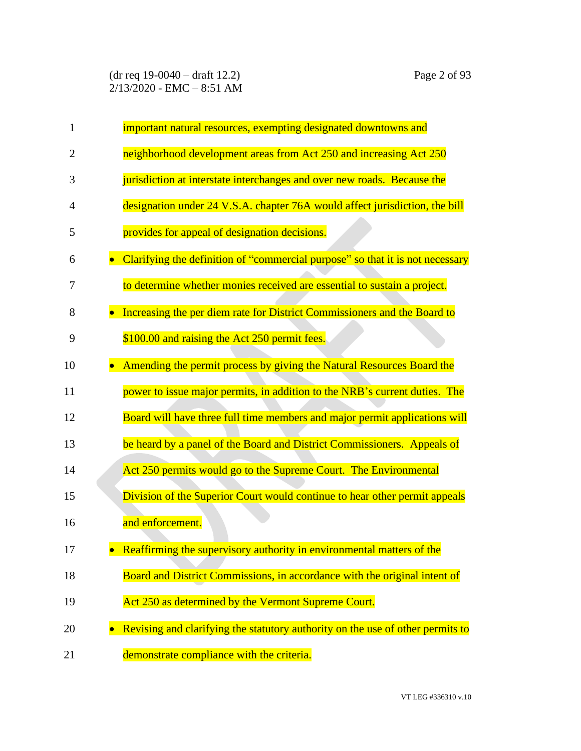| $\mathbf{1}$   | important natural resources, exempting designated downtowns and                |
|----------------|--------------------------------------------------------------------------------|
| $\overline{2}$ | neighborhood development areas from Act 250 and increasing Act 250             |
| 3              | jurisdiction at interstate interchanges and over new roads. Because the        |
| 4              | designation under 24 V.S.A. chapter 76A would affect jurisdiction, the bill    |
| 5              | provides for appeal of designation decisions.                                  |
| 6              | Clarifying the definition of "commercial purpose" so that it is not necessary  |
| 7              | to determine whether monies received are essential to sustain a project.       |
| 8              | Increasing the per diem rate for District Commissioners and the Board to       |
| 9              | \$100.00 and raising the Act 250 permit fees.                                  |
| 10             | Amending the permit process by giving the Natural Resources Board the          |
| 11             | power to issue major permits, in addition to the NRB's current duties. The     |
| 12             | Board will have three full time members and major permit applications will     |
| 13             | be heard by a panel of the Board and District Commissioners. Appeals of        |
| 14             | Act 250 permits would go to the Supreme Court. The Environmental               |
| 15             | Division of the Superior Court would continue to hear other permit appeals     |
| 16             | and enforcement.                                                               |
| 17             | Reaffirming the supervisory authority in environmental matters of the          |
| 18             | Board and District Commissions, in accordance with the original intent of      |
| 19             | Act 250 as determined by the Vermont Supreme Court.                            |
| 20             | Revising and clarifying the statutory authority on the use of other permits to |
| 21             | demonstrate compliance with the criteria.                                      |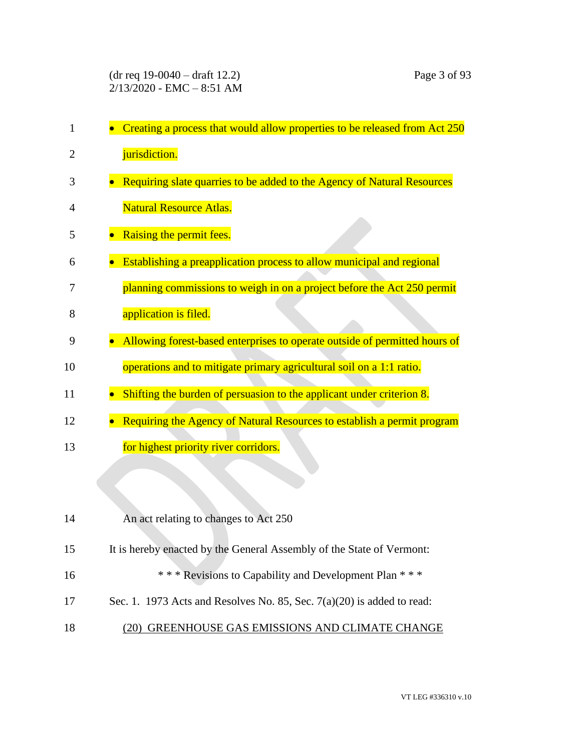| 1  | Creating a process that would allow properties to be released from Act 250 |
|----|----------------------------------------------------------------------------|
| 2  | jurisdiction.                                                              |
| 3  | Requiring slate quarries to be added to the Agency of Natural Resources    |
| 4  | <b>Natural Resource Atlas.</b>                                             |
| 5  | Raising the permit fees.                                                   |
| 6  | Establishing a preapplication process to allow municipal and regional      |
| 7  | planning commissions to weigh in on a project before the Act 250 permit    |
| 8  | application is filed.                                                      |
| 9  | Allowing forest-based enterprises to operate outside of permitted hours of |
| 10 | operations and to mitigate primary agricultural soil on a 1:1 ratio.       |
| 11 | Shifting the burden of persuasion to the applicant under criterion 8.      |
| 12 | Requiring the Agency of Natural Resources to establish a permit program    |
| 13 | for highest priority river corridors.                                      |
|    |                                                                            |
|    |                                                                            |
| 14 | An act relating to changes to Act 250                                      |
| 15 | It is hereby enacted by the General Assembly of the State of Vermont:      |
| 16 | *** Revisions to Capability and Development Plan ***                       |
| 17 | Sec. 1. 1973 Acts and Resolves No. 85, Sec. $7(a)(20)$ is added to read:   |
| 18 | (20) GREENHOUSE GAS EMISSIONS AND CLIMATE CHANGE                           |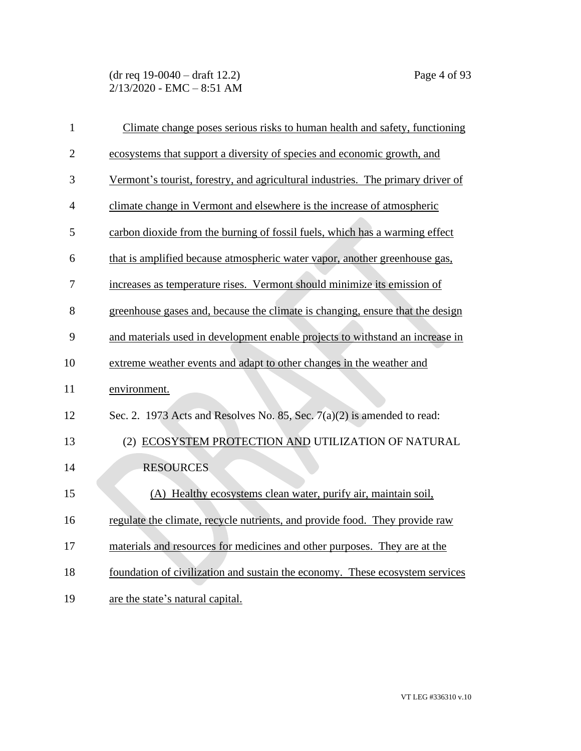(dr req 19-0040 – draft 12.2) Page 4 of 93  $2/13/2020$  - EMC - 8:51 AM

| $\mathbf{1}$   | Climate change poses serious risks to human health and safety, functioning      |
|----------------|---------------------------------------------------------------------------------|
| $\overline{2}$ | ecosystems that support a diversity of species and economic growth, and         |
| 3              | Vermont's tourist, forestry, and agricultural industries. The primary driver of |
| 4              | climate change in Vermont and elsewhere is the increase of atmospheric          |
| 5              | carbon dioxide from the burning of fossil fuels, which has a warming effect     |
| 6              | that is amplified because atmospheric water vapor, another greenhouse gas,      |
| 7              | increases as temperature rises. Vermont should minimize its emission of         |
| 8              | greenhouse gases and, because the climate is changing, ensure that the design   |
| 9              | and materials used in development enable projects to withstand an increase in   |
| 10             | extreme weather events and adapt to other changes in the weather and            |
| 11             | environment.                                                                    |
| 12             | Sec. 2. 1973 Acts and Resolves No. 85, Sec. 7(a)(2) is amended to read:         |
| 13             | (2) ECOSYSTEM PROTECTION AND UTILIZATION OF NATURAL                             |
| 14             | <b>RESOURCES</b>                                                                |
| 15             | (A) Healthy ecosystems clean water, purify air, maintain soil,                  |
| 16             | regulate the climate, recycle nutrients, and provide food. They provide raw     |
| 17             | materials and resources for medicines and other purposes. They are at the       |
| 18             | foundation of civilization and sustain the economy. These ecosystem services    |
| 19             | are the state's natural capital.                                                |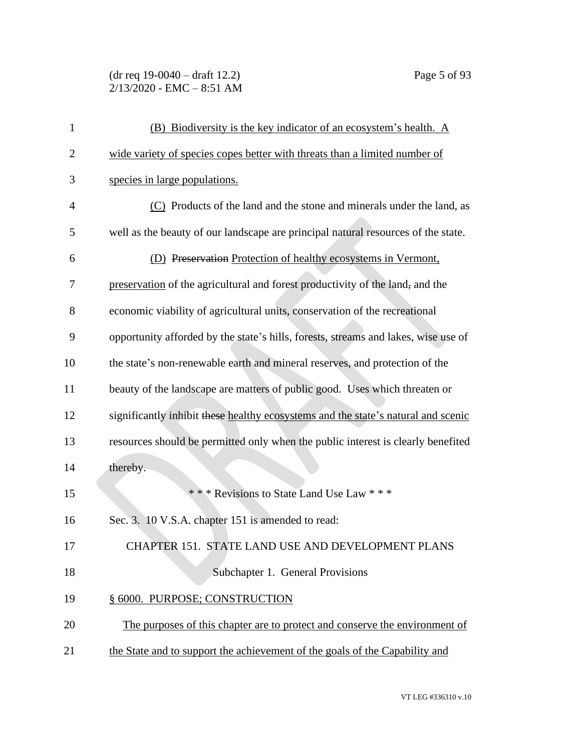(dr req 19-0040 – draft 12.2) Page 5 of 93  $2/13/2020$  - EMC - 8:51 AM

| $\mathbf{1}$   | (B) Biodiversity is the key indicator of an ecosystem's health. A                  |
|----------------|------------------------------------------------------------------------------------|
| $\overline{2}$ | wide variety of species copes better with threats than a limited number of         |
| 3              | species in large populations.                                                      |
| $\overline{4}$ | (C) Products of the land and the stone and minerals under the land, as             |
| 5              | well as the beauty of our landscape are principal natural resources of the state.  |
| 6              | (D) Preservation Protection of healthy ecosystems in Vermont,                      |
| 7              | preservation of the agricultural and forest productivity of the land, and the      |
| 8              | economic viability of agricultural units, conservation of the recreational         |
| 9              | opportunity afforded by the state's hills, forests, streams and lakes, wise use of |
| 10             | the state's non-renewable earth and mineral reserves, and protection of the        |
| 11             | beauty of the landscape are matters of public good. Uses which threaten or         |
| 12             | significantly inhibit these healthy ecosystems and the state's natural and scenic  |
| 13             | resources should be permitted only when the public interest is clearly benefited   |
| 14             | thereby.                                                                           |
| 15             | *** Revisions to State Land Use Law ***                                            |
| 16             | Sec. 3. 10 V.S.A. chapter 151 is amended to read:                                  |
| 17             | CHAPTER 151. STATE LAND USE AND DEVELOPMENT PLANS                                  |
| 18             | Subchapter 1. General Provisions                                                   |
| 19             | § 6000. PURPOSE; CONSTRUCTION                                                      |
| 20             | The purposes of this chapter are to protect and conserve the environment of        |
| 21             | the State and to support the achievement of the goals of the Capability and        |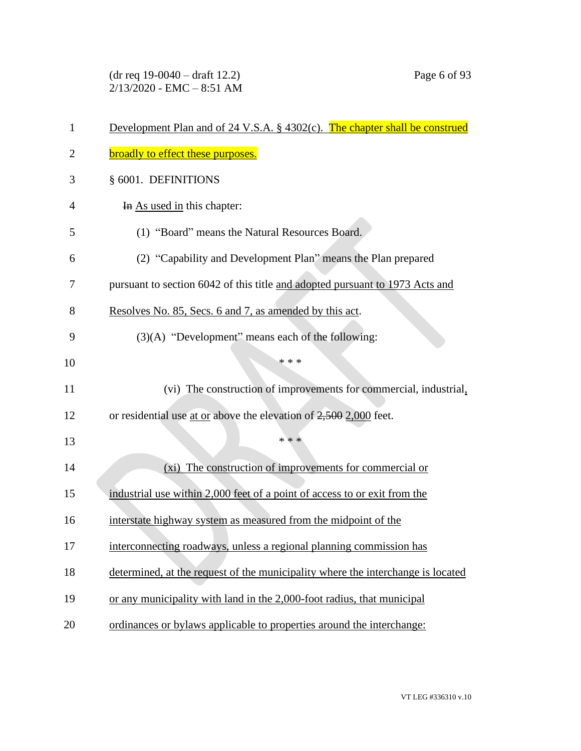(dr req 19-0040 – draft 12.2) Page 6 of 93 2/13/2020 - EMC – 8:51 AM

| 1              | Development Plan and of 24 V.S.A. § 4302(c). The chapter shall be construed     |
|----------------|---------------------------------------------------------------------------------|
| $\overline{2}$ | broadly to effect these purposes.                                               |
| 3              | § 6001. DEFINITIONS                                                             |
| 4              | In As used in this chapter:                                                     |
| 5              | (1) "Board" means the Natural Resources Board.                                  |
| 6              | (2) "Capability and Development Plan" means the Plan prepared                   |
| 7              | pursuant to section 6042 of this title and adopted pursuant to 1973 Acts and    |
| 8              | Resolves No. 85, Secs. 6 and 7, as amended by this act.                         |
| 9              | (3)(A) "Development" means each of the following:                               |
| 10             | * * *                                                                           |
| 11             | (vi) The construction of improvements for commercial, industrial,               |
| 12             | or residential use at or above the elevation of $2,500$ 2,000 feet.             |
| 13             | * * *                                                                           |
| 14             | (xi) The construction of improvements for commercial or                         |
| 15             | industrial use within 2,000 feet of a point of access to or exit from the       |
| 16             | interstate highway system as measured from the midpoint of the                  |
| 17             | interconnecting roadways, unless a regional planning commission has             |
| 18             | determined, at the request of the municipality where the interchange is located |
| 19             | or any municipality with land in the 2,000-foot radius, that municipal          |
| 20             | ordinances or bylaws applicable to properties around the interchange:           |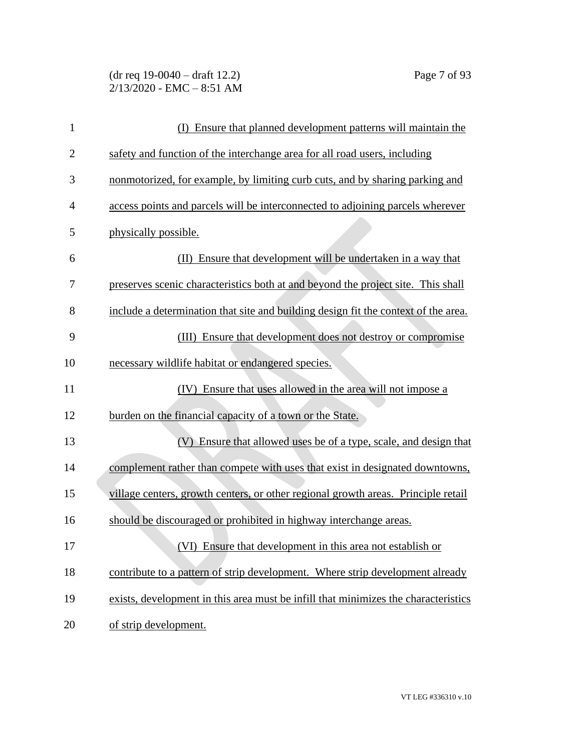(dr req 19-0040 – draft 12.2) Page 7 of 93  $2/13/2020$  - EMC - 8:51 AM

| $\mathbf{1}$   | Ensure that planned development patterns will maintain the<br>(I)                  |
|----------------|------------------------------------------------------------------------------------|
| $\overline{2}$ | safety and function of the interchange area for all road users, including          |
| 3              | nonmotorized, for example, by limiting curb cuts, and by sharing parking and       |
| $\overline{4}$ | access points and parcels will be interconnected to adjoining parcels wherever     |
| 5              | physically possible.                                                               |
| 6              | Ensure that development will be undertaken in a way that<br>(II)                   |
| 7              | preserves scenic characteristics both at and beyond the project site. This shall   |
| 8              | include a determination that site and building design fit the context of the area. |
| 9              | (III) Ensure that development does not destroy or compromise                       |
| 10             | necessary wildlife habitat or endangered species.                                  |
| 11             | (IV) Ensure that uses allowed in the area will not impose a                        |
| 12             | burden on the financial capacity of a town or the State.                           |
| 13             | (V) Ensure that allowed uses be of a type, scale, and design that                  |
| 14             | complement rather than compete with uses that exist in designated downtowns,       |
| 15             | village centers, growth centers, or other regional growth areas. Principle retail  |
| 16             | should be discouraged or prohibited in highway interchange areas.                  |
| 17             | (VI) Ensure that development in this area not establish or                         |
| 18             | contribute to a pattern of strip development. Where strip development already      |
| 19             | exists, development in this area must be infill that minimizes the characteristics |
| 20             | of strip development.                                                              |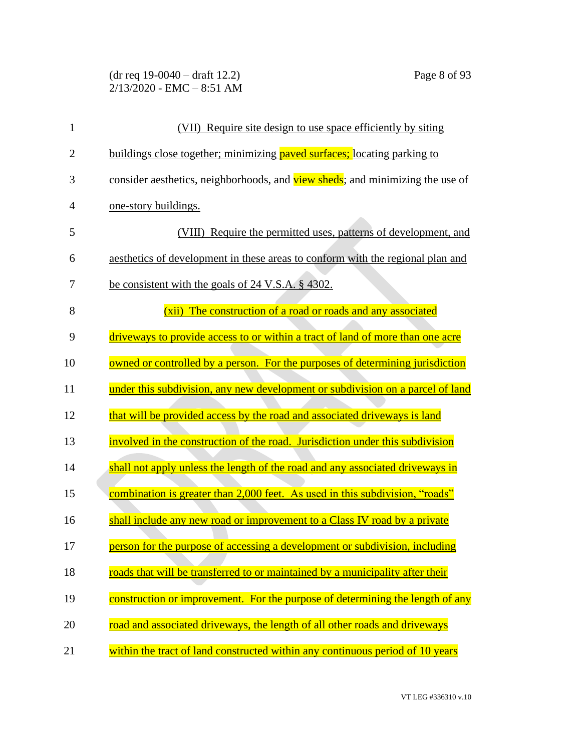(dr req 19-0040 – draft 12.2) Page 8 of 93 2/13/2020 - EMC – 8:51 AM

| $\mathbf{1}$   | (VII) Require site design to use space efficiently by siting                   |
|----------------|--------------------------------------------------------------------------------|
| $\overline{2}$ | buildings close together; minimizing paved surfaces; locating parking to       |
| 3              | consider aesthetics, neighborhoods, and view sheds; and minimizing the use of  |
| 4              | <u>one-story buildings.</u>                                                    |
| 5              | (VIII) Require the permitted uses, patterns of development, and                |
| 6              | aesthetics of development in these areas to conform with the regional plan and |
| 7              | be consistent with the goals of 24 V.S.A. § 4302.                              |
| 8              | (xii) The construction of a road or roads and any associated                   |
| 9              | driveways to provide access to or within a tract of land of more than one acre |
| 10             | owned or controlled by a person. For the purposes of determining jurisdiction  |
| 11             | under this subdivision, any new development or subdivision on a parcel of land |
| 12             | that will be provided access by the road and associated driveways is land      |
| 13             | involved in the construction of the road. Jurisdiction under this subdivision  |
| 14             | shall not apply unless the length of the road and any associated driveways in  |
| 15             | combination is greater than 2,000 feet. As used in this subdivision, "roads"   |
| 16             | shall include any new road or improvement to a Class IV road by a private      |
| 17             | person for the purpose of accessing a development or subdivision, including    |
| 18             | roads that will be transferred to or maintained by a municipality after their  |
| 19             | construction or improvement. For the purpose of determining the length of any  |
| 20             | road and associated driveways, the length of all other roads and driveways     |
| 21             | within the tract of land constructed within any continuous period of 10 years  |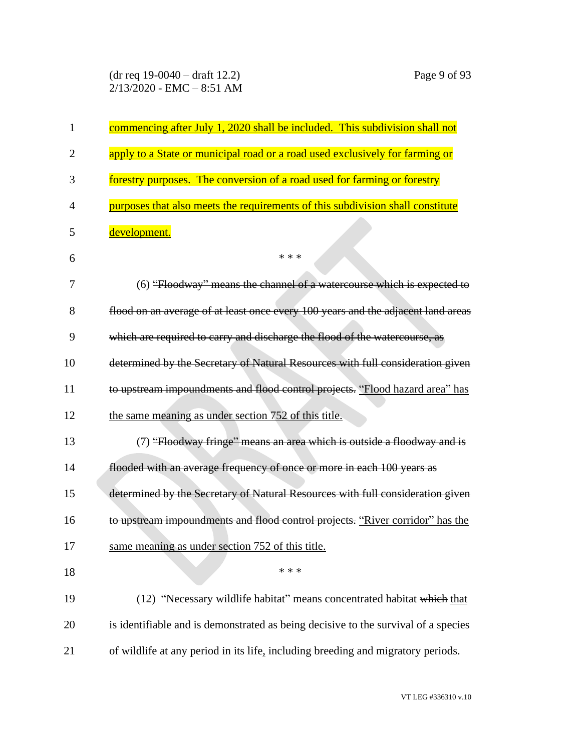(dr req 19-0040 – draft 12.2) Page 9 of 93 2/13/2020 - EMC – 8:51 AM

| $\mathbf{1}$   | commencing after July 1, 2020 shall be included. This subdivision shall not        |
|----------------|------------------------------------------------------------------------------------|
| $\overline{2}$ | apply to a State or municipal road or a road used exclusively for farming or       |
| 3              | forestry purposes. The conversion of a road used for farming or forestry           |
| $\overline{4}$ | purposes that also meets the requirements of this subdivision shall constitute     |
| 5              | development.                                                                       |
| 6              | * * *                                                                              |
| 7              | (6) "Floodway" means the channel of a watercourse which is expected to             |
| 8              | flood on an average of at least once every 100 years and the adjacent land areas   |
| 9              | which are required to carry and discharge the flood of the watercourse, as         |
| 10             | determined by the Secretary of Natural Resources with full consideration given     |
| 11             | to upstream impoundments and flood control projects. "Flood hazard area" has       |
| 12             | the same meaning as under section 752 of this title.                               |
| 13             | (7) "Floodway fringe" means an area which is outside a floodway and is             |
| 14             | flooded with an average frequency of once or more in each 100 years as             |
| 15             | determined by the Secretary of Natural Resources with full consideration given     |
| 16             | to upstream impoundments and flood control projects. "River corridor" has the      |
| 17             | same meaning as under section 752 of this title.                                   |
| 18             | * * *                                                                              |
| 19             | (12) "Necessary wildlife habitat" means concentrated habitat which that            |
| 20             | is identifiable and is demonstrated as being decisive to the survival of a species |
| 21             | of wildlife at any period in its life, including breeding and migratory periods.   |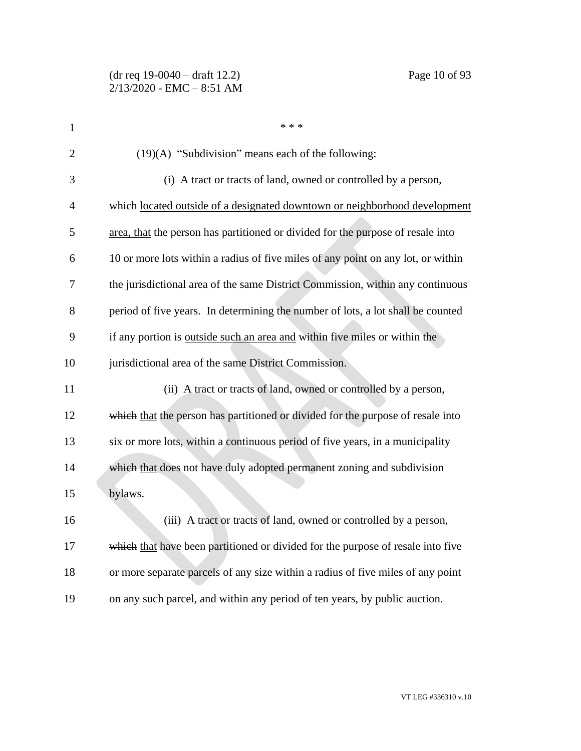| 1              | * * *                                                                             |
|----------------|-----------------------------------------------------------------------------------|
| $\overline{2}$ | $(19)(A)$ "Subdivision" means each of the following:                              |
| 3              | (i) A tract or tracts of land, owned or controlled by a person,                   |
| 4              | which located outside of a designated downtown or neighborhood development        |
| 5              | area, that the person has partitioned or divided for the purpose of resale into   |
| 6              | 10 or more lots within a radius of five miles of any point on any lot, or within  |
| 7              | the jurisdictional area of the same District Commission, within any continuous    |
| 8              | period of five years. In determining the number of lots, a lot shall be counted   |
| 9              | if any portion is <u>outside such an area and</u> within five miles or within the |
| 10             | jurisdictional area of the same District Commission.                              |
| 11             | (ii) A tract or tracts of land, owned or controlled by a person,                  |
| 12             | which that the person has partitioned or divided for the purpose of resale into   |
| 13             | six or more lots, within a continuous period of five years, in a municipality     |
| 14             | which that does not have duly adopted permanent zoning and subdivision            |
| 15             | bylaws.                                                                           |
| 16             | (iii) A tract or tracts of land, owned or controlled by a person,                 |
| 17             | which that have been partitioned or divided for the purpose of resale into five   |
| 18             | or more separate parcels of any size within a radius of five miles of any point   |
| 19             | on any such parcel, and within any period of ten years, by public auction.        |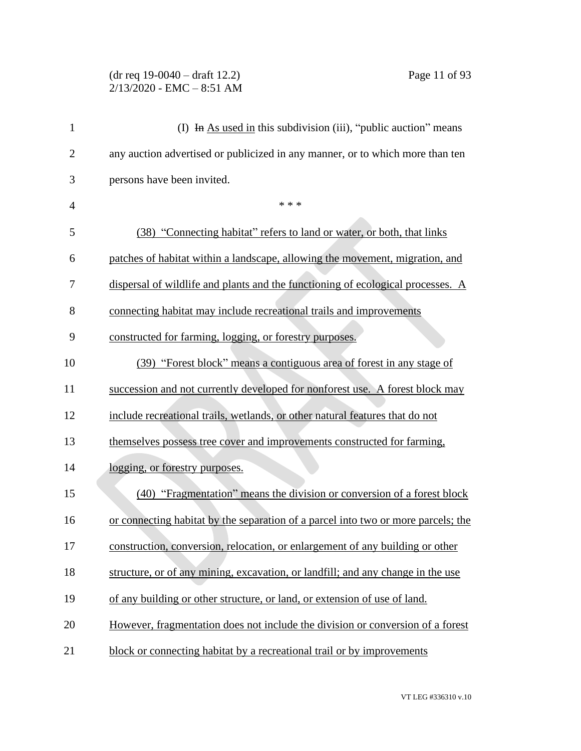### (dr req 19-0040 – draft 12.2) Page 11 of 93 2/13/2020 - EMC – 8:51 AM

| $\mathbf{1}$   | (I) In As used in this subdivision (iii), "public auction" means                  |
|----------------|-----------------------------------------------------------------------------------|
| $\overline{2}$ | any auction advertised or publicized in any manner, or to which more than ten     |
| 3              | persons have been invited.                                                        |
| $\overline{4}$ | * * *                                                                             |
| 5              | (38) "Connecting habitat" refers to land or water, or both, that links            |
| 6              | patches of habitat within a landscape, allowing the movement, migration, and      |
| 7              | dispersal of wildlife and plants and the functioning of ecological processes. A   |
| 8              | connecting habitat may include recreational trails and improvements               |
| 9              | constructed for farming, logging, or forestry purposes.                           |
| 10             | (39) "Forest block" means a contiguous area of forest in any stage of             |
| 11             | succession and not currently developed for nonforest use. A forest block may      |
| 12             | include recreational trails, wetlands, or other natural features that do not      |
| 13             | themselves possess tree cover and improvements constructed for farming,           |
| 14             | logging, or forestry purposes.                                                    |
| 15             | (40) "Fragmentation" means the division or conversion of a forest block           |
| 16             | or connecting habitat by the separation of a parcel into two or more parcels; the |
| 17             | construction, conversion, relocation, or enlargement of any building or other     |
| 18             | structure, or of any mining, excavation, or landfill; and any change in the use   |
| 19             | of any building or other structure, or land, or extension of use of land.         |
| 20             | However, fragmentation does not include the division or conversion of a forest    |
| 21             | block or connecting habitat by a recreational trail or by improvements            |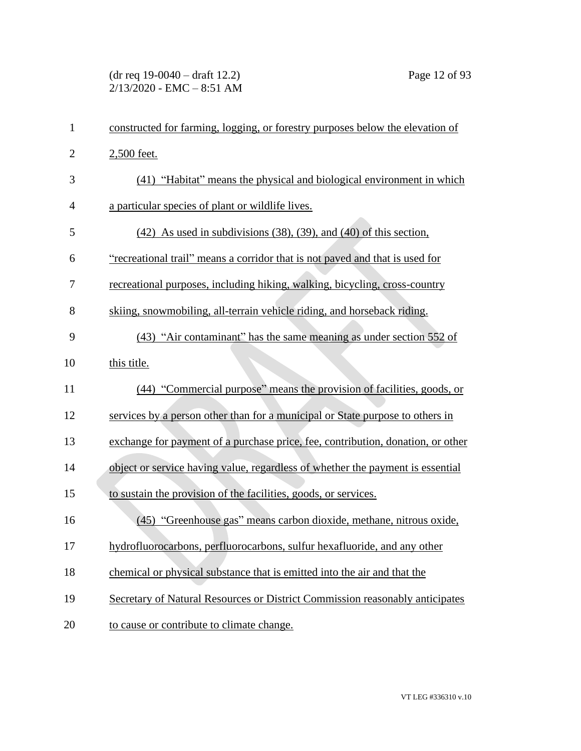(dr req 19-0040 – draft 12.2) Page 12 of 93  $2/13/2020$  - EMC - 8:51 AM

| $\mathbf{1}$   | constructed for farming, logging, or forestry purposes below the elevation of   |
|----------------|---------------------------------------------------------------------------------|
| $\overline{2}$ | 2,500 feet.                                                                     |
| 3              | (41) "Habitat" means the physical and biological environment in which           |
| $\overline{4}$ | a particular species of plant or wildlife lives.                                |
| 5              | $(42)$ As used in subdivisions $(38)$ , $(39)$ , and $(40)$ of this section,    |
| 6              | "recreational trail" means a corridor that is not paved and that is used for    |
| 7              | recreational purposes, including hiking, walking, bicycling, cross-country      |
| 8              | skiing, snowmobiling, all-terrain vehicle riding, and horseback riding.         |
| 9              | (43) "Air contaminant" has the same meaning as under section 552 of             |
| 10             | this title.                                                                     |
| 11             | (44) "Commercial purpose" means the provision of facilities, goods, or          |
| 12             | services by a person other than for a municipal or State purpose to others in   |
| 13             | exchange for payment of a purchase price, fee, contribution, donation, or other |
| 14             | object or service having value, regardless of whether the payment is essential  |
| 15             | to sustain the provision of the facilities, goods, or services.                 |
| 16             | (45) "Greenhouse gas" means carbon dioxide, methane, nitrous oxide,             |
| 17             | hydrofluorocarbons, perfluorocarbons, sulfur hexafluoride, and any other        |
| 18             | chemical or physical substance that is emitted into the air and that the        |
| 19             | Secretary of Natural Resources or District Commission reasonably anticipates    |
| 20             | to cause or contribute to climate change.                                       |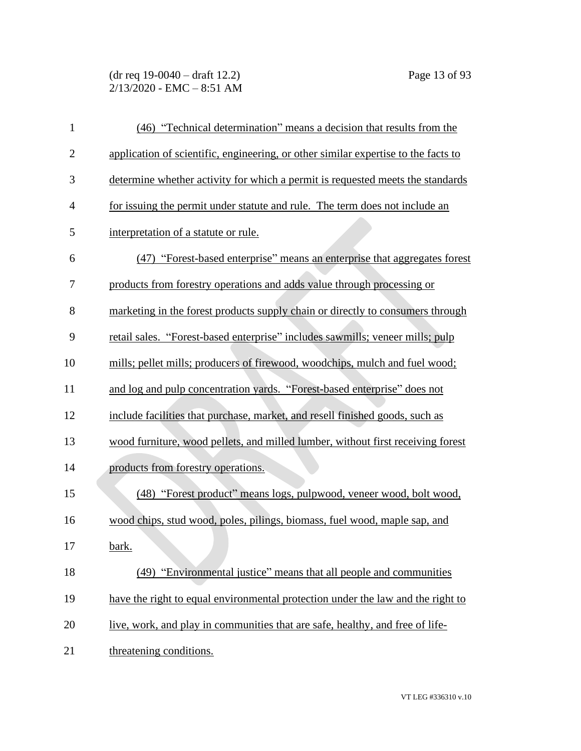(dr req 19-0040 – draft 12.2) Page 13 of 93  $2/13/2020$  - EMC - 8:51 AM

| $\mathbf{1}$   | (46) "Technical determination" means a decision that results from the              |
|----------------|------------------------------------------------------------------------------------|
| $\overline{2}$ | application of scientific, engineering, or other similar expertise to the facts to |
| 3              | determine whether activity for which a permit is requested meets the standards     |
| $\overline{4}$ | for issuing the permit under statute and rule. The term does not include an        |
| 5              | interpretation of a statute or rule.                                               |
| 6              | (47) "Forest-based enterprise" means an enterprise that aggregates forest          |
| 7              | products from forestry operations and adds value through processing or             |
| 8              | marketing in the forest products supply chain or directly to consumers through     |
| 9              | retail sales. "Forest-based enterprise" includes sawmills; veneer mills; pulp      |
| 10             | mills; pellet mills; producers of firewood, woodchips, mulch and fuel wood;        |
| 11             | and log and pulp concentration yards. "Forest-based enterprise" does not           |
| 12             | include facilities that purchase, market, and resell finished goods, such as       |
| 13             | wood furniture, wood pellets, and milled lumber, without first receiving forest    |
| 14             | products from forestry operations.                                                 |
| 15             | (48) "Forest product" means logs, pulpwood, veneer wood, bolt wood,                |
| 16             | wood chips, stud wood, poles, pilings, biomass, fuel wood, maple sap, and          |
| 17             | bark.                                                                              |
| 18             | (49) "Environmental justice" means that all people and communities                 |
| 19             | have the right to equal environmental protection under the law and the right to    |
| 20             | live, work, and play in communities that are safe, healthy, and free of life-      |
| 21             | threatening conditions.                                                            |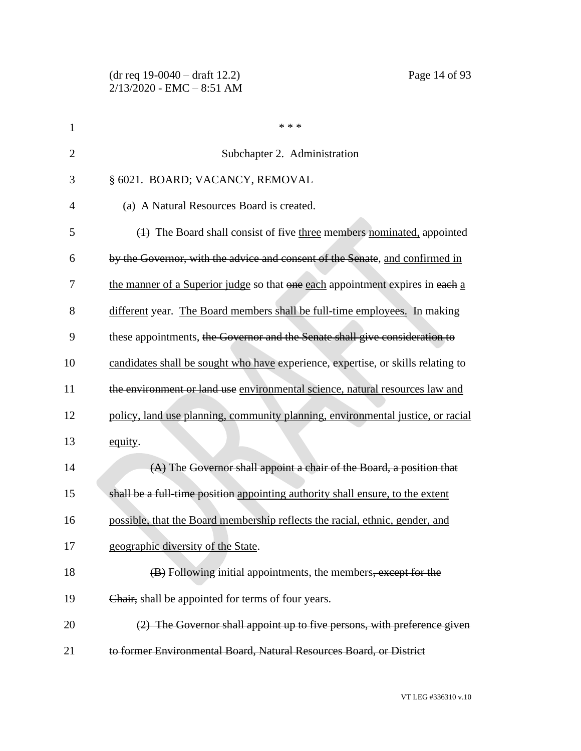(dr req 19-0040 – draft 12.2) Page 14 of 93 2/13/2020 - EMC – 8:51 AM

| $\mathbf{1}$   | * * *                                                                            |
|----------------|----------------------------------------------------------------------------------|
| $\overline{2}$ | Subchapter 2. Administration                                                     |
| 3              | § 6021. BOARD; VACANCY, REMOVAL                                                  |
| 4              | (a) A Natural Resources Board is created.                                        |
| 5              | $(1)$ The Board shall consist of five three members nominated, appointed         |
| 6              | by the Governor, with the advice and consent of the Senate, and confirmed in     |
| 7              | the manner of a Superior judge so that one each appointment expires in each a    |
| 8              | different year. The Board members shall be full-time employees. In making        |
| 9              | these appointments, the Governor and the Senate shall give consideration to      |
| 10             | candidates shall be sought who have experience, expertise, or skills relating to |
| 11             | the environment or land use environmental science, natural resources law and     |
| 12             | policy, land use planning, community planning, environmental justice, or racial  |
| 13             | equity.                                                                          |
| 14             | (A) The Governor shall appoint a chair of the Board, a position that             |
| 15             | shall be a full-time position appointing authority shall ensure, to the extent   |
| 16             | possible, that the Board membership reflects the racial, ethnic, gender, and     |
| 17             | geographic diversity of the State.                                               |
| 18             | (B) Following initial appointments, the members, except for the                  |
| 19             | Chair, shall be appointed for terms of four years.                               |
| 20             | (2) The Governor shall appoint up to five persons, with preference given         |
| 21             | to former Environmental Board, Natural Resources Board, or District              |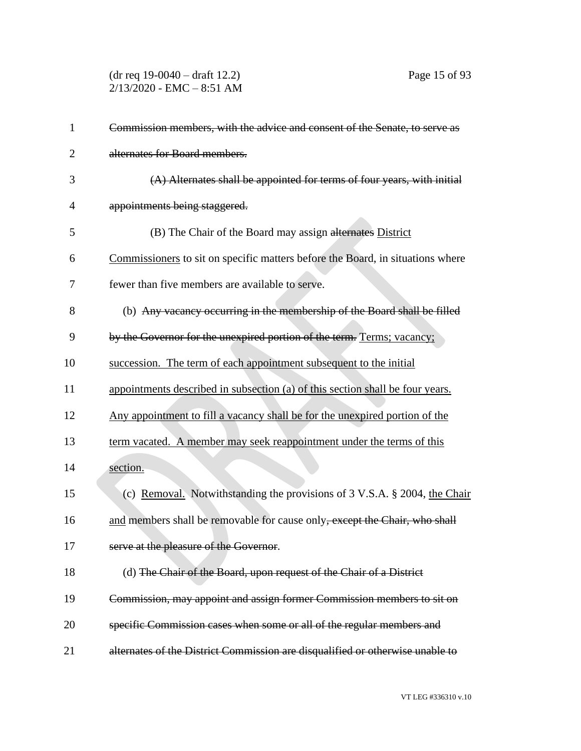(dr req 19-0040 – draft 12.2) Page 15 of 93  $2/13/2020$  - EMC - 8:51 AM

| 1              | Commission members, with the advice and consent of the Senate, to serve as     |
|----------------|--------------------------------------------------------------------------------|
| $\overline{2}$ | alternates for Board members.                                                  |
| 3              | $(A)$ Alternates shall be appointed for terms of four years, with initial      |
| 4              | appointments being staggered.                                                  |
| 5              | (B) The Chair of the Board may assign alternates District                      |
| 6              | Commissioners to sit on specific matters before the Board, in situations where |
| 7              | fewer than five members are available to serve.                                |
| 8              | (b) Any vacancy occurring in the membership of the Board shall be filled       |
| 9              | by the Governor for the unexpired portion of the term. Terms; vacancy;         |
| 10             | succession. The term of each appointment subsequent to the initial             |
| 11             | appointments described in subsection (a) of this section shall be four years.  |
| 12             | Any appointment to fill a vacancy shall be for the unexpired portion of the    |
| 13             | term vacated. A member may seek reappointment under the terms of this          |
| 14             | section.                                                                       |
| 15             | (c) Removal. Notwithstanding the provisions of 3 V.S.A. § 2004, the Chair      |
| 16             | and members shall be removable for cause only, except the Chair, who shall     |
| 17             | serve at the pleasure of the Governor.                                         |
| 18             | (d) The Chair of the Board, upon request of the Chair of a District            |
| 19             | Commission, may appoint and assign former Commission members to sit on         |
| 20             | specific Commission cases when some or all of the regular members and          |
| 21             | alternates of the District Commission are disqualified or otherwise unable to  |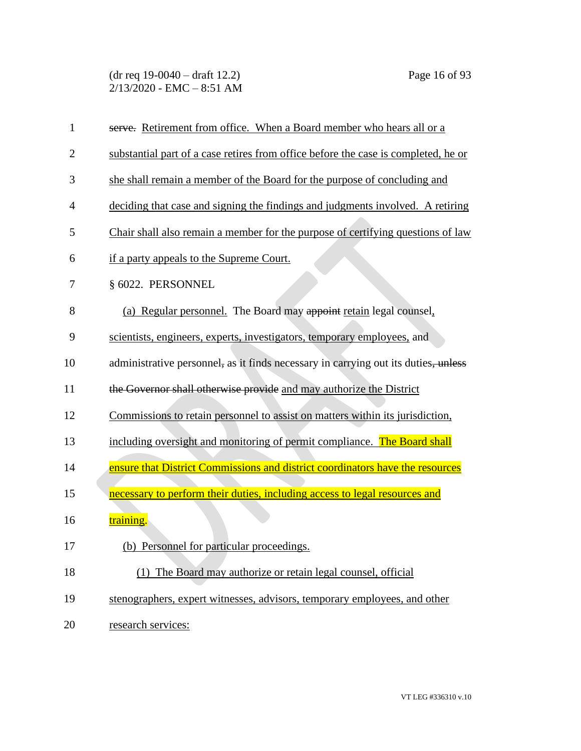(dr req 19-0040 – draft 12.2) Page 16 of 93  $2/13/2020$  - EMC - 8:51 AM

| $\mathbf{1}$   | serve. Retirement from office. When a Board member who hears all or a              |
|----------------|------------------------------------------------------------------------------------|
| $\overline{2}$ | substantial part of a case retires from office before the case is completed, he or |
| 3              | she shall remain a member of the Board for the purpose of concluding and           |
| 4              | deciding that case and signing the findings and judgments involved. A retiring     |
| 5              | Chair shall also remain a member for the purpose of certifying questions of law    |
| 6              | if a party appeals to the Supreme Court.                                           |
| 7              | § 6022. PERSONNEL                                                                  |
| 8              | (a) Regular personnel. The Board may appoint retain legal counsel,                 |
| 9              | scientists, engineers, experts, investigators, temporary employees, and            |
| 10             | administrative personnel, as it finds necessary in carrying out its duties, unless |
| 11             | the Governor shall otherwise provide and may authorize the District                |
| 12             | Commissions to retain personnel to assist on matters within its jurisdiction,      |
| 13             | including oversight and monitoring of permit compliance. The Board shall           |
| 14             | ensure that District Commissions and district coordinators have the resources      |
| 15             | necessary to perform their duties, including access to legal resources and         |
| 16             | <u>training.</u>                                                                   |
| 17             | (b) Personnel for particular proceedings.                                          |
| 18             | (1) The Board may authorize or retain legal counsel, official                      |
| 19             | stenographers, expert witnesses, advisors, temporary employees, and other          |
| 20             | research services:                                                                 |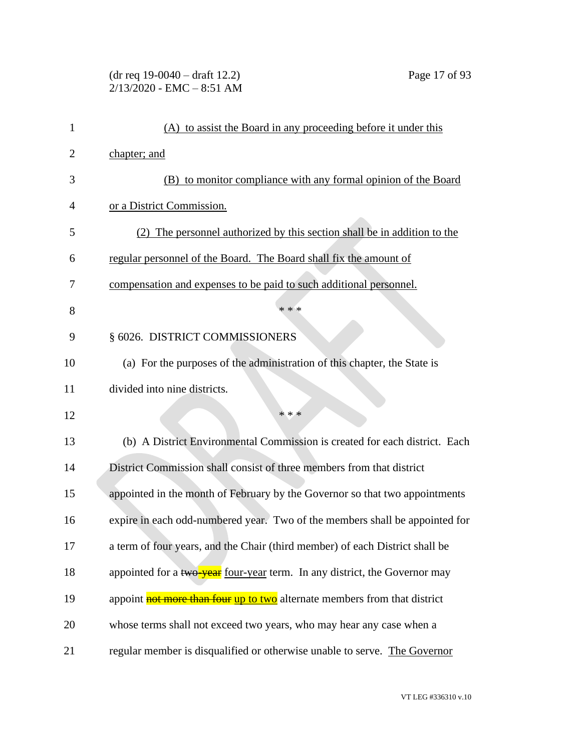| $(dr \text{ req } 19-0040 - draft 12.2)$ |  |
|------------------------------------------|--|
| $2/13/2020$ - EMC $-8:51$ AM             |  |

| $\mathbf{1}$ | (A) to assist the Board in any proceeding before it under this               |
|--------------|------------------------------------------------------------------------------|
| 2            | chapter; and                                                                 |
| 3            | (B) to monitor compliance with any formal opinion of the Board               |
| 4            | or a District Commission.                                                    |
| 5            | (2) The personnel authorized by this section shall be in addition to the     |
| 6            | regular personnel of the Board. The Board shall fix the amount of            |
| 7            | compensation and expenses to be paid to such additional personnel.           |
| 8            | * * *                                                                        |
| 9            | § 6026. DISTRICT COMMISSIONERS                                               |
| 10           | (a) For the purposes of the administration of this chapter, the State is     |
| 11           | divided into nine districts.                                                 |
| 12           | * * *                                                                        |
| 13           | (b) A District Environmental Commission is created for each district. Each   |
| 14           | District Commission shall consist of three members from that district        |
| 15           | appointed in the month of February by the Governor so that two appointments  |
| 16           | expire in each odd-numbered year. Two of the members shall be appointed for  |
| 17           | a term of four years, and the Chair (third member) of each District shall be |
| 18           | appointed for a two-year four-year term. In any district, the Governor may   |
| 19           | appoint not more than four up to two alternate members from that district    |
| 20           | whose terms shall not exceed two years, who may hear any case when a         |
| 21           | regular member is disqualified or otherwise unable to serve. The Governor    |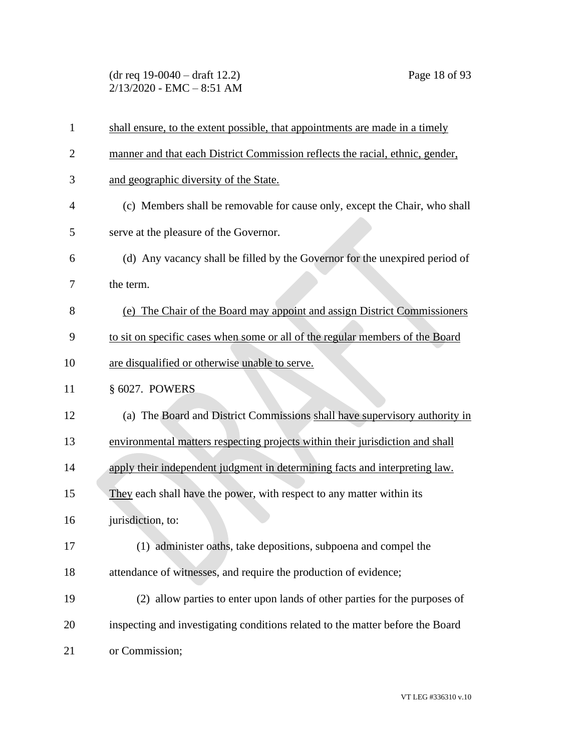(dr req 19-0040 – draft 12.2) Page 18 of 93  $2/13/2020$  - EMC - 8:51 AM

| $\mathbf{1}$   | shall ensure, to the extent possible, that appointments are made in a timely   |
|----------------|--------------------------------------------------------------------------------|
| $\overline{2}$ | manner and that each District Commission reflects the racial, ethnic, gender,  |
| 3              | and geographic diversity of the State.                                         |
| $\overline{4}$ | (c) Members shall be removable for cause only, except the Chair, who shall     |
| 5              | serve at the pleasure of the Governor.                                         |
| 6              | (d) Any vacancy shall be filled by the Governor for the unexpired period of    |
| 7              | the term.                                                                      |
| 8              | (e) The Chair of the Board may appoint and assign District Commissioners       |
| 9              | to sit on specific cases when some or all of the regular members of the Board  |
| 10             | are disqualified or otherwise unable to serve.                                 |
| 11             | § 6027. POWERS                                                                 |
| 12             | (a) The Board and District Commissions shall have supervisory authority in     |
| 13             | environmental matters respecting projects within their jurisdiction and shall  |
| 14             | apply their independent judgment in determining facts and interpreting law.    |
| 15             | They each shall have the power, with respect to any matter within its          |
| 16             | jurisdiction, to:                                                              |
| 17             | (1) administer oaths, take depositions, subpoena and compel the                |
| 18             | attendance of witnesses, and require the production of evidence;               |
| 19             | (2) allow parties to enter upon lands of other parties for the purposes of     |
| 20             | inspecting and investigating conditions related to the matter before the Board |
| 21             | or Commission;                                                                 |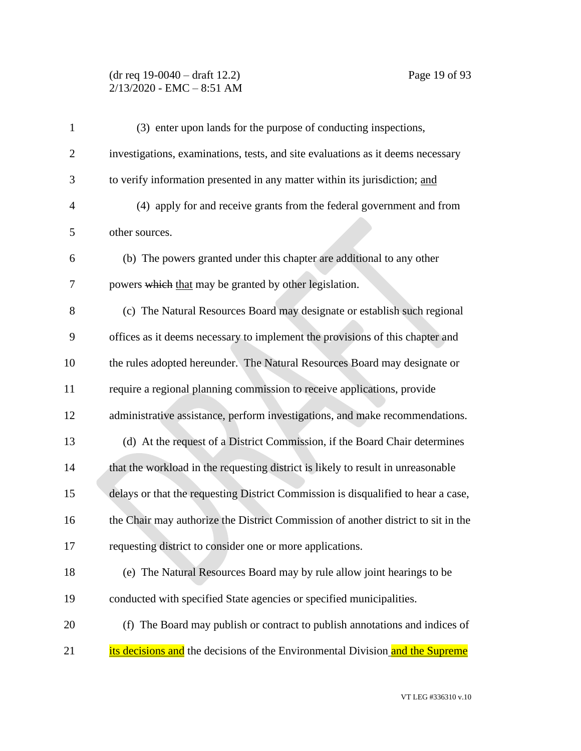## (dr req 19-0040 – draft 12.2) Page 19 of 93 2/13/2020 - EMC – 8:51 AM

| $\mathbf{1}$   | (3) enter upon lands for the purpose of conducting inspections,                   |
|----------------|-----------------------------------------------------------------------------------|
| $\overline{2}$ | investigations, examinations, tests, and site evaluations as it deems necessary   |
| 3              | to verify information presented in any matter within its jurisdiction; and        |
| $\overline{4}$ | (4) apply for and receive grants from the federal government and from             |
| 5              | other sources.                                                                    |
| 6              | (b) The powers granted under this chapter are additional to any other             |
| 7              | powers which that may be granted by other legislation.                            |
| 8              | (c) The Natural Resources Board may designate or establish such regional          |
| 9              | offices as it deems necessary to implement the provisions of this chapter and     |
| 10             | the rules adopted hereunder. The Natural Resources Board may designate or         |
| 11             | require a regional planning commission to receive applications, provide           |
| 12             | administrative assistance, perform investigations, and make recommendations.      |
| 13             | (d) At the request of a District Commission, if the Board Chair determines        |
| 14             | that the workload in the requesting district is likely to result in unreasonable  |
| 15             | delays or that the requesting District Commission is disqualified to hear a case, |
| 16             | the Chair may authorize the District Commission of another district to sit in the |
| 17             | requesting district to consider one or more applications.                         |
| 18             | (e) The Natural Resources Board may by rule allow joint hearings to be            |
| 19             | conducted with specified State agencies or specified municipalities.              |
| 20             | (f) The Board may publish or contract to publish annotations and indices of       |
| 21             | its decisions and the decisions of the Environmental Division and the Supreme     |
|                |                                                                                   |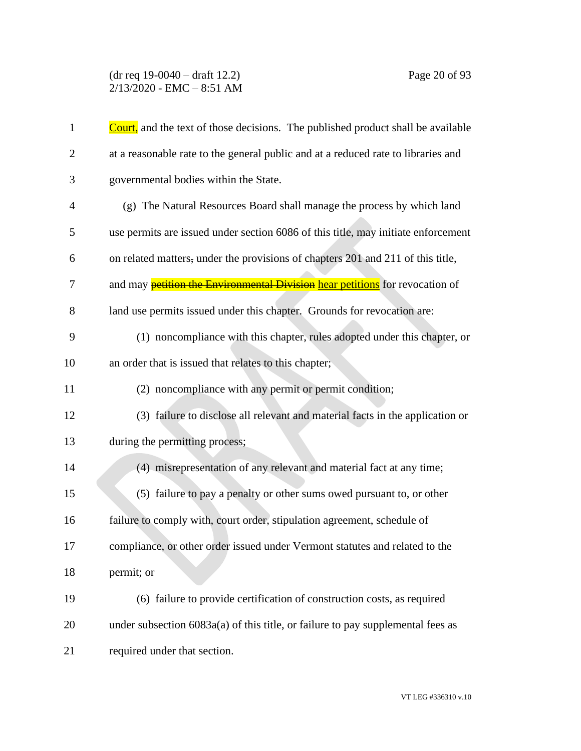(dr req 19-0040 – draft 12.2) Page 20 of 93  $2/13/2020$  - EMC - 8:51 AM

| $\mathbf{1}$   | <b>Court</b> , and the text of those decisions. The published product shall be available |
|----------------|------------------------------------------------------------------------------------------|
| $\overline{2}$ | at a reasonable rate to the general public and at a reduced rate to libraries and        |
| 3              | governmental bodies within the State.                                                    |
| $\overline{4}$ | (g) The Natural Resources Board shall manage the process by which land                   |
| 5              | use permits are issued under section 6086 of this title, may initiate enforcement        |
| 6              | on related matters, under the provisions of chapters 201 and 211 of this title,          |
| 7              | and may <b>petition the Environmental Division</b> hear petitions for revocation of      |
| 8              | land use permits issued under this chapter. Grounds for revocation are:                  |
| 9              | (1) noncompliance with this chapter, rules adopted under this chapter, or                |
| 10             | an order that is issued that relates to this chapter;                                    |
| 11             | (2) noncompliance with any permit or permit condition;                                   |
| 12             | (3) failure to disclose all relevant and material facts in the application or            |
| 13             | during the permitting process;                                                           |
| 14             | (4) misrepresentation of any relevant and material fact at any time;                     |
| 15             | (5) failure to pay a penalty or other sums owed pursuant to, or other                    |
| 16             | failure to comply with, court order, stipulation agreement, schedule of                  |
| 17             | compliance, or other order issued under Vermont statutes and related to the              |
| 18             | permit; or                                                                               |
| 19             | (6) failure to provide certification of construction costs, as required                  |
| 20             | under subsection $6083a(a)$ of this title, or failure to pay supplemental fees as        |
| 21             | required under that section.                                                             |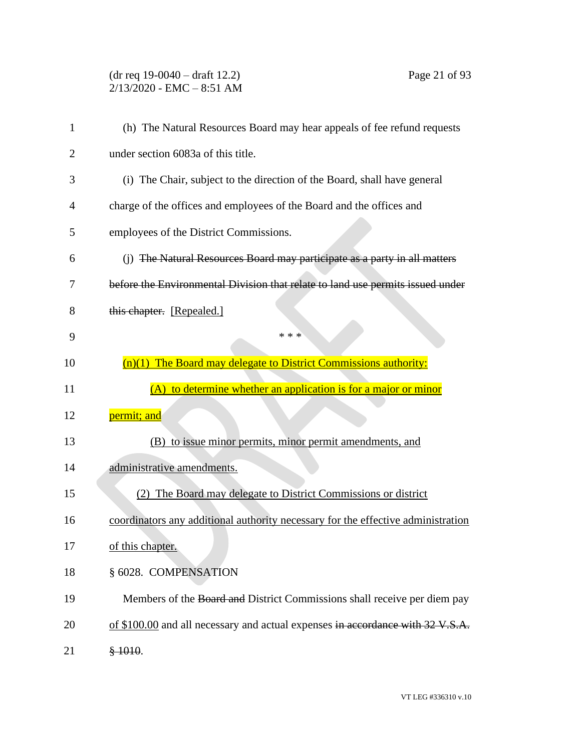(dr req 19-0040 – draft 12.2) Page 21 of 93 2/13/2020 - EMC – 8:51 AM

| 1  | (h) The Natural Resources Board may hear appeals of fee refund requests          |
|----|----------------------------------------------------------------------------------|
| 2  | under section 6083a of this title.                                               |
| 3  | (i) The Chair, subject to the direction of the Board, shall have general         |
| 4  | charge of the offices and employees of the Board and the offices and             |
| 5  | employees of the District Commissions.                                           |
| 6  | (j) The Natural Resources Board may participate as a party in all matters        |
| 7  | before the Environmental Division that relate to land use permits issued under   |
| 8  | this chapter. [Repealed.]                                                        |
| 9  | * * *                                                                            |
| 10 | $(n)(1)$ The Board may delegate to District Commissions authority:               |
| 11 | (A) to determine whether an application is for a major or minor                  |
| 12 | permit; and                                                                      |
| 13 | (B) to issue minor permits, minor permit amendments, and                         |
| 14 | administrative amendments.                                                       |
| 15 | (2) The Board may delegate to District Commissions or district                   |
| 16 | coordinators any additional authority necessary for the effective administration |
| 17 | of this chapter.                                                                 |
| 18 | § 6028. COMPENSATION                                                             |
| 19 | Members of the Board and District Commissions shall receive per diem pay         |
| 20 | of \$100.00 and all necessary and actual expenses in accordance with 32 V.S.A.   |
| 21 | \$1010.                                                                          |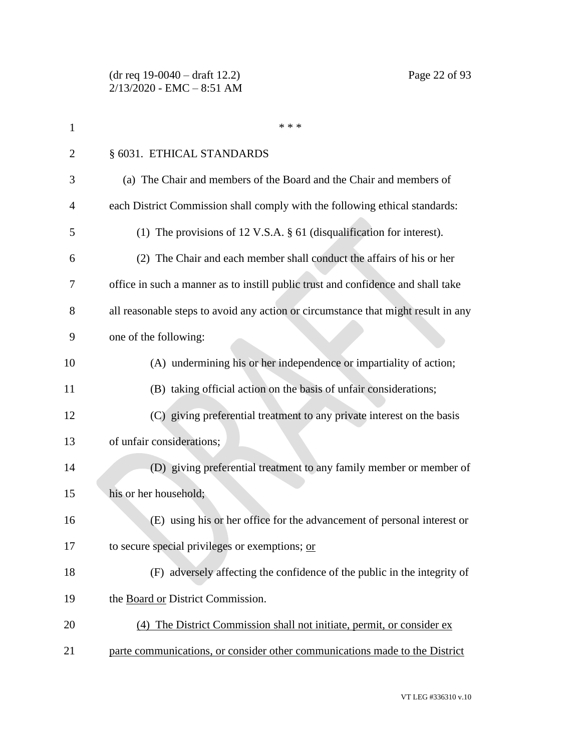| $\mathbf 1$    | * * *                                                                             |
|----------------|-----------------------------------------------------------------------------------|
| $\overline{2}$ | § 6031. ETHICAL STANDARDS                                                         |
| 3              | (a) The Chair and members of the Board and the Chair and members of               |
| 4              | each District Commission shall comply with the following ethical standards:       |
| 5              | (1) The provisions of 12 V.S.A. $\S$ 61 (disqualification for interest).          |
| 6              | (2) The Chair and each member shall conduct the affairs of his or her             |
| 7              | office in such a manner as to instill public trust and confidence and shall take  |
| 8              | all reasonable steps to avoid any action or circumstance that might result in any |
| 9              | one of the following:                                                             |
| 10             | (A) undermining his or her independence or impartiality of action;                |
| 11             | (B) taking official action on the basis of unfair considerations;                 |
| 12             | (C) giving preferential treatment to any private interest on the basis            |
| 13             | of unfair considerations;                                                         |
| 14             | (D) giving preferential treatment to any family member or member of               |
| 15             | his or her household;                                                             |
| 16             | (E) using his or her office for the advancement of personal interest or           |
| 17             | to secure special privileges or exemptions; or                                    |
| 18             | (F) adversely affecting the confidence of the public in the integrity of          |
| 19             | the Board or District Commission.                                                 |
| 20             | (4) The District Commission shall not initiate, permit, or consider ex            |
| 21             | parte communications, or consider other communications made to the District       |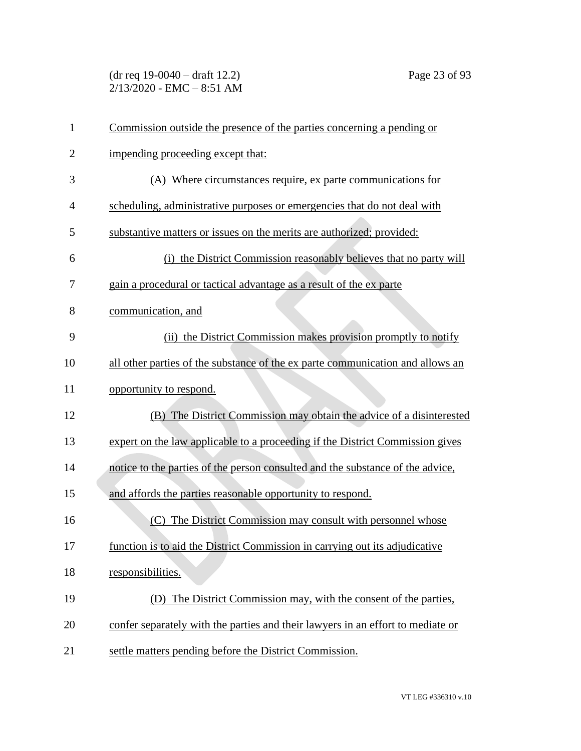(dr req 19-0040 – draft 12.2) Page 23 of 93  $2/13/2020$  - EMC - 8:51 AM

| $\mathbf{1}$   | Commission outside the presence of the parties concerning a pending or          |
|----------------|---------------------------------------------------------------------------------|
| $\overline{2}$ | impending proceeding except that:                                               |
| 3              | (A) Where circumstances require, ex parte communications for                    |
| 4              | scheduling, administrative purposes or emergencies that do not deal with        |
| 5              | substantive matters or issues on the merits are authorized; provided:           |
| 6              | (i) the District Commission reasonably believes that no party will              |
| 7              | gain a procedural or tactical advantage as a result of the ex parte             |
| 8              | communication, and                                                              |
| 9              | (ii) the District Commission makes provision promptly to notify                 |
| 10             | all other parties of the substance of the ex parte communication and allows an  |
| 11             | opportunity to respond.                                                         |
| 12             | (B) The District Commission may obtain the advice of a disinterested            |
| 13             | expert on the law applicable to a proceeding if the District Commission gives   |
| 14             | notice to the parties of the person consulted and the substance of the advice,  |
| 15             | and affords the parties reasonable opportunity to respond.                      |
| 16             | (C) The District Commission may consult with personnel whose                    |
| 17             | function is to aid the District Commission in carrying out its adjudicative     |
| 18             | responsibilities.                                                               |
| 19             | (D) The District Commission may, with the consent of the parties,               |
| 20             | confer separately with the parties and their lawyers in an effort to mediate or |
| 21             | settle matters pending before the District Commission.                          |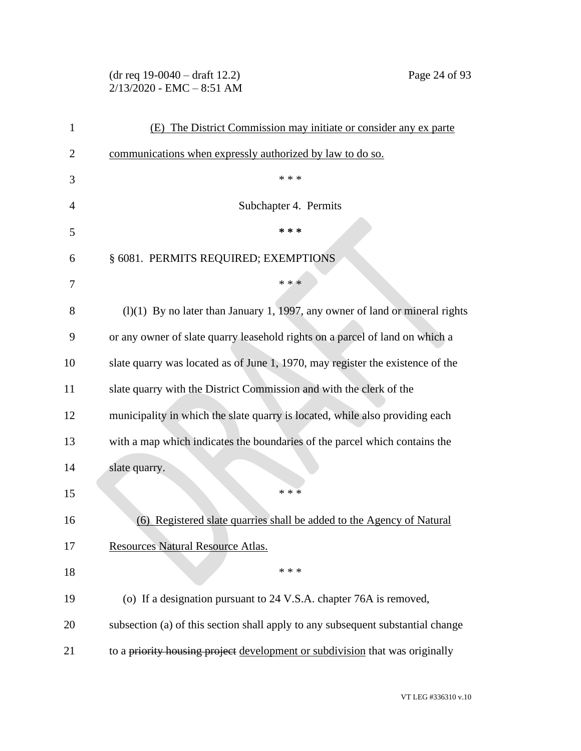(dr req 19-0040 – draft 12.2) Page 24 of 93 2/13/2020 - EMC – 8:51 AM

| $\mathbf{1}$ | (E) The District Commission may initiate or consider any ex parte               |
|--------------|---------------------------------------------------------------------------------|
| 2            | communications when expressly authorized by law to do so.                       |
| 3            | * * *                                                                           |
| 4            | Subchapter 4. Permits                                                           |
| 5            | * * *                                                                           |
| 6            | § 6081. PERMITS REQUIRED; EXEMPTIONS                                            |
| 7            | * * *                                                                           |
| 8            | $(1)(1)$ By no later than January 1, 1997, any owner of land or mineral rights  |
| 9            | or any owner of slate quarry leasehold rights on a parcel of land on which a    |
| 10           | slate quarry was located as of June 1, 1970, may register the existence of the  |
| 11           | slate quarry with the District Commission and with the clerk of the             |
| 12           | municipality in which the slate quarry is located, while also providing each    |
| 13           | with a map which indicates the boundaries of the parcel which contains the      |
| 14           | slate quarry.                                                                   |
| 15           | * * *                                                                           |
| 16           | Registered slate quarries shall be added to the Agency of Natural<br>(6)        |
| 17           | Resources Natural Resource Atlas.                                               |
| 18           | * * *                                                                           |
| 19           | (o) If a designation pursuant to 24 V.S.A. chapter 76A is removed,              |
| 20           | subsection (a) of this section shall apply to any subsequent substantial change |
| 21           | to a priority housing project development or subdivision that was originally    |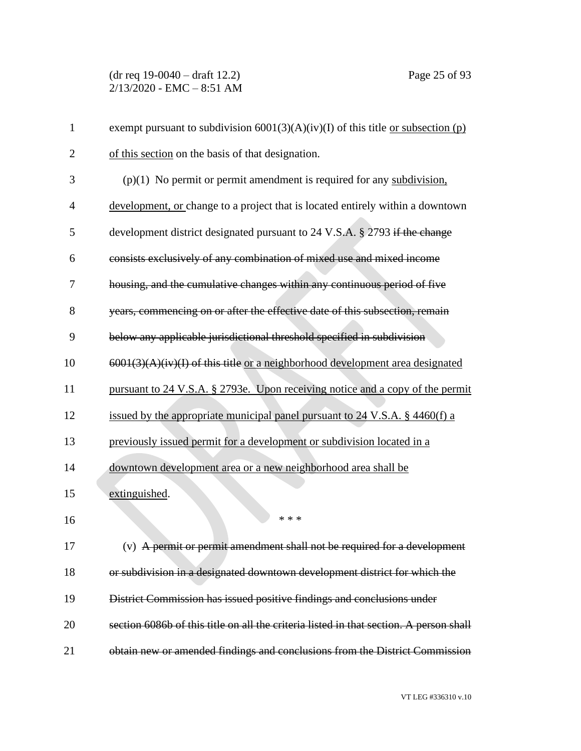(dr req 19-0040 – draft 12.2) Page 25 of 93  $2/13/2020$  - EMC - 8:51 AM

| $\mathbf{1}$   | exempt pursuant to subdivision $6001(3)(A)(iv)(I)$ of this title <u>or subsection (p)</u> |
|----------------|-------------------------------------------------------------------------------------------|
| $\overline{2}$ | of this section on the basis of that designation.                                         |
| 3              | $(p)(1)$ No permit or permit amendment is required for any subdivision,                   |
| $\overline{4}$ | development, or change to a project that is located entirely within a downtown            |
| 5              | development district designated pursuant to 24 V.S.A. § 2793 if the change                |
| 6              | consists exclusively of any combination of mixed use and mixed income                     |
| 7              | housing, and the cumulative changes within any continuous period of five                  |
| 8              | years, commencing on or after the effective date of this subsection, remain               |
| 9              | below any applicable jurisdictional threshold specified in subdivision                    |
| 10             | $6001(3)(A)(iv)(I)$ of this title or a neighborhood development area designated           |
| 11             | pursuant to 24 V.S.A. § 2793e. Upon receiving notice and a copy of the permit             |
| 12             | issued by the appropriate municipal panel pursuant to 24 V.S.A. § 4460(f) a               |
| 13             | previously issued permit for a development or subdivision located in a                    |
| 14             | downtown development area or a new neighborhood area shall be                             |
| 15             | extinguished.                                                                             |
| 16             | * * *                                                                                     |
| 17             | (v) A permit or permit amendment shall not be required for a development                  |
| 18             | or subdivision in a designated downtown development district for which the                |
| 19             | District Commission has issued positive findings and conclusions under                    |
| 20             | section 6086b of this title on all the criteria listed in that section. A person shall    |
| 21             | obtain new or amended findings and conclusions from the District Commission               |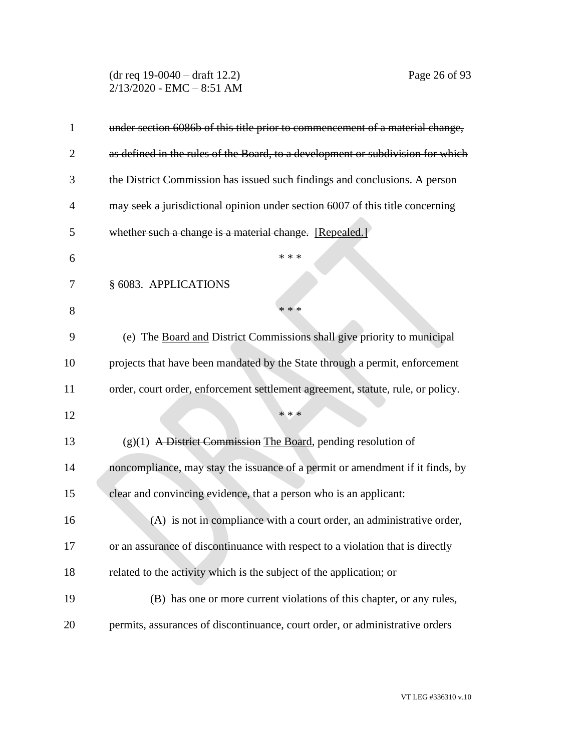(dr req 19-0040 – draft 12.2) Page 26 of 93  $2/13/2020$  - EMC - 8:51 AM

| $\mathbf{1}$   | under section 6086b of this title prior to commencement of a material change,   |
|----------------|---------------------------------------------------------------------------------|
| $\overline{2}$ | as defined in the rules of the Board, to a development or subdivision for which |
| 3              | the District Commission has issued such findings and conclusions. A person      |
| 4              | may seek a jurisdictional opinion under section 6007 of this title concerning   |
| 5              | whether such a change is a material change. [Repealed.]                         |
| 6              | * * *                                                                           |
| 7              | § 6083. APPLICATIONS                                                            |
| 8              | * * *                                                                           |
| 9              | (e) The Board and District Commissions shall give priority to municipal         |
| 10             | projects that have been mandated by the State through a permit, enforcement     |
| 11             | order, court order, enforcement settlement agreement, statute, rule, or policy. |
| 12             | * * *                                                                           |
| 13             | $(g)(1)$ A District Commission The Board, pending resolution of                 |
| 14             | noncompliance, may stay the issuance of a permit or amendment if it finds, by   |
| 15             | clear and convincing evidence, that a person who is an applicant:               |
| 16             | (A) is not in compliance with a court order, an administrative order,           |
| 17             | or an assurance of discontinuance with respect to a violation that is directly  |
| 18             | related to the activity which is the subject of the application; or             |
| 19             | (B) has one or more current violations of this chapter, or any rules,           |
| 20             | permits, assurances of discontinuance, court order, or administrative orders    |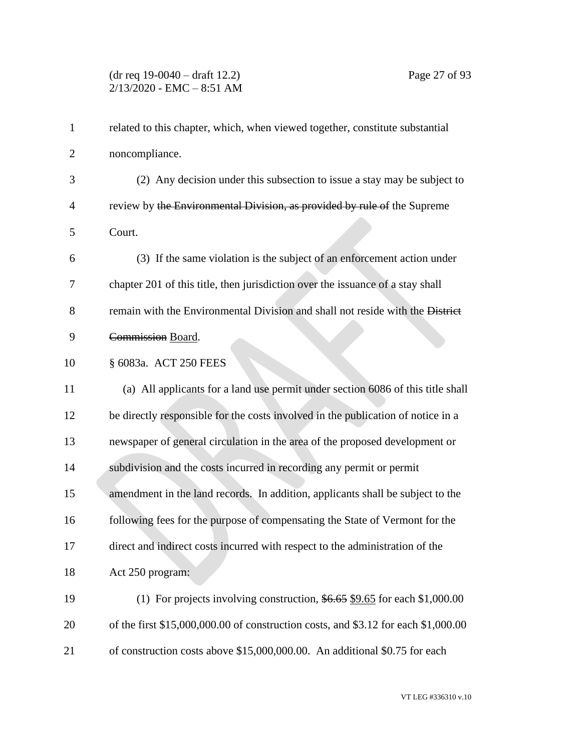# (dr req 19-0040 – draft 12.2) Page 27 of 93 2/13/2020 - EMC – 8:51 AM

| $\mathbf{1}$   | related to this chapter, which, when viewed together, constitute substantial       |
|----------------|------------------------------------------------------------------------------------|
| $\overline{2}$ | noncompliance.                                                                     |
| 3              | (2) Any decision under this subsection to issue a stay may be subject to           |
| $\overline{4}$ | review by the Environmental Division, as provided by rule of the Supreme           |
| 5              | Court.                                                                             |
| 6              | (3) If the same violation is the subject of an enforcement action under            |
| 7              | chapter 201 of this title, then jurisdiction over the issuance of a stay shall     |
| 8              | remain with the Environmental Division and shall not reside with the District      |
| 9              | Commission Board.                                                                  |
| 10             | § 6083a. ACT 250 FEES                                                              |
| 11             | (a) All applicants for a land use permit under section 6086 of this title shall    |
| 12             | be directly responsible for the costs involved in the publication of notice in a   |
| 13             | newspaper of general circulation in the area of the proposed development or        |
| 14             | subdivision and the costs incurred in recording any permit or permit               |
| 15             | amendment in the land records. In addition, applicants shall be subject to the     |
| 16             | following fees for the purpose of compensating the State of Vermont for the        |
| 17             | direct and indirect costs incurred with respect to the administration of the       |
| 18             | Act 250 program:                                                                   |
| 19             | (1) For projects involving construction, $$6.65$ \$9.65 for each \$1,000.00        |
| 20             | of the first \$15,000,000.00 of construction costs, and \$3.12 for each \$1,000.00 |
| 21             | of construction costs above \$15,000,000.00. An additional \$0.75 for each         |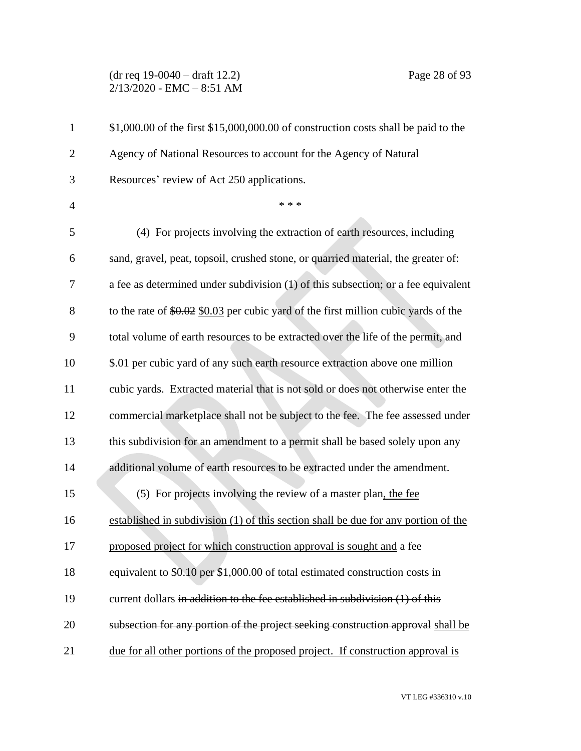(dr req 19-0040 – draft 12.2) Page 28 of 93  $2/13/2020$  - EMC - 8:51 AM

| $\mathbf{1}$   | \$1,000.00 of the first \$15,000,000.00 of construction costs shall be paid to the   |
|----------------|--------------------------------------------------------------------------------------|
| $\overline{2}$ | Agency of National Resources to account for the Agency of Natural                    |
| 3              | Resources' review of Act 250 applications.                                           |
| $\overline{4}$ | * * *                                                                                |
| 5              | (4) For projects involving the extraction of earth resources, including              |
| 6              | sand, gravel, peat, topsoil, crushed stone, or quarried material, the greater of:    |
| 7              | a fee as determined under subdivision $(1)$ of this subsection; or a fee equivalent  |
| 8              | to the rate of $$0.02$ \$0.03 per cubic yard of the first million cubic yards of the |
| 9              | total volume of earth resources to be extracted over the life of the permit, and     |
| 10             | \$.01 per cubic yard of any such earth resource extraction above one million         |
| 11             | cubic yards. Extracted material that is not sold or does not otherwise enter the     |
| 12             | commercial marketplace shall not be subject to the fee. The fee assessed under       |
| 13             | this subdivision for an amendment to a permit shall be based solely upon any         |
| 14             | additional volume of earth resources to be extracted under the amendment.            |
| 15             | (5) For projects involving the review of a master plan, the fee                      |
| 16             | established in subdivision (1) of this section shall be due for any portion of the   |
| 17             | proposed project for which construction approval is sought and a fee                 |
| 18             | equivalent to \$0.10 per \$1,000.00 of total estimated construction costs in         |
| 19             | current dollars in addition to the fee established in subdivision (1) of this        |
| 20             | subsection for any portion of the project seeking construction approval shall be     |
| 21             | due for all other portions of the proposed project. If construction approval is      |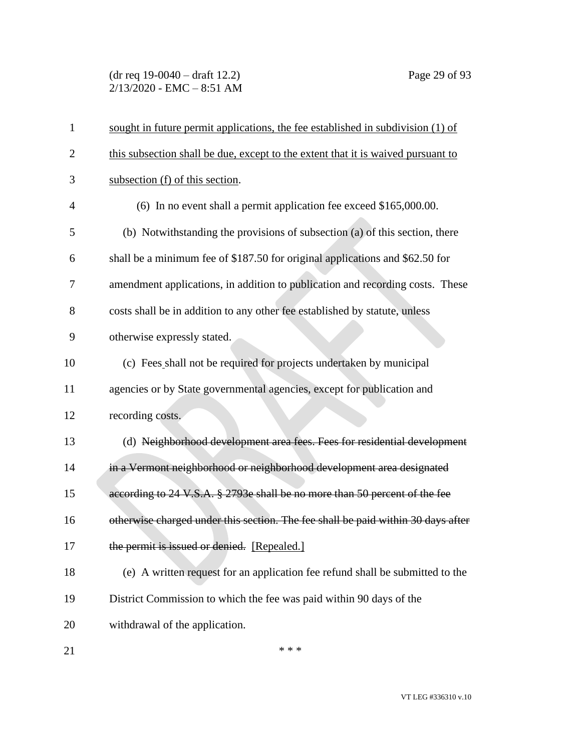(dr req 19-0040 – draft 12.2) Page 29 of 93 2/13/2020 - EMC – 8:51 AM

| $\mathbf{1}$   | sought in future permit applications, the fee established in subdivision (1) of  |
|----------------|----------------------------------------------------------------------------------|
| $\overline{2}$ | this subsection shall be due, except to the extent that it is waived pursuant to |
| 3              | subsection (f) of this section.                                                  |
| $\overline{4}$ | (6) In no event shall a permit application fee exceed $$165,000.00$ .            |
| 5              | (b) Notwithstanding the provisions of subsection (a) of this section, there      |
| 6              | shall be a minimum fee of \$187.50 for original applications and \$62.50 for     |
| 7              | amendment applications, in addition to publication and recording costs. These    |
| 8              | costs shall be in addition to any other fee established by statute, unless       |
| 9              | otherwise expressly stated.                                                      |
| 10             | (c) Fees shall not be required for projects undertaken by municipal              |
| 11             | agencies or by State governmental agencies, except for publication and           |
| 12             | recording costs.                                                                 |
| 13             | (d) Neighborhood development area fees. Fees for residential development         |
| 14             | in a Vermont neighborhood or neighborhood development area designated            |
| 15             | according to 24 V.S.A. § 2793e shall be no more than 50 percent of the fee       |
| 16             | otherwise charged under this section. The fee shall be paid within 30 days after |
| 17             | the permit is issued or denied. [Repealed.]                                      |
| 18             | (e) A written request for an application fee refund shall be submitted to the    |
| 19             | District Commission to which the fee was paid within 90 days of the              |
| 20             | withdrawal of the application.                                                   |
| 21             | * * *                                                                            |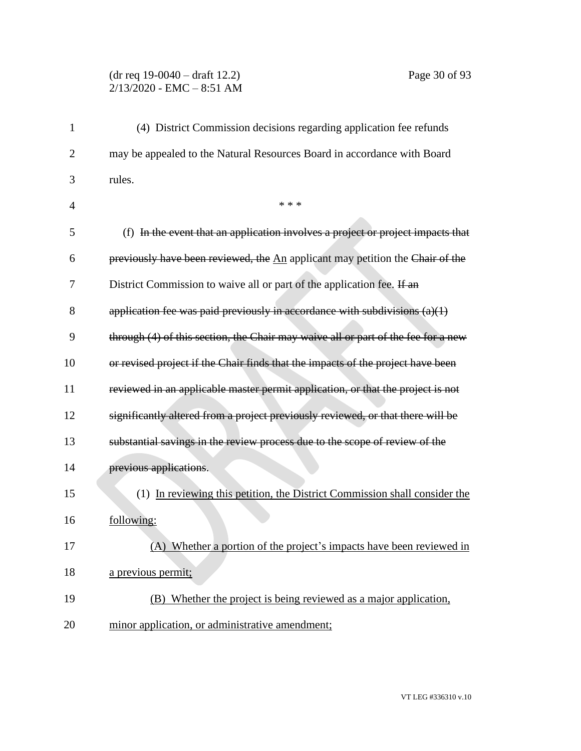## (dr req 19-0040 – draft 12.2) Page 30 of 93 2/13/2020 - EMC – 8:51 AM

| $\mathbf{1}$   | (4) District Commission decisions regarding application fee refunds               |
|----------------|-----------------------------------------------------------------------------------|
| $\overline{2}$ | may be appealed to the Natural Resources Board in accordance with Board           |
| 3              | rules.                                                                            |
| $\overline{4}$ | * * *                                                                             |
| 5              | (f) In the event that an application involves a project or project impacts that   |
| 6              | previously have been reviewed, the An applicant may petition the Chair of the     |
| 7              | District Commission to waive all or part of the application fee. If an            |
| 8              | application fee was paid previously in accordance with subdivisions $(a)(1)$      |
| 9              | through (4) of this section, the Chair may waive all or part of the fee for a new |
| 10             | or revised project if the Chair finds that the impacts of the project have been   |
| 11             | reviewed in an applicable master permit application, or that the project is not   |
| 12             | significantly altered from a project previously reviewed, or that there will be   |
| 13             | substantial savings in the review process due to the scope of review of the       |
| 14             | previous applications.                                                            |
| 15             | (1) In reviewing this petition, the District Commission shall consider the        |
| 16             | following:                                                                        |
| 17             | (A) Whether a portion of the project's impacts have been reviewed in              |
| 18             | a previous permit;                                                                |
| 19             | (B) Whether the project is being reviewed as a major application,                 |
| 20             | minor application, or administrative amendment;                                   |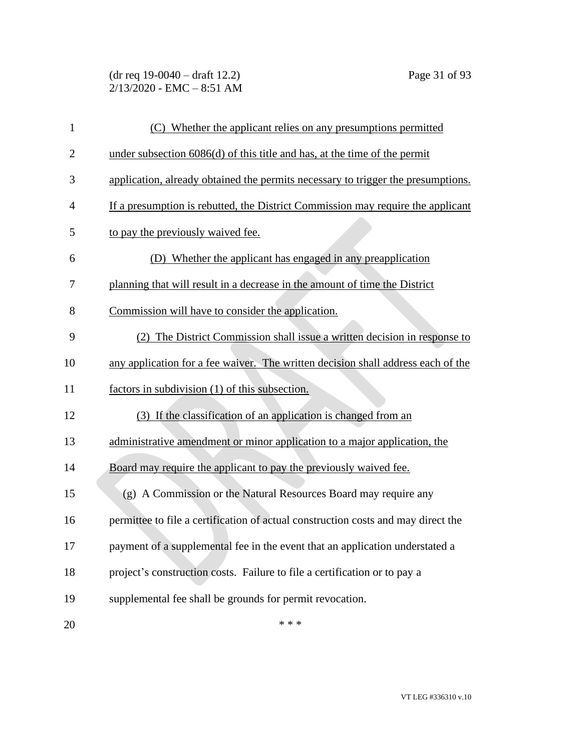(dr req 19-0040 – draft 12.2) Page 31 of 93 2/13/2020 - EMC – 8:51 AM

| $\mathbf{1}$   | (C) Whether the applicant relies on any presumptions permitted                    |
|----------------|-----------------------------------------------------------------------------------|
| $\overline{2}$ | under subsection $6086(d)$ of this title and has, at the time of the permit       |
| 3              | application, already obtained the permits necessary to trigger the presumptions.  |
| 4              | If a presumption is rebutted, the District Commission may require the applicant   |
| 5              | to pay the previously waived fee.                                                 |
| 6              | (D) Whether the applicant has engaged in any preapplication                       |
| 7              | planning that will result in a decrease in the amount of time the District        |
| 8              | Commission will have to consider the application.                                 |
| 9              | (2) The District Commission shall issue a written decision in response to         |
| 10             | any application for a fee waiver. The written decision shall address each of the  |
| 11             | factors in subdivision (1) of this subsection.                                    |
| 12             | (3) If the classification of an application is changed from an                    |
| 13             | administrative amendment or minor application to a major application, the         |
| 14             | Board may require the applicant to pay the previously waived fee.                 |
| 15             | (g) A Commission or the Natural Resources Board may require any                   |
| 16             | permittee to file a certification of actual construction costs and may direct the |
| 17             | payment of a supplemental fee in the event that an application understated a      |
| 18             | project's construction costs. Failure to file a certification or to pay a         |
| 19             | supplemental fee shall be grounds for permit revocation.                          |
| 20             | * * *                                                                             |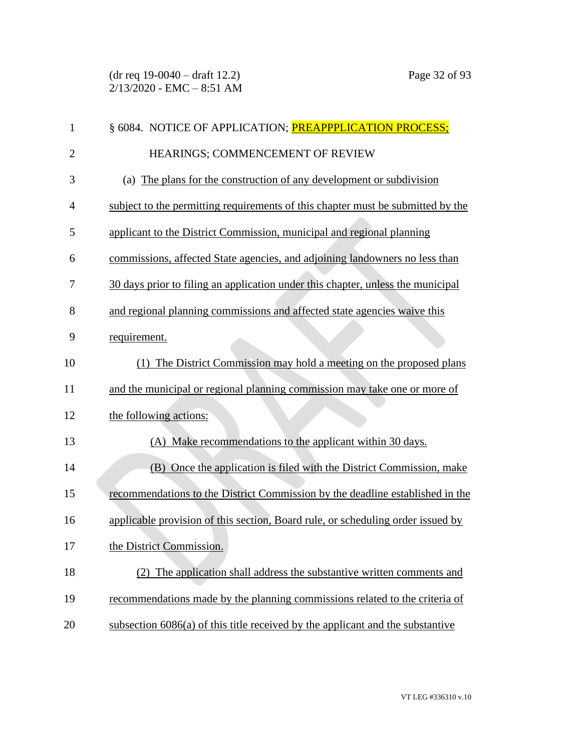(dr req 19-0040 – draft 12.2) Page 32 of 93  $2/13/2020$  - EMC - 8:51 AM

| 1              | § 6084. NOTICE OF APPLICATION; <b>PREAPPPLICATION PROCESS;</b>                  |
|----------------|---------------------------------------------------------------------------------|
| $\overline{2}$ | HEARINGS; COMMENCEMENT OF REVIEW                                                |
| 3              | (a) The plans for the construction of any development or subdivision            |
| 4              | subject to the permitting requirements of this chapter must be submitted by the |
| 5              | applicant to the District Commission, municipal and regional planning           |
| 6              | commissions, affected State agencies, and adjoining landowners no less than     |
| 7              | 30 days prior to filing an application under this chapter, unless the municipal |
| 8              | and regional planning commissions and affected state agencies waive this        |
| 9              | requirement.                                                                    |
| 10             | (1) The District Commission may hold a meeting on the proposed plans            |
| 11             | and the municipal or regional planning commission may take one or more of       |
| 12             | the following actions:                                                          |
| 13             | (A) Make recommendations to the applicant within 30 days.                       |
| 14             | (B) Once the application is filed with the District Commission, make            |
| 15             | recommendations to the District Commission by the deadline established in the   |
| 16             | applicable provision of this section, Board rule, or scheduling order issued by |
| 17             | the District Commission.                                                        |
| 18             | The application shall address the substantive written comments and              |
| 19             | recommendations made by the planning commissions related to the criteria of     |
| 20             | subsection 6086(a) of this title received by the applicant and the substantive  |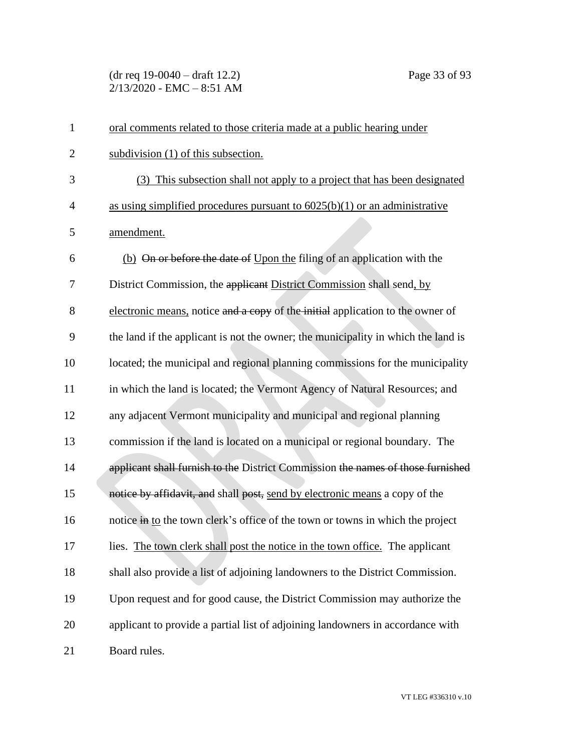(dr req 19-0040 – draft 12.2) Page 33 of 93  $2/13/2020$  - EMC - 8:51 AM

| $\mathbf{1}$   | oral comments related to those criteria made at a public hearing under            |
|----------------|-----------------------------------------------------------------------------------|
| $\overline{2}$ | subdivision (1) of this subsection.                                               |
| 3              | (3) This subsection shall not apply to a project that has been designated         |
| $\overline{4}$ | as using simplified procedures pursuant to $6025(b)(1)$ or an administrative      |
| 5              | amendment.                                                                        |
| 6              | (b) On or before the date of Upon the filing of an application with the           |
| 7              | District Commission, the applicant District Commission shall send, by             |
| 8              | electronic means, notice and a copy of the initial application to the owner of    |
| 9              | the land if the applicant is not the owner; the municipality in which the land is |
| 10             | located; the municipal and regional planning commissions for the municipality     |
| 11             | in which the land is located; the Vermont Agency of Natural Resources; and        |
| 12             | any adjacent Vermont municipality and municipal and regional planning             |
| 13             | commission if the land is located on a municipal or regional boundary. The        |
| 14             | applicant shall furnish to the District Commission the names of those furnished   |
| 15             | notice by affidavit, and shall post, send by electronic means a copy of the       |
| 16             | notice in to the town clerk's office of the town or towns in which the project    |
| 17             | lies. The town clerk shall post the notice in the town office. The applicant      |
| 18             | shall also provide a list of adjoining landowners to the District Commission.     |
| 19             | Upon request and for good cause, the District Commission may authorize the        |
| 20             | applicant to provide a partial list of adjoining landowners in accordance with    |
| 21             | Board rules.                                                                      |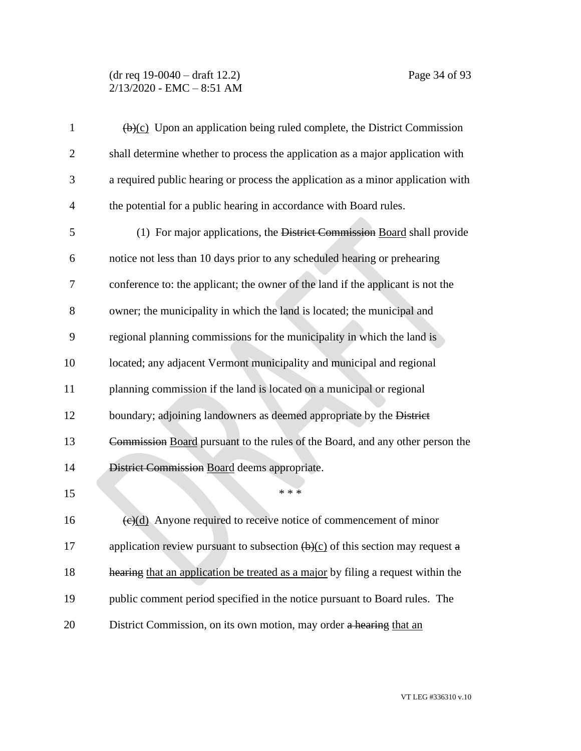### (dr req 19-0040 – draft 12.2) Page 34 of 93 2/13/2020 - EMC – 8:51 AM

| $\mathbf{1}$   | $\overline{(b)(c)}$ Upon an application being ruled complete, the District Commission              |
|----------------|----------------------------------------------------------------------------------------------------|
| $\overline{2}$ | shall determine whether to process the application as a major application with                     |
| 3              | a required public hearing or process the application as a minor application with                   |
| $\overline{4}$ | the potential for a public hearing in accordance with Board rules.                                 |
| 5              | (1) For major applications, the District Commission Board shall provide                            |
| 6              | notice not less than 10 days prior to any scheduled hearing or prehearing                          |
| 7              | conference to: the applicant; the owner of the land if the applicant is not the                    |
| 8              | owner; the municipality in which the land is located; the municipal and                            |
| 9              | regional planning commissions for the municipality in which the land is                            |
| 10             | located; any adjacent Vermont municipality and municipal and regional                              |
| 11             | planning commission if the land is located on a municipal or regional                              |
| 12             | boundary; adjoining landowners as deemed appropriate by the District                               |
| 13             | Commission Board pursuant to the rules of the Board, and any other person the                      |
| 14             | District Commission Board deems appropriate.                                                       |
| 15             | * * *                                                                                              |
| 16             | $\left(\frac{e}{d}\right)$ Anyone required to receive notice of commencement of minor              |
| 17             | application review pursuant to subsection $\left(\frac{b}{c}\right)$ of this section may request a |
| 18             | hearing that an application be treated as a major by filing a request within the                   |
| 19             | public comment period specified in the notice pursuant to Board rules. The                         |
| 20             | District Commission, on its own motion, may order a hearing that an                                |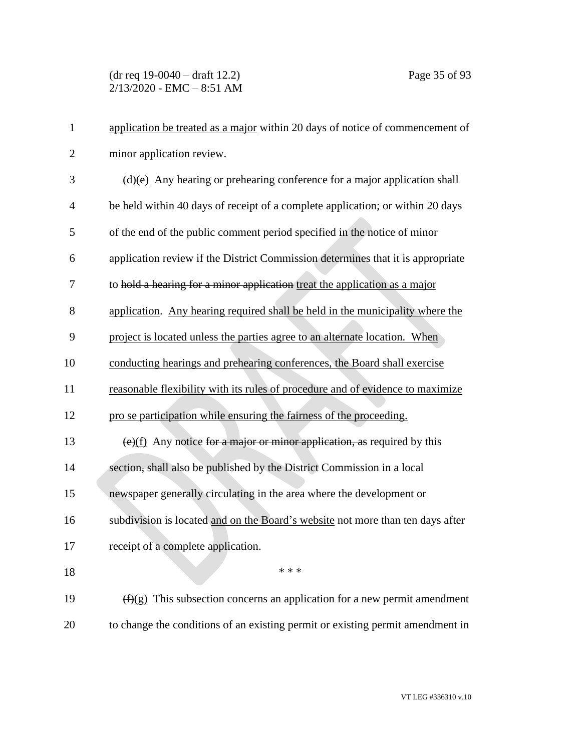(dr req 19-0040 – draft 12.2) Page 35 of 93  $2/13/2020$  - EMC - 8:51 AM

| $\mathbf{1}$   | application be treated as a major within 20 days of notice of commencement of   |
|----------------|---------------------------------------------------------------------------------|
| $\overline{2}$ | minor application review.                                                       |
| 3              | $(d)(e)$ Any hearing or prehearing conference for a major application shall     |
| $\overline{4}$ | be held within 40 days of receipt of a complete application; or within 20 days  |
| 5              | of the end of the public comment period specified in the notice of minor        |
| 6              | application review if the District Commission determines that it is appropriate |
| 7              | to hold a hearing for a minor application treat the application as a major      |
| 8              | application. Any hearing required shall be held in the municipality where the   |
| 9              | project is located unless the parties agree to an alternate location. When      |
| 10             | conducting hearings and prehearing conferences, the Board shall exercise        |
| 11             | reasonable flexibility with its rules of procedure and of evidence to maximize  |
| 12             | pro se participation while ensuring the fairness of the proceeding.             |
| 13             | $(e)(f)$ Any notice for a major or minor application, as required by this       |
| 14             | section, shall also be published by the District Commission in a local          |
| 15             | newspaper generally circulating in the area where the development or            |
| 16             | subdivision is located and on the Board's website not more than ten days after  |
| 17             | receipt of a complete application.                                              |
| 18             | * * *                                                                           |
| 19             | $(f)(g)$ This subsection concerns an application for a new permit amendment     |
| 20             | to change the conditions of an existing permit or existing permit amendment in  |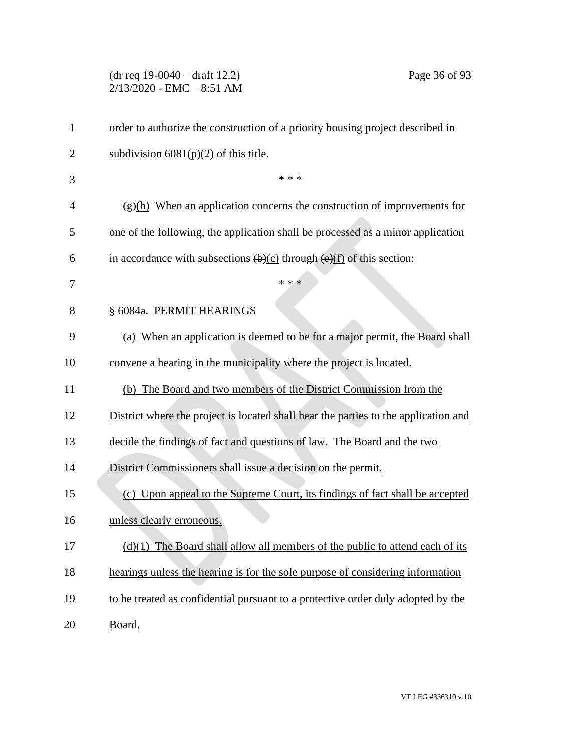(dr req 19-0040 – draft 12.2) Page 36 of 93 2/13/2020 - EMC – 8:51 AM

| $\mathbf{1}$   | order to authorize the construction of a priority housing project described in                                |
|----------------|---------------------------------------------------------------------------------------------------------------|
| $\overline{2}$ | subdivision $6081(p)(2)$ of this title.                                                                       |
| 3              | * * *                                                                                                         |
| 4              | $\frac{f(x)(h)}{h(x)}$ When an application concerns the construction of improvements for                      |
| 5              | one of the following, the application shall be processed as a minor application                               |
| 6              | in accordance with subsections $\left(\frac{b}{c}\right)$ through $\left(\frac{e}{f}\right)$ of this section: |
| 7              | * * *                                                                                                         |
| 8              | § 6084a. PERMIT HEARINGS                                                                                      |
| 9              | (a) When an application is deemed to be for a major permit, the Board shall                                   |
| 10             | convene a hearing in the municipality where the project is located.                                           |
| 11             | (b) The Board and two members of the District Commission from the                                             |
| 12             | District where the project is located shall hear the parties to the application and                           |
| 13             | decide the findings of fact and questions of law. The Board and the two                                       |
| 14             | District Commissioners shall issue a decision on the permit.                                                  |
| 15             | (c) Upon appeal to the Supreme Court, its findings of fact shall be accepted                                  |
| 16             | unless clearly erroneous.                                                                                     |
| 17             | $(d)(1)$ The Board shall allow all members of the public to attend each of its                                |
| 18             | hearings unless the hearing is for the sole purpose of considering information                                |
| 19             | to be treated as confidential pursuant to a protective order duly adopted by the                              |
| 20             | Board.                                                                                                        |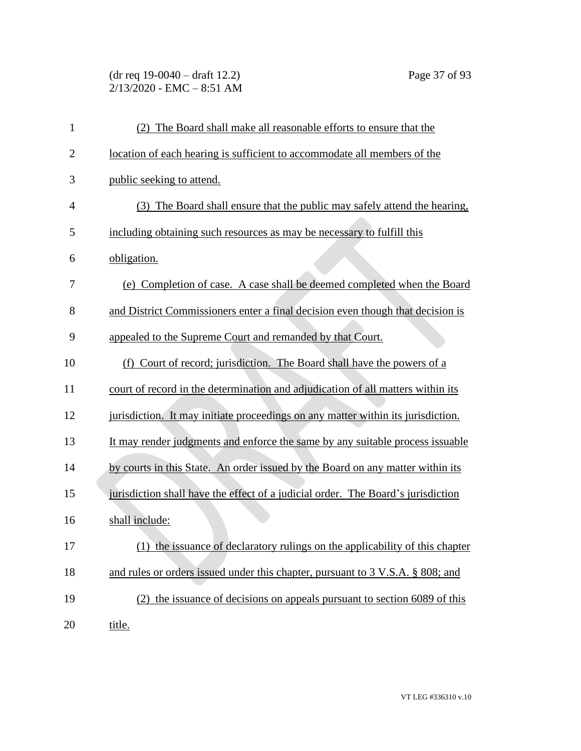(dr req 19-0040 – draft 12.2) Page 37 of 93  $2/13/2020$  - EMC - 8:51 AM

| $\mathbf{1}$   | (2) The Board shall make all reasonable efforts to ensure that the               |
|----------------|----------------------------------------------------------------------------------|
| $\overline{2}$ | location of each hearing is sufficient to accommodate all members of the         |
| 3              | public seeking to attend.                                                        |
| $\overline{4}$ | (3) The Board shall ensure that the public may safely attend the hearing,        |
| 5              | including obtaining such resources as may be necessary to fulfill this           |
| 6              | obligation.                                                                      |
| 7              | (e) Completion of case. A case shall be deemed completed when the Board          |
| 8              | and District Commissioners enter a final decision even though that decision is   |
| 9              | appealed to the Supreme Court and remanded by that Court.                        |
| 10             | (f) Court of record; jurisdiction. The Board shall have the powers of a          |
| 11             | court of record in the determination and adjudication of all matters within its  |
| 12             | jurisdiction. It may initiate proceedings on any matter within its jurisdiction. |
| 13             | It may render judgments and enforce the same by any suitable process issuable    |
| 14             | by courts in this State. An order issued by the Board on any matter within its   |
| 15             | jurisdiction shall have the effect of a judicial order. The Board's jurisdiction |
| 16             | shall include:                                                                   |
| 17             | (1) the issuance of declaratory rulings on the applicability of this chapter     |
| 18             | and rules or orders issued under this chapter, pursuant to 3 V.S.A. § 808; and   |
| 19             | (2) the issuance of decisions on appeals pursuant to section 6089 of this        |
| 20             | title.                                                                           |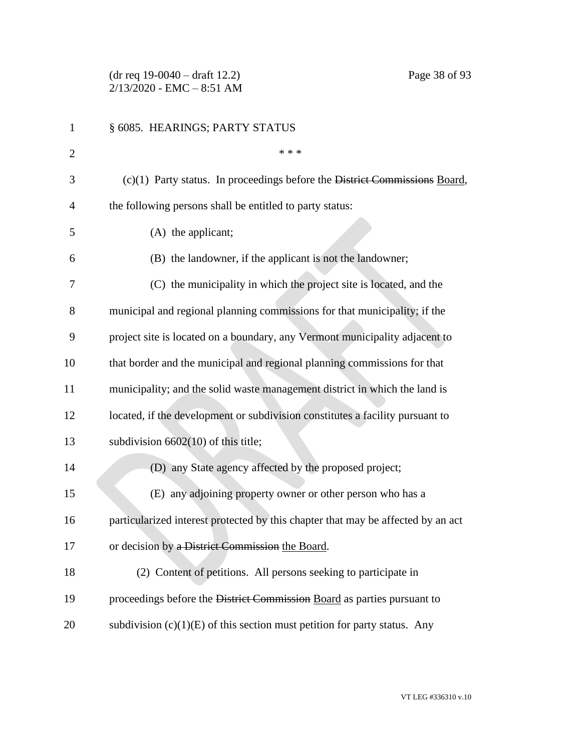(dr req 19-0040 – draft 12.2) Page 38 of 93  $2/13/2020$  - EMC - 8:51 AM

| 1              | § 6085. HEARINGS; PARTY STATUS                                                   |
|----------------|----------------------------------------------------------------------------------|
| $\overline{2}$ | * * *                                                                            |
| 3              | (c)(1) Party status. In proceedings before the District Commissions Board,       |
| 4              | the following persons shall be entitled to party status:                         |
| 5              | $(A)$ the applicant;                                                             |
| 6              | (B) the landowner, if the applicant is not the landowner;                        |
| 7              | (C) the municipality in which the project site is located, and the               |
| 8              | municipal and regional planning commissions for that municipality; if the        |
| 9              | project site is located on a boundary, any Vermont municipality adjacent to      |
| 10             | that border and the municipal and regional planning commissions for that         |
| 11             | municipality; and the solid waste management district in which the land is       |
| 12             | located, if the development or subdivision constitutes a facility pursuant to    |
| 13             | subdivision $6602(10)$ of this title;                                            |
| 14             | (D) any State agency affected by the proposed project;                           |
| 15             | (E) any adjoining property owner or other person who has a                       |
| 16             | particularized interest protected by this chapter that may be affected by an act |
| 17             | or decision by a District Commission the Board.                                  |
| 18             | (2) Content of petitions. All persons seeking to participate in                  |
| 19             | proceedings before the District Commission Board as parties pursuant to          |
| 20             | subdivision $(c)(1)(E)$ of this section must petition for party status. Any      |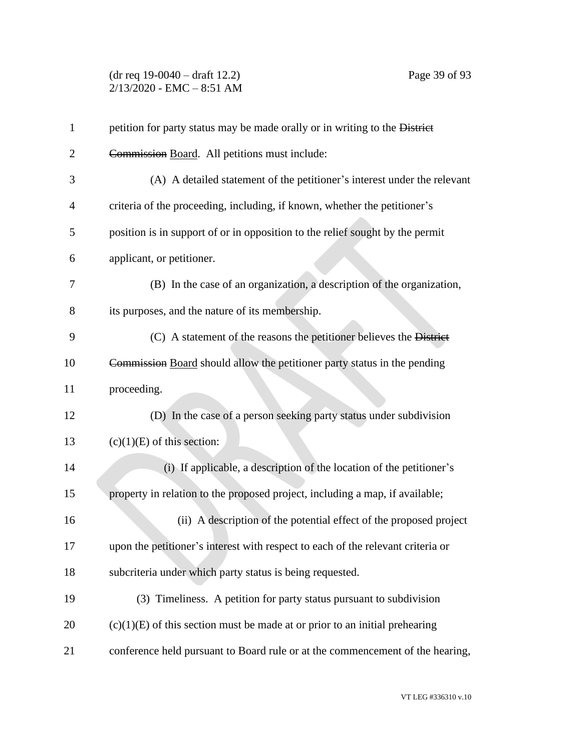(dr req 19-0040 – draft 12.2) Page 39 of 93  $2/13/2020$  - EMC - 8:51 AM

| $\mathbf{1}$ | petition for party status may be made orally or in writing to the District      |
|--------------|---------------------------------------------------------------------------------|
| 2            | Commission Board. All petitions must include:                                   |
| 3            | (A) A detailed statement of the petitioner's interest under the relevant        |
| 4            | criteria of the proceeding, including, if known, whether the petitioner's       |
| 5            | position is in support of or in opposition to the relief sought by the permit   |
| 6            | applicant, or petitioner.                                                       |
| 7            | (B) In the case of an organization, a description of the organization,          |
| 8            | its purposes, and the nature of its membership.                                 |
| 9            | (C) A statement of the reasons the petitioner believes the District             |
| 10           | Commission Board should allow the petitioner party status in the pending        |
| 11           | proceeding.                                                                     |
| 12           | (D) In the case of a person seeking party status under subdivision              |
| 13           | $(c)(1)(E)$ of this section:                                                    |
| 14           | (i) If applicable, a description of the location of the petitioner's            |
| 15           | property in relation to the proposed project, including a map, if available;    |
| 16           | (ii) A description of the potential effect of the proposed project              |
| 17           | upon the petitioner's interest with respect to each of the relevant criteria or |
| 18           | subcriteria under which party status is being requested.                        |
| 19           | (3) Timeliness. A petition for party status pursuant to subdivision             |
| 20           | $(c)(1)(E)$ of this section must be made at or prior to an initial prehearing   |
| 21           | conference held pursuant to Board rule or at the commencement of the hearing,   |
|              |                                                                                 |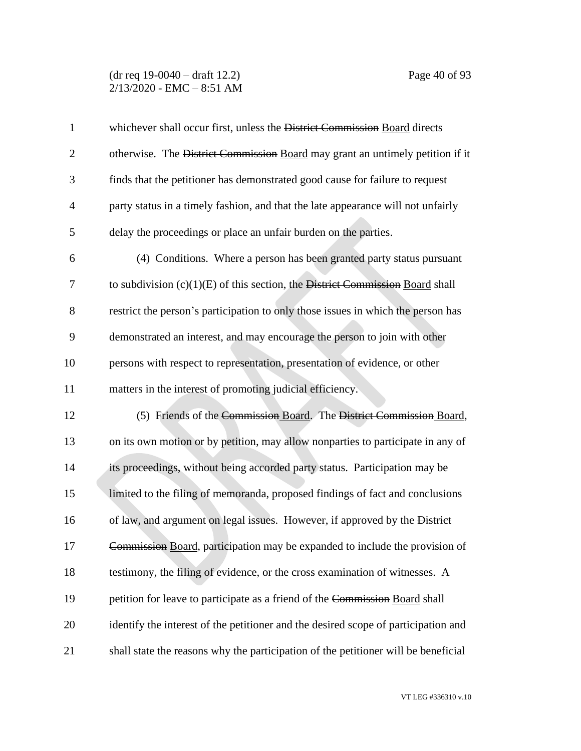#### (dr req 19-0040 – draft 12.2) Page 40 of 93 2/13/2020 - EMC – 8:51 AM

| $\mathbf{1}$   | whichever shall occur first, unless the District Commission Board directs          |
|----------------|------------------------------------------------------------------------------------|
| $\overline{2}$ | otherwise. The District Commission Board may grant an untimely petition if it      |
| 3              | finds that the petitioner has demonstrated good cause for failure to request       |
| $\overline{4}$ | party status in a timely fashion, and that the late appearance will not unfairly   |
| 5              | delay the proceedings or place an unfair burden on the parties.                    |
| 6              | (4) Conditions. Where a person has been granted party status pursuant              |
| 7              | to subdivision $(c)(1)(E)$ of this section, the District Commission Board shall    |
| 8              | restrict the person's participation to only those issues in which the person has   |
| 9              | demonstrated an interest, and may encourage the person to join with other          |
| 10             | persons with respect to representation, presentation of evidence, or other         |
| 11             | matters in the interest of promoting judicial efficiency.                          |
| 12             | (5) Friends of the Commission Board. The District Commission Board,                |
| 13             | on its own motion or by petition, may allow nonparties to participate in any of    |
| 14             | its proceedings, without being accorded party status. Participation may be         |
| 15             | limited to the filing of memoranda, proposed findings of fact and conclusions      |
| 16             | of law, and argument on legal issues. However, if approved by the District         |
| 17             | Commission Board, participation may be expanded to include the provision of        |
| 18             | testimony, the filing of evidence, or the cross examination of witnesses. A        |
| 19             | petition for leave to participate as a friend of the Commission Board shall        |
| 20             | identify the interest of the petitioner and the desired scope of participation and |
| 21             | shall state the reasons why the participation of the petitioner will be beneficial |

VT LEG #336310 v.10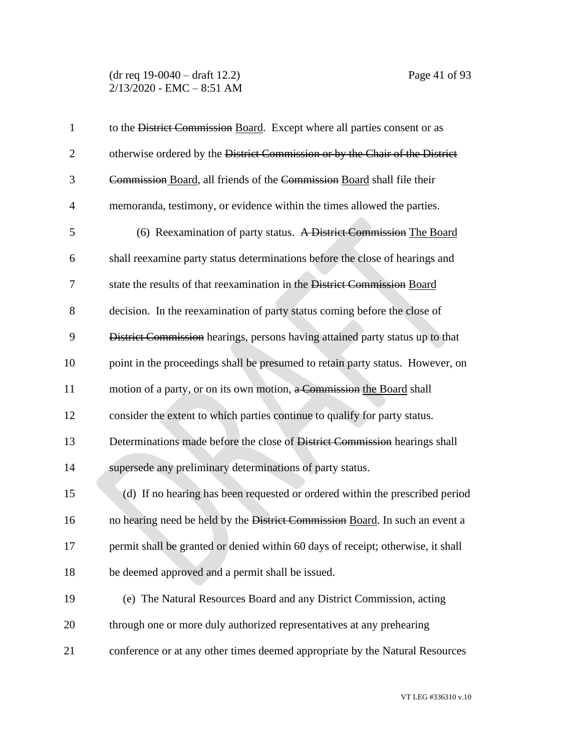| $\mathbf{1}$   | to the District Commission Board. Except where all parties consent or as         |
|----------------|----------------------------------------------------------------------------------|
| $\overline{2}$ | otherwise ordered by the District Commission or by the Chair of the District     |
| 3              | Commission Board, all friends of the Commission Board shall file their           |
| $\overline{4}$ | memoranda, testimony, or evidence within the times allowed the parties.          |
| 5              | (6) Reexamination of party status. A District Commission The Board               |
| 6              | shall reexamine party status determinations before the close of hearings and     |
| 7              | state the results of that reexamination in the District Commission Board         |
| 8              | decision. In the reexamination of party status coming before the close of        |
| 9              | District Commission hearings, persons having attained party status up to that    |
| 10             | point in the proceedings shall be presumed to retain party status. However, on   |
| 11             | motion of a party, or on its own motion, a Commission the Board shall            |
| 12             | consider the extent to which parties continue to qualify for party status.       |
| 13             | Determinations made before the close of District Commission hearings shall       |
| 14             | supersede any preliminary determinations of party status.                        |
| 15             | (d) If no hearing has been requested or ordered within the prescribed period     |
| 16             | no hearing need be held by the District Commission Board. In such an event a     |
| 17             | permit shall be granted or denied within 60 days of receipt; otherwise, it shall |
| 18             | be deemed approved and a permit shall be issued.                                 |
| 19             | (e) The Natural Resources Board and any District Commission, acting              |
| 20             | through one or more duly authorized representatives at any prehearing            |
| 21             | conference or at any other times deemed appropriate by the Natural Resources     |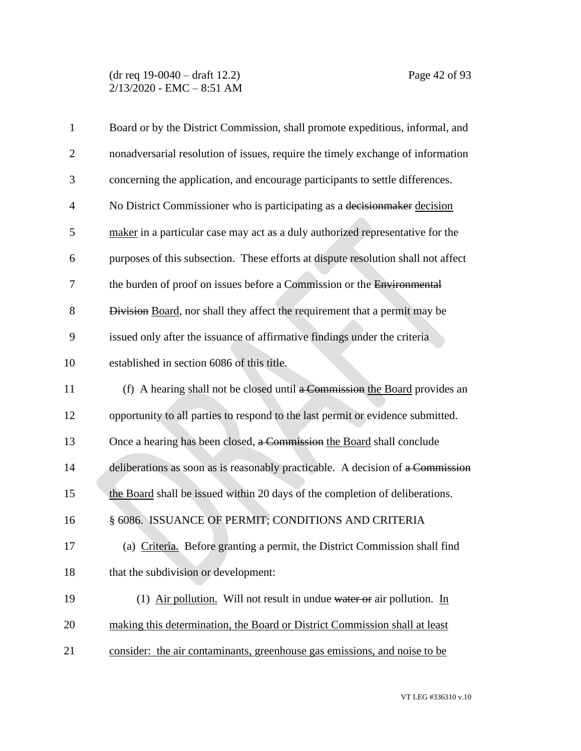(dr req 19-0040 – draft 12.2) Page 42 of 93  $2/13/2020$  - EMC - 8:51 AM

| $\mathbf{1}$   | Board or by the District Commission, shall promote expeditious, informal, and     |
|----------------|-----------------------------------------------------------------------------------|
| $\overline{2}$ | nonadversarial resolution of issues, require the timely exchange of information   |
| 3              | concerning the application, and encourage participants to settle differences.     |
| $\overline{4}$ | No District Commissioner who is participating as a decision maker decision        |
| 5              | maker in a particular case may act as a duly authorized representative for the    |
| 6              | purposes of this subsection. These efforts at dispute resolution shall not affect |
| 7              | the burden of proof on issues before a Commission or the Environmental            |
| 8              | Division Board, nor shall they affect the requirement that a permit may be        |
| 9              | issued only after the issuance of affirmative findings under the criteria         |
| 10             | established in section 6086 of this title.                                        |
| 11             | (f) A hearing shall not be closed until a Commission the Board provides an        |
| 12             | opportunity to all parties to respond to the last permit or evidence submitted.   |
| 13             | Once a hearing has been closed, a Commission the Board shall conclude             |
| 14             | deliberations as soon as is reasonably practicable. A decision of a Commission    |
| 15             | the Board shall be issued within 20 days of the completion of deliberations.      |
| 16             | § 6086. ISSUANCE OF PERMIT; CONDITIONS AND CRITERIA                               |
| 17             | (a) Criteria. Before granting a permit, the District Commission shall find        |
| 18             | that the subdivision or development:                                              |
| 19             | (1) Air pollution. Will not result in undue water or air pollution. In            |
| 20             | making this determination, the Board or District Commission shall at least        |
| 21             | consider: the air contaminants, greenhouse gas emissions, and noise to be         |
|                |                                                                                   |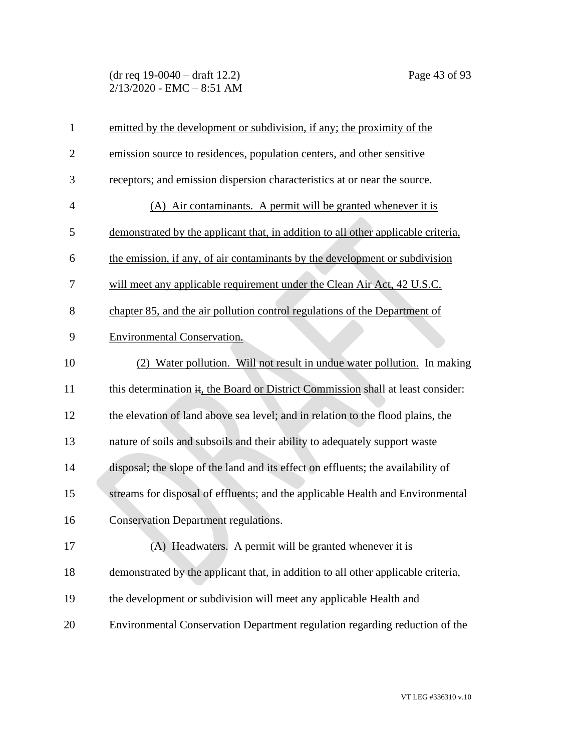(dr req 19-0040 – draft 12.2) Page 43 of 93  $2/13/2020$  - EMC - 8:51 AM

| $\mathbf{1}$   | emitted by the development or subdivision, if any; the proximity of the           |
|----------------|-----------------------------------------------------------------------------------|
| $\overline{2}$ | emission source to residences, population centers, and other sensitive            |
| 3              | receptors; and emission dispersion characteristics at or near the source.         |
| $\overline{4}$ | (A) Air contaminants. A permit will be granted whenever it is                     |
| 5              | demonstrated by the applicant that, in addition to all other applicable criteria, |
| 6              | the emission, if any, of air contaminants by the development or subdivision       |
| 7              | will meet any applicable requirement under the Clean Air Act, 42 U.S.C.           |
| 8              | chapter 85, and the air pollution control regulations of the Department of        |
| 9              | <b>Environmental Conservation.</b>                                                |
| 10             | (2) Water pollution. Will not result in undue water pollution. In making          |
| 11             | this determination it, the Board or District Commission shall at least consider:  |
| 12             | the elevation of land above sea level; and in relation to the flood plains, the   |
| 13             | nature of soils and subsoils and their ability to adequately support waste        |
| 14             | disposal; the slope of the land and its effect on effluents; the availability of  |
| 15             | streams for disposal of effluents; and the applicable Health and Environmental    |
| 16             | <b>Conservation Department regulations.</b>                                       |
| 17             | (A) Headwaters. A permit will be granted whenever it is                           |
| 18             | demonstrated by the applicant that, in addition to all other applicable criteria, |
| 19             | the development or subdivision will meet any applicable Health and                |
| 20             | Environmental Conservation Department regulation regarding reduction of the       |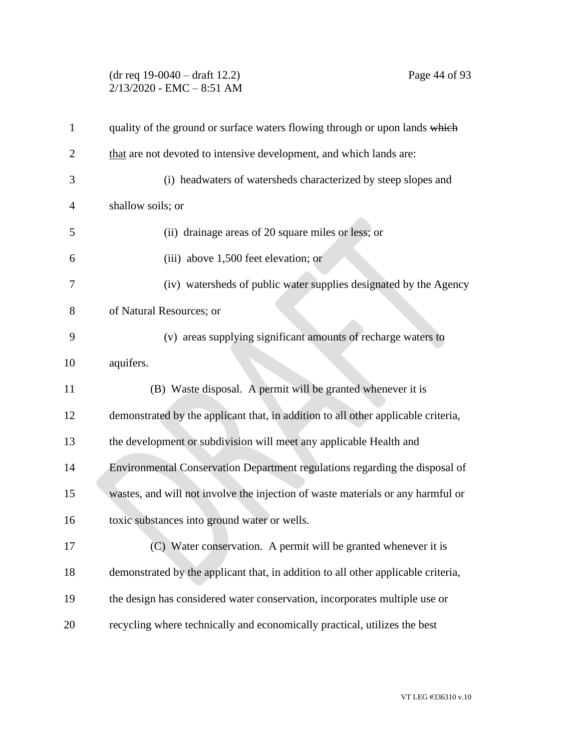# (dr req 19-0040 – draft 12.2) Page 44 of 93 2/13/2020 - EMC – 8:51 AM

| $\mathbf{1}$   | quality of the ground or surface waters flowing through or upon lands which       |
|----------------|-----------------------------------------------------------------------------------|
| $\overline{2}$ | that are not devoted to intensive development, and which lands are:               |
| 3              | (i) headwaters of watersheds characterized by steep slopes and                    |
| 4              | shallow soils; or                                                                 |
| 5              | (ii) drainage areas of 20 square miles or less; or                                |
| 6              | (iii) above 1,500 feet elevation; or                                              |
| 7              | (iv) watersheds of public water supplies designated by the Agency                 |
| 8              | of Natural Resources; or                                                          |
| 9              | (v) areas supplying significant amounts of recharge waters to                     |
| 10             | aquifers.                                                                         |
| 11             | (B) Waste disposal. A permit will be granted whenever it is                       |
| 12             | demonstrated by the applicant that, in addition to all other applicable criteria, |
| 13             | the development or subdivision will meet any applicable Health and                |
| 14             | Environmental Conservation Department regulations regarding the disposal of       |
| 15             | wastes, and will not involve the injection of waste materials or any harmful or   |
| 16             | toxic substances into ground water or wells.                                      |
| 17             | (C) Water conservation. A permit will be granted whenever it is                   |
| 18             | demonstrated by the applicant that, in addition to all other applicable criteria, |
| 19             | the design has considered water conservation, incorporates multiple use or        |
| 20             | recycling where technically and economically practical, utilizes the best         |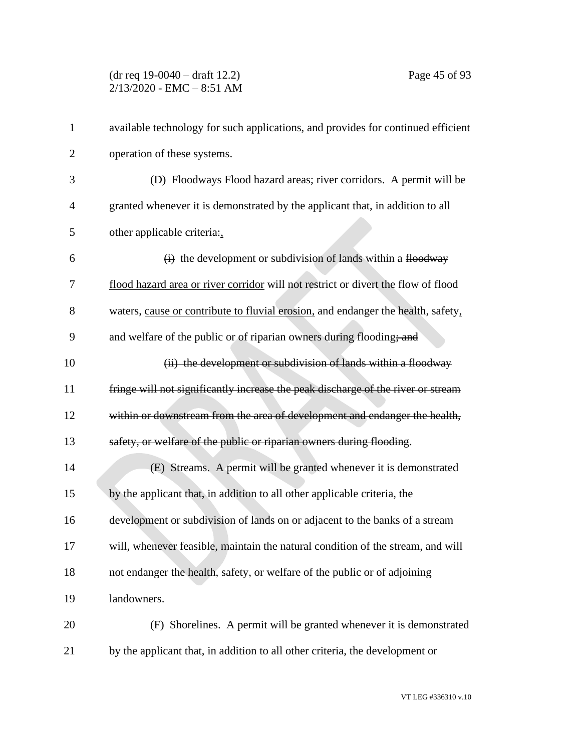| $\mathbf{1}$   | available technology for such applications, and provides for continued efficient  |
|----------------|-----------------------------------------------------------------------------------|
| 2              | operation of these systems.                                                       |
| 3              | (D) Floodways Flood hazard areas; river corridors. A permit will be               |
| $\overline{4}$ | granted whenever it is demonstrated by the applicant that, in addition to all     |
| 5              | other applicable criteria:                                                        |
| 6              | (i) the development or subdivision of lands within a floodway                     |
| 7              | flood hazard area or river corridor will not restrict or divert the flow of flood |
| 8              | waters, cause or contribute to fluvial erosion, and endanger the health, safety,  |
| 9              | and welfare of the public or of riparian owners during flooding; and              |
| 10             | (ii) the development or subdivision of lands within a floodway                    |
| 11             | fringe will not significantly increase the peak discharge of the river or stream  |
| 12             | within or downstream from the area of development and endanger the health,        |
| 13             | safety, or welfare of the public or riparian owners during flooding.              |
| 14             | (E) Streams. A permit will be granted whenever it is demonstrated                 |
| 15             | by the applicant that, in addition to all other applicable criteria, the          |
| 16             | development or subdivision of lands on or adjacent to the banks of a stream       |
| 17             | will, whenever feasible, maintain the natural condition of the stream, and will   |
| 18             | not endanger the health, safety, or welfare of the public or of adjoining         |
| 19             | landowners.                                                                       |
| 20             | (F) Shorelines. A permit will be granted whenever it is demonstrated              |
| 21             | by the applicant that, in addition to all other criteria, the development or      |

VT LEG #336310 v.10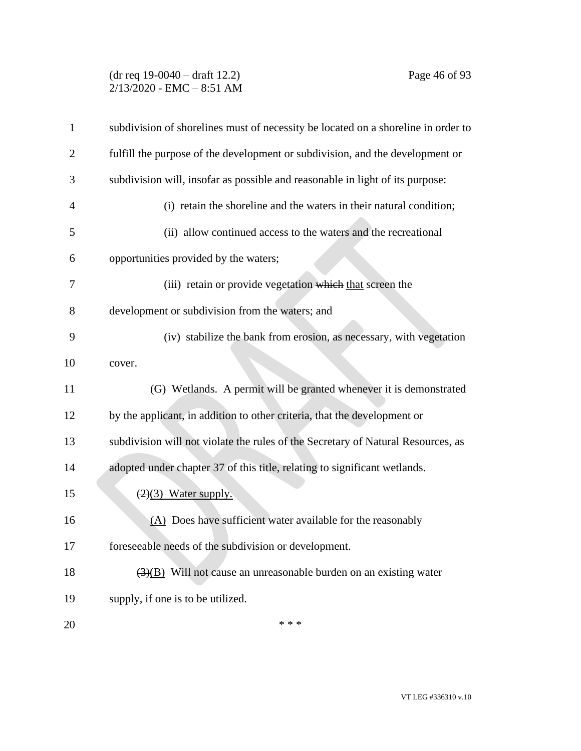# (dr req 19-0040 – draft 12.2) Page 46 of 93  $2/13/2020$  - EMC - 8:51 AM

| $\mathbf{1}$   | subdivision of shorelines must of necessity be located on a shoreline in order to     |
|----------------|---------------------------------------------------------------------------------------|
| $\overline{2}$ | fulfill the purpose of the development or subdivision, and the development or         |
| 3              | subdivision will, insofar as possible and reasonable in light of its purpose:         |
| $\overline{4}$ | (i) retain the shoreline and the waters in their natural condition;                   |
| 5              | (ii) allow continued access to the waters and the recreational                        |
| 6              | opportunities provided by the waters;                                                 |
| 7              | (iii) retain or provide vegetation which that screen the                              |
| 8              | development or subdivision from the waters; and                                       |
| 9              | (iv) stabilize the bank from erosion, as necessary, with vegetation                   |
| 10             | cover.                                                                                |
| 11             | (G) Wetlands. A permit will be granted whenever it is demonstrated                    |
| 12             | by the applicant, in addition to other criteria, that the development or              |
| 13             | subdivision will not violate the rules of the Secretary of Natural Resources, as      |
| 14             | adopted under chapter 37 of this title, relating to significant wetlands.             |
| 15             | $(2)(3)$ Water supply.                                                                |
| 16             | (A) Does have sufficient water available for the reasonably                           |
| 17             | foreseeable needs of the subdivision or development.                                  |
| 18             | $\left(\frac{3}{2}\right)$ Will not cause an unreasonable burden on an existing water |
| 19             | supply, if one is to be utilized.                                                     |
| 20             | * * *                                                                                 |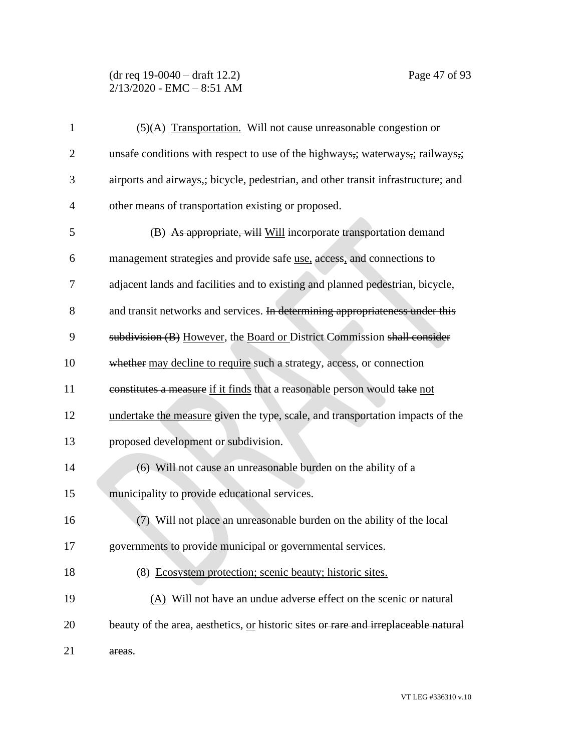# (dr req 19-0040 – draft 12.2) Page 47 of 93  $2/13/2020$  - EMC - 8:51 AM

| $\mathbf{1}$   | (5)(A) Transportation. Will not cause unreasonable congestion or                    |
|----------------|-------------------------------------------------------------------------------------|
| $\overline{2}$ | unsafe conditions with respect to use of the highways, waterways, railways,         |
| 3              | airports and airways, bicycle, pedestrian, and other transit infrastructure; and    |
| $\overline{4}$ | other means of transportation existing or proposed.                                 |
| 5              | (B) As appropriate, will Will incorporate transportation demand                     |
| 6              | management strategies and provide safe use, access, and connections to              |
| 7              | adjacent lands and facilities and to existing and planned pedestrian, bicycle,      |
| 8              | and transit networks and services. In determining appropriateness under this        |
| 9              | subdivision (B) However, the Board or District Commission shall consider            |
| 10             | whether may decline to require such a strategy, access, or connection               |
| 11             | constitutes a measure if it finds that a reasonable person would take not           |
| 12             | undertake the measure given the type, scale, and transportation impacts of the      |
| 13             | proposed development or subdivision.                                                |
| 14             | (6) Will not cause an unreasonable burden on the ability of a                       |
| 15             | municipality to provide educational services.                                       |
| 16             | (7) Will not place an unreasonable burden on the ability of the local               |
| 17             | governments to provide municipal or governmental services.                          |
| 18             | (8) Ecosystem protection; scenic beauty; historic sites.                            |
| 19             | (A) Will not have an undue adverse effect on the scenic or natural                  |
| 20             | beauty of the area, aesthetics, or historic sites or rare and irreplaceable natural |
| 21             | areas.                                                                              |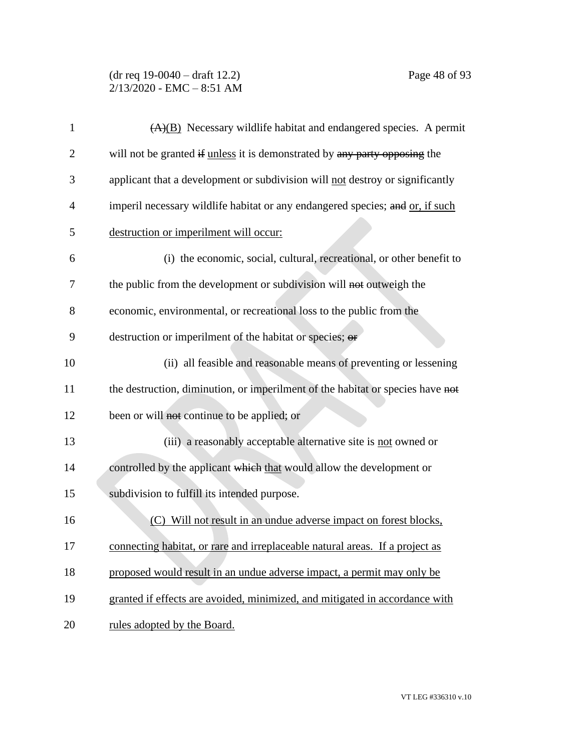(dr req 19-0040 – draft 12.2) Page 48 of 93 2/13/2020 - EMC – 8:51 AM

| $\mathbf{1}$   | $(A)(B)$ Necessary wildlife habitat and endangered species. A permit           |
|----------------|--------------------------------------------------------------------------------|
| 2              | will not be granted if unless it is demonstrated by any party opposing the     |
| 3              | applicant that a development or subdivision will not destroy or significantly  |
| $\overline{4}$ | imperil necessary wildlife habitat or any endangered species; and or, if such  |
| 5              | destruction or imperilment will occur:                                         |
| 6              | (i) the economic, social, cultural, recreational, or other benefit to          |
| 7              | the public from the development or subdivision will not outweigh the           |
| 8              | economic, environmental, or recreational loss to the public from the           |
| 9              | destruction or imperilment of the habitat or species; or                       |
| 10             | (ii) all feasible and reasonable means of preventing or lessening              |
| 11             | the destruction, diminution, or imperilment of the habitat or species have not |
| 12             | been or will not continue to be applied; or                                    |
| 13             | (iii) a reasonably acceptable alternative site is not owned or                 |
| 14             | controlled by the applicant which that would allow the development or          |
| 15             | subdivision to fulfill its intended purpose.                                   |
| 16             | Will not result in an undue adverse impact on forest blocks,<br>(C)            |
| 17             | connecting habitat, or rare and irreplaceable natural areas. If a project as   |
| 18             | proposed would result in an undue adverse impact, a permit may only be         |
| 19             | granted if effects are avoided, minimized, and mitigated in accordance with    |
| 20             | rules adopted by the Board.                                                    |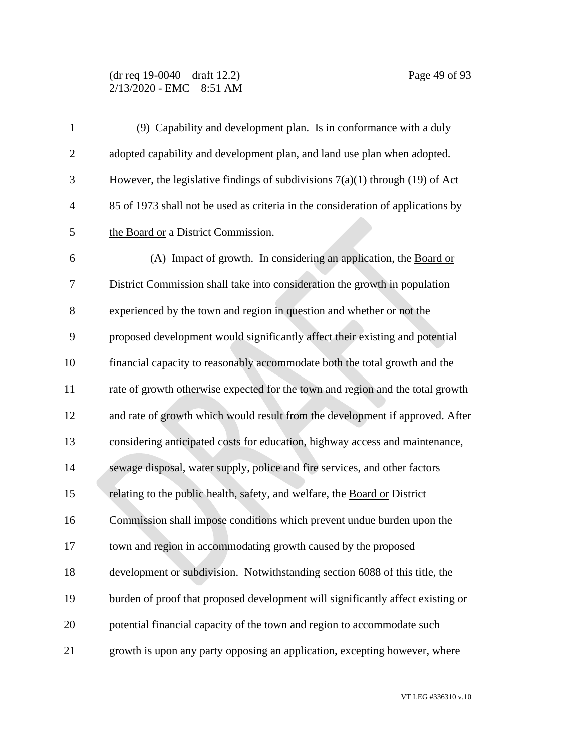#### (dr req 19-0040 – draft 12.2) Page 49 of 93 2/13/2020 - EMC – 8:51 AM

| $\mathbf{1}$   | (9) Capability and development plan. Is in conformance with a duly               |
|----------------|----------------------------------------------------------------------------------|
| $\overline{2}$ | adopted capability and development plan, and land use plan when adopted.         |
| 3              | However, the legislative findings of subdivisions $7(a)(1)$ through (19) of Act  |
| $\overline{4}$ | 85 of 1973 shall not be used as criteria in the consideration of applications by |
| 5              | the Board or a District Commission.                                              |
| 6              | (A) Impact of growth. In considering an application, the Board or                |
| 7              | District Commission shall take into consideration the growth in population       |
| 8              | experienced by the town and region in question and whether or not the            |
| 9              | proposed development would significantly affect their existing and potential     |
| 10             | financial capacity to reasonably accommodate both the total growth and the       |
| 11             | rate of growth otherwise expected for the town and region and the total growth   |
| 12             | and rate of growth which would result from the development if approved. After    |
| 13             | considering anticipated costs for education, highway access and maintenance,     |
| 14             | sewage disposal, water supply, police and fire services, and other factors       |
| 15             | relating to the public health, safety, and welfare, the Board or District        |
| 16             | Commission shall impose conditions which prevent undue burden upon the           |
| 17             | town and region in accommodating growth caused by the proposed                   |
| 18             | development or subdivision. Notwithstanding section 6088 of this title, the      |
| 19             | burden of proof that proposed development will significantly affect existing or  |
| 20             | potential financial capacity of the town and region to accommodate such          |
| 21             | growth is upon any party opposing an application, excepting however, where       |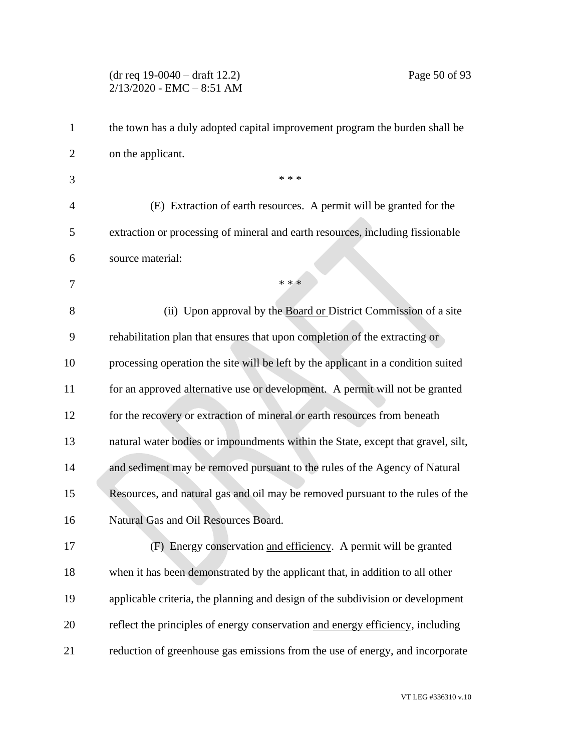# (dr req 19-0040 – draft 12.2) Page 50 of 93  $2/13/2020$  - EMC - 8:51 AM

| $\mathbf{1}$   | the town has a duly adopted capital improvement program the burden shall be       |
|----------------|-----------------------------------------------------------------------------------|
| $\overline{2}$ | on the applicant.                                                                 |
| 3              | * * *                                                                             |
| $\overline{4}$ | (E) Extraction of earth resources. A permit will be granted for the               |
| 5              | extraction or processing of mineral and earth resources, including fissionable    |
| 6              | source material:                                                                  |
| 7              | * * *                                                                             |
| 8              | (ii) Upon approval by the Board or District Commission of a site                  |
| 9              | rehabilitation plan that ensures that upon completion of the extracting or        |
| 10             | processing operation the site will be left by the applicant in a condition suited |
| 11             | for an approved alternative use or development. A permit will not be granted      |
| 12             | for the recovery or extraction of mineral or earth resources from beneath         |
| 13             | natural water bodies or impoundments within the State, except that gravel, silt,  |
| 14             | and sediment may be removed pursuant to the rules of the Agency of Natural        |
| 15             | Resources, and natural gas and oil may be removed pursuant to the rules of the    |
| 16             | Natural Gas and Oil Resources Board.                                              |
| 17             | (F) Energy conservation and efficiency. A permit will be granted                  |
| 18             | when it has been demonstrated by the applicant that, in addition to all other     |
| 19             | applicable criteria, the planning and design of the subdivision or development    |
| 20             | reflect the principles of energy conservation and energy efficiency, including    |
| 21             | reduction of greenhouse gas emissions from the use of energy, and incorporate     |

VT LEG #336310 v.10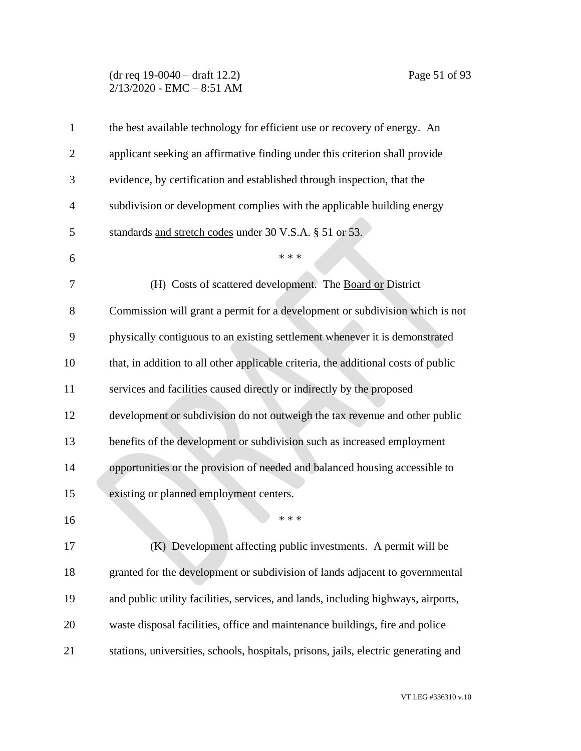## (dr req 19-0040 – draft 12.2) Page 51 of 93 2/13/2020 - EMC – 8:51 AM

| $\mathbf{1}$   | the best available technology for efficient use or recovery of energy. An           |
|----------------|-------------------------------------------------------------------------------------|
| $\overline{2}$ | applicant seeking an affirmative finding under this criterion shall provide         |
| 3              | evidence, by certification and established through inspection, that the             |
| $\overline{4}$ | subdivision or development complies with the applicable building energy             |
| 5              | standards and stretch codes under 30 V.S.A. § 51 or 53.                             |
| 6              | * * *                                                                               |
| 7              | (H) Costs of scattered development. The Board or District                           |
| 8              | Commission will grant a permit for a development or subdivision which is not        |
| 9              | physically contiguous to an existing settlement whenever it is demonstrated         |
| 10             | that, in addition to all other applicable criteria, the additional costs of public  |
| 11             | services and facilities caused directly or indirectly by the proposed               |
| 12             | development or subdivision do not outweigh the tax revenue and other public         |
| 13             | benefits of the development or subdivision such as increased employment             |
| 14             | opportunities or the provision of needed and balanced housing accessible to         |
| 15             | existing or planned employment centers.                                             |
| 16             | * * *                                                                               |
| 17             | (K) Development affecting public investments. A permit will be                      |
| 18             | granted for the development or subdivision of lands adjacent to governmental        |
| 19             | and public utility facilities, services, and lands, including highways, airports,   |
| 20             | waste disposal facilities, office and maintenance buildings, fire and police        |
| 21             | stations, universities, schools, hospitals, prisons, jails, electric generating and |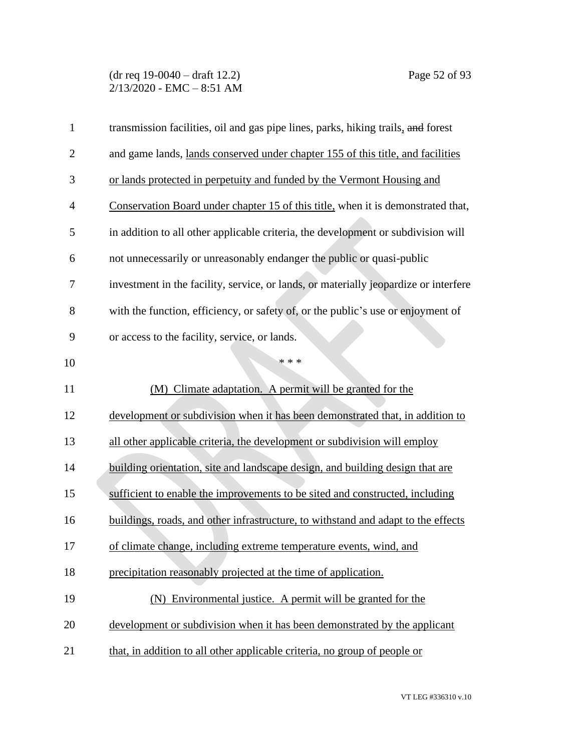(dr req 19-0040 – draft 12.2) Page 52 of 93  $2/13/2020$  - EMC - 8:51 AM

| $\mathbf{1}$   | transmission facilities, oil and gas pipe lines, parks, hiking trails, and forest    |
|----------------|--------------------------------------------------------------------------------------|
| $\overline{2}$ | and game lands, lands conserved under chapter 155 of this title, and facilities      |
| 3              | or lands protected in perpetuity and funded by the Vermont Housing and               |
| 4              | Conservation Board under chapter 15 of this title, when it is demonstrated that,     |
| 5              | in addition to all other applicable criteria, the development or subdivision will    |
| 6              | not unnecessarily or unreasonably endanger the public or quasi-public                |
| 7              | investment in the facility, service, or lands, or materially jeopardize or interfere |
| 8              | with the function, efficiency, or safety of, or the public's use or enjoyment of     |
| 9              | or access to the facility, service, or lands.                                        |
| 10             | * * *                                                                                |
| 11             | (M) Climate adaptation. A permit will be granted for the                             |
| 12             | development or subdivision when it has been demonstrated that, in addition to        |
| 13             | all other applicable criteria, the development or subdivision will employ            |
| 14             | building orientation, site and landscape design, and building design that are        |
| 15             | sufficient to enable the improvements to be sited and constructed, including         |
| 16             | buildings, roads, and other infrastructure, to withstand and adapt to the effects    |
| 17             | of climate change, including extreme temperature events, wind, and                   |
| 18             | precipitation reasonably projected at the time of application.                       |
| 19             | (N) Environmental justice. A permit will be granted for the                          |
| 20             | development or subdivision when it has been demonstrated by the applicant            |
| 21             | that, in addition to all other applicable criteria, no group of people or            |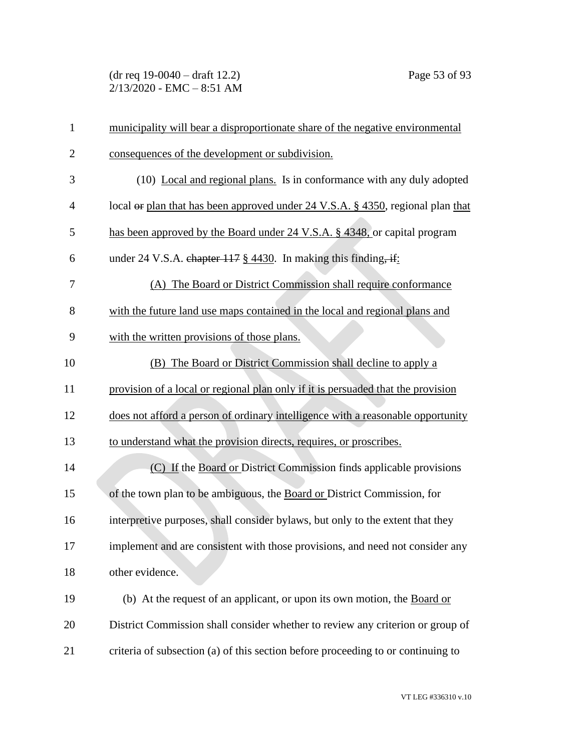(dr req 19-0040 – draft 12.2) Page 53 of 93  $2/13/2020$  - EMC - 8:51 AM

| 1              | municipality will bear a disproportionate share of the negative environmental    |
|----------------|----------------------------------------------------------------------------------|
| $\overline{2}$ | consequences of the development or subdivision.                                  |
| 3              | (10) Local and regional plans. Is in conformance with any duly adopted           |
| $\overline{4}$ | local or plan that has been approved under 24 V.S.A. § 4350, regional plan that  |
| 5              | has been approved by the Board under 24 V.S.A. § 4348, or capital program        |
| 6              | under 24 V.S.A. chapter $117 \frac{8}{9}$ 4430. In making this finding, if:      |
| 7              | (A) The Board or District Commission shall require conformance                   |
| 8              | with the future land use maps contained in the local and regional plans and      |
| 9              | with the written provisions of those plans.                                      |
| 10             | (B) The Board or District Commission shall decline to apply a                    |
| 11             | provision of a local or regional plan only if it is persuaded that the provision |
| 12             | does not afford a person of ordinary intelligence with a reasonable opportunity  |
| 13             | to understand what the provision directs, requires, or proscribes.               |
| 14             | (C) If the Board or District Commission finds applicable provisions              |
| 15             | of the town plan to be ambiguous, the Board or District Commission, for          |
| 16             | interpretive purposes, shall consider bylaws, but only to the extent that they   |
| 17             | implement and are consistent with those provisions, and need not consider any    |
| 18             | other evidence.                                                                  |
| 19             | (b) At the request of an applicant, or upon its own motion, the Board or         |
| 20             | District Commission shall consider whether to review any criterion or group of   |
| 21             | criteria of subsection (a) of this section before proceeding to or continuing to |

VT LEG #336310 v.10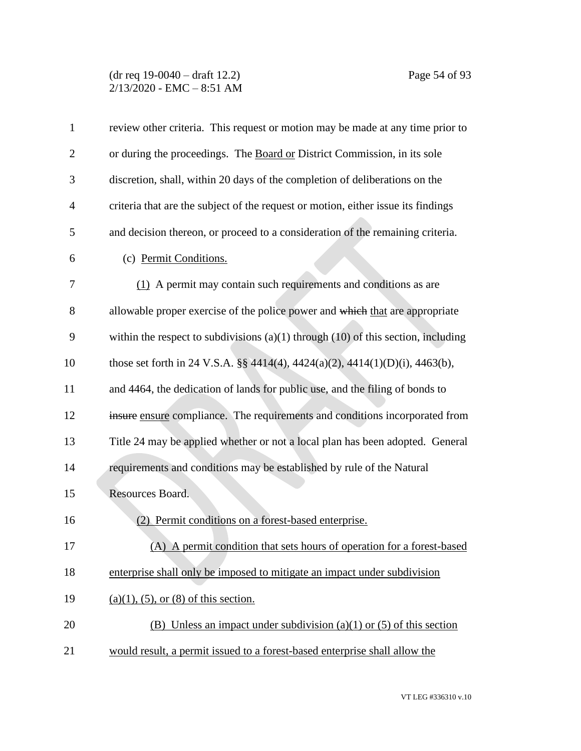## (dr req 19-0040 – draft 12.2) Page 54 of 93 2/13/2020 - EMC – 8:51 AM

| $\mathbf{1}$   | review other criteria. This request or motion may be made at any time prior to        |
|----------------|---------------------------------------------------------------------------------------|
| $\overline{2}$ | or during the proceedings. The Board or District Commission, in its sole              |
| 3              | discretion, shall, within 20 days of the completion of deliberations on the           |
| $\overline{4}$ | criteria that are the subject of the request or motion, either issue its findings     |
| 5              | and decision thereon, or proceed to a consideration of the remaining criteria.        |
| 6              | (c) Permit Conditions.                                                                |
| 7              | (1) A permit may contain such requirements and conditions as are                      |
| 8              | allowable proper exercise of the police power and which that are appropriate          |
| 9              | within the respect to subdivisions $(a)(1)$ through $(10)$ of this section, including |
| 10             | those set forth in 24 V.S.A. §§ 4414(4), 4424(a)(2), 4414(1)(D)(i), 4463(b),          |
| 11             | and 4464, the dedication of lands for public use, and the filing of bonds to          |
| 12             | insure ensure compliance. The requirements and conditions incorporated from           |
| 13             | Title 24 may be applied whether or not a local plan has been adopted. General         |
| 14             | requirements and conditions may be established by rule of the Natural                 |
| 15             | Resources Board.                                                                      |
| 16             | Permit conditions on a forest-based enterprise.<br>(2)                                |
| 17             | (A) A permit condition that sets hours of operation for a forest-based                |
| 18             | enterprise shall only be imposed to mitigate an impact under subdivision              |
| 19             | $(a)(1)$ , (5), or (8) of this section.                                               |
| 20             | (B) Unless an impact under subdivision (a)(1) or (5) of this section                  |
| 21             | would result, a permit issued to a forest-based enterprise shall allow the            |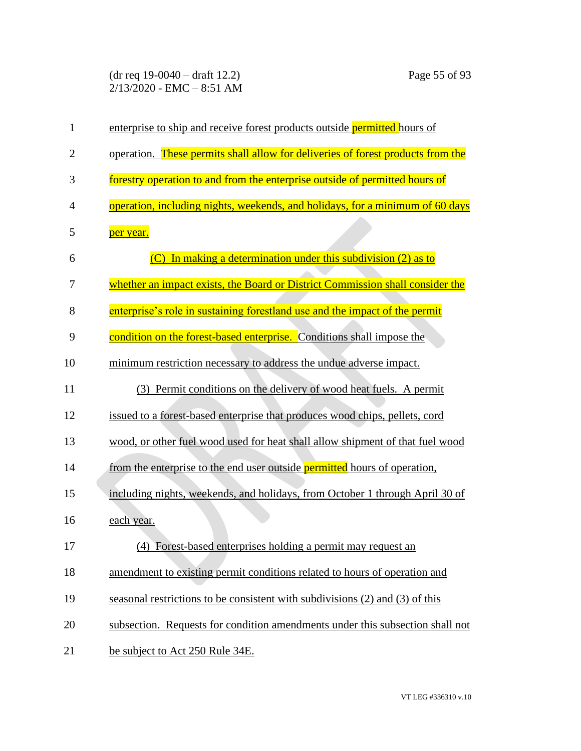(dr req 19-0040 – draft 12.2) Page 55 of 93 2/13/2020 - EMC – 8:51 AM

| $\mathbf{1}$   | enterprise to ship and receive forest products outside permitted hours of       |
|----------------|---------------------------------------------------------------------------------|
| $\overline{2}$ | operation. These permits shall allow for deliveries of forest products from the |
| 3              | forestry operation to and from the enterprise outside of permitted hours of     |
| 4              | operation, including nights, weekends, and holidays, for a minimum of 60 days   |
| 5              | per year.                                                                       |
| 6              | In making a determination under this subdivision (2) as to                      |
| 7              | whether an impact exists, the Board or District Commission shall consider the   |
| 8              | enterprise's role in sustaining forestland use and the impact of the permit     |
| 9              | condition on the forest-based enterprise. Conditions shall impose the           |
| 10             | minimum restriction necessary to address the undue adverse impact.              |
| 11             | (3) Permit conditions on the delivery of wood heat fuels. A permit              |
| 12             | issued to a forest-based enterprise that produces wood chips, pellets, cord     |
| 13             | wood, or other fuel wood used for heat shall allow shipment of that fuel wood   |
| 14             | from the enterprise to the end user outside permitted hours of operation,       |
| 15             | including nights, weekends, and holidays, from October 1 through April 30 of    |
| 16             | each year.                                                                      |
| 17             | (4) Forest-based enterprises holding a permit may request an                    |
| 18             | amendment to existing permit conditions related to hours of operation and       |
| 19             | seasonal restrictions to be consistent with subdivisions (2) and (3) of this    |
| 20             | subsection. Requests for condition amendments under this subsection shall not   |
| 21             | be subject to Act 250 Rule 34E.                                                 |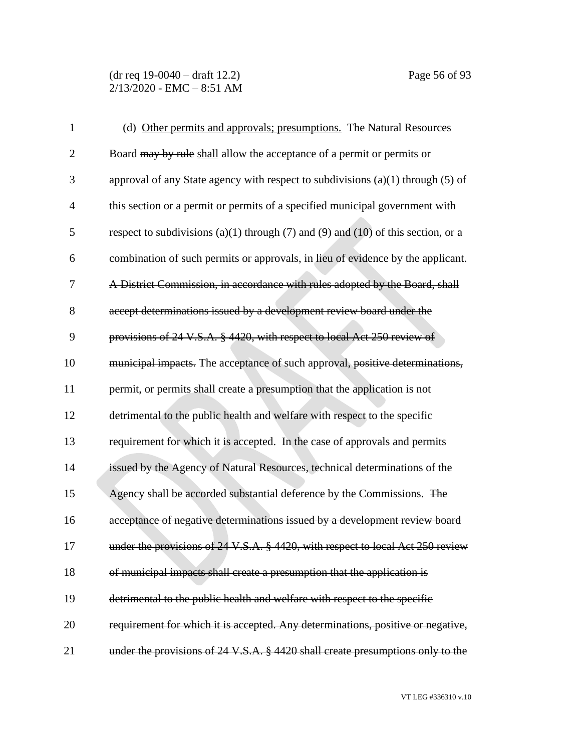(dr req 19-0040 – draft 12.2) Page 56 of 93  $2/13/2020$  - EMC - 8:51 AM

| $\mathbf{1}$   | (d) Other permits and approvals; presumptions. The Natural Resources                |
|----------------|-------------------------------------------------------------------------------------|
| $\overline{2}$ | Board may by rule shall allow the acceptance of a permit or permits or              |
| 3              | approval of any State agency with respect to subdivisions $(a)(1)$ through $(5)$ of |
| $\overline{4}$ | this section or a permit or permits of a specified municipal government with        |
| 5              | respect to subdivisions (a)(1) through (7) and (9) and (10) of this section, or a   |
| 6              | combination of such permits or approvals, in lieu of evidence by the applicant.     |
| 7              | A District Commission, in accordance with rules adopted by the Board, shall         |
| 8              | accept determinations issued by a development review board under the                |
| 9              | provisions of 24 V.S.A. § 4420, with respect to local Act 250 review of             |
| 10             | municipal impacts. The acceptance of such approval, positive determinations,        |
| 11             | permit, or permits shall create a presumption that the application is not           |
| 12             | detrimental to the public health and welfare with respect to the specific           |
| 13             | requirement for which it is accepted. In the case of approvals and permits          |
| 14             | issued by the Agency of Natural Resources, technical determinations of the          |
| 15             | Agency shall be accorded substantial deference by the Commissions. The              |
| 16             | acceptance of negative determinations issued by a development review board          |
| 17             | under the provisions of 24 V.S.A. § 4420, with respect to local Act 250 review      |
| 18             | of municipal impacts shall create a presumption that the application is             |
| 19             | detrimental to the public health and welfare with respect to the specific           |
| 20             | requirement for which it is accepted. Any determinations, positive or negative,     |
| 21             | under the provisions of 24 V.S.A. § 4420 shall create presumptions only to the      |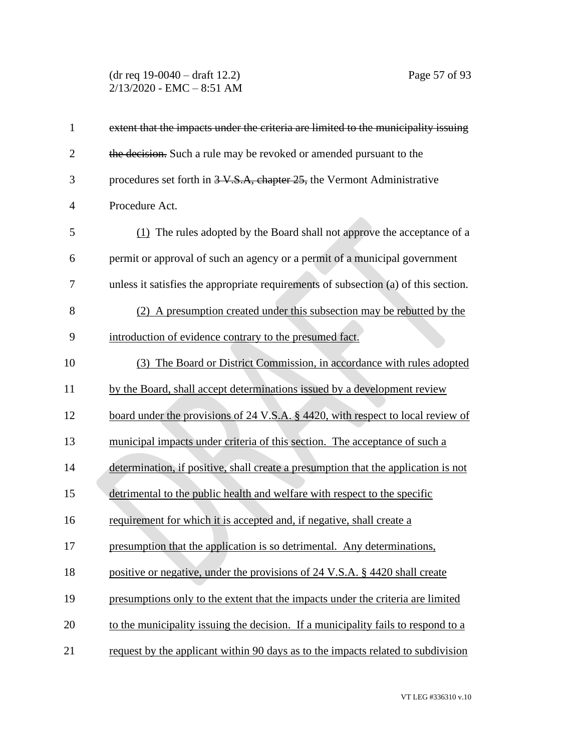(dr req 19-0040 – draft 12.2) Page 57 of 93  $2/13/2020$  - EMC - 8:51 AM

| $\mathbf{1}$   | extent that the impacts under the criteria are limited to the municipality issuing  |
|----------------|-------------------------------------------------------------------------------------|
| $\overline{2}$ | the decision. Such a rule may be revoked or amended pursuant to the                 |
| 3              | procedures set forth in 3 V.S.A, chapter 25, the Vermont Administrative             |
| $\overline{4}$ | Procedure Act.                                                                      |
| 5              | (1) The rules adopted by the Board shall not approve the acceptance of a            |
| 6              | permit or approval of such an agency or a permit of a municipal government          |
| 7              | unless it satisfies the appropriate requirements of subsection (a) of this section. |
| 8              | (2) A presumption created under this subsection may be rebutted by the              |
| 9              | introduction of evidence contrary to the presumed fact.                             |
| 10             | (3) The Board or District Commission, in accordance with rules adopted              |
| 11             | by the Board, shall accept determinations issued by a development review            |
| 12             | board under the provisions of 24 V.S.A. § 4420, with respect to local review of     |
| 13             | municipal impacts under criteria of this section. The acceptance of such a          |
| 14             | determination, if positive, shall create a presumption that the application is not  |
| 15             | detrimental to the public health and welfare with respect to the specific           |
| 16             | requirement for which it is accepted and, if negative, shall create a               |
| 17             | presumption that the application is so detrimental. Any determinations,             |
| 18             | positive or negative, under the provisions of 24 V.S.A. § 4420 shall create         |
| 19             | presumptions only to the extent that the impacts under the criteria are limited     |
| 20             | to the municipality issuing the decision. If a municipality fails to respond to a   |
| 21             | request by the applicant within 90 days as to the impacts related to subdivision    |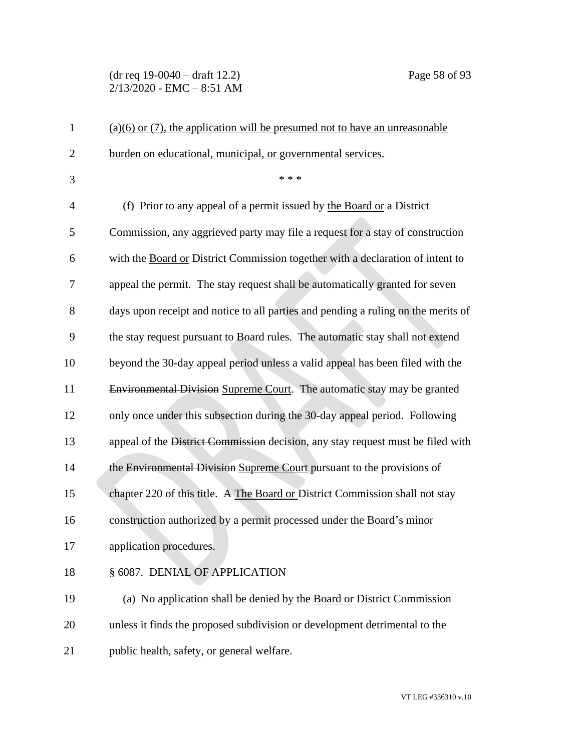# (dr req 19-0040 – draft 12.2) Page 58 of 93  $2/13/2020$  - EMC - 8:51 AM

| $\mathbf{1}$   | $(a)(6)$ or (7), the application will be presumed not to have an unreasonable     |
|----------------|-----------------------------------------------------------------------------------|
| $\overline{2}$ | burden on educational, municipal, or governmental services.                       |
| 3              | * * *                                                                             |
| 4              | (f) Prior to any appeal of a permit issued by the Board or a District             |
| 5              | Commission, any aggrieved party may file a request for a stay of construction     |
| 6              | with the Board or District Commission together with a declaration of intent to    |
| 7              | appeal the permit. The stay request shall be automatically granted for seven      |
| 8              | days upon receipt and notice to all parties and pending a ruling on the merits of |
| 9              | the stay request pursuant to Board rules. The automatic stay shall not extend     |
| 10             | beyond the 30-day appeal period unless a valid appeal has been filed with the     |
| 11             | Environmental Division Supreme Court. The automatic stay may be granted           |
| 12             | only once under this subsection during the 30-day appeal period. Following        |
| 13             | appeal of the District Commission decision, any stay request must be filed with   |
| 14             | the Environmental Division Supreme Court pursuant to the provisions of            |
| 15             | chapter 220 of this title. A The Board or District Commission shall not stay      |
| 16             | construction authorized by a permit processed under the Board's minor             |
| 17             | application procedures.                                                           |
| 18             | § 6087. DENIAL OF APPLICATION                                                     |
| 19             | (a) No application shall be denied by the Board or District Commission            |
| 20             | unless it finds the proposed subdivision or development detrimental to the        |
| 21             | public health, safety, or general welfare.                                        |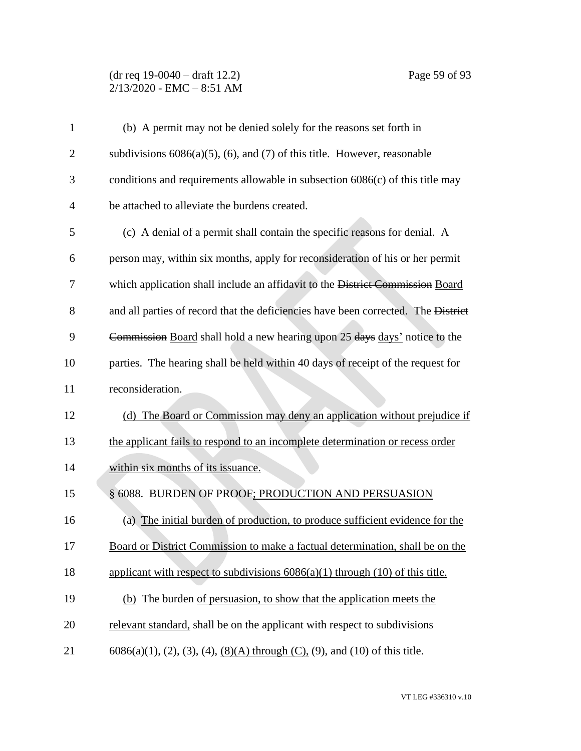# (dr req 19-0040 – draft 12.2) Page 59 of 93  $2/13/2020$  - EMC - 8:51 AM

| $\mathbf{1}$   | (b) A permit may not be denied solely for the reasons set forth in                    |
|----------------|---------------------------------------------------------------------------------------|
| $\overline{2}$ | subdivisions $6086(a)(5)$ , (6), and (7) of this title. However, reasonable           |
| 3              | conditions and requirements allowable in subsection $6086(c)$ of this title may       |
| $\overline{4}$ | be attached to alleviate the burdens created.                                         |
| 5              | (c) A denial of a permit shall contain the specific reasons for denial. A             |
| 6              | person may, within six months, apply for reconsideration of his or her permit         |
| 7              | which application shall include an affidavit to the District Commission Board         |
| 8              | and all parties of record that the deficiencies have been corrected. The District     |
| 9              | Commission Board shall hold a new hearing upon 25 days days' notice to the            |
| 10             | parties. The hearing shall be held within 40 days of receipt of the request for       |
| 11             | reconsideration.                                                                      |
| 12             | (d) The Board or Commission may deny an application without prejudice if              |
| 13             | the applicant fails to respond to an incomplete determination or recess order         |
| 14             | within six months of its issuance.                                                    |
| 15             | § 6088. BURDEN OF PROOF; PRODUCTION AND PERSUASION                                    |
| 16             | (a) The initial burden of production, to produce sufficient evidence for the          |
| 17             | Board or District Commission to make a factual determination, shall be on the         |
| 18             | applicant with respect to subdivisions $6086(a)(1)$ through $(10)$ of this title.     |
| 19             | (b) The burden of persuasion, to show that the application meets the                  |
| 20             | relevant standard, shall be on the applicant with respect to subdivisions             |
| 21             | $6086(a)(1)$ , (2), (3), (4), <u>(8)(A)</u> through (C), (9), and (10) of this title. |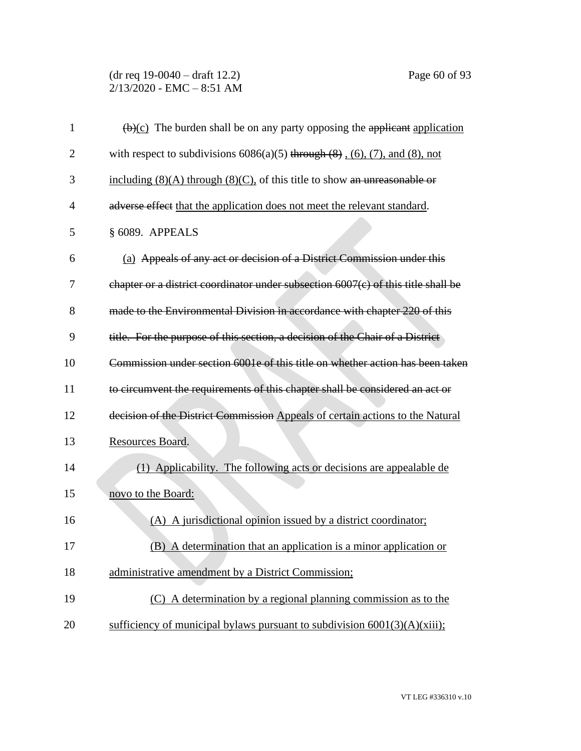# (dr req 19-0040 – draft 12.2) Page 60 of 93  $2/13/2020$  - EMC - 8:51 AM

| $\mathbf{1}$   | $\left(\frac{b}{c}\right)$ The burden shall be on any party opposing the applicant application |
|----------------|------------------------------------------------------------------------------------------------|
| $\overline{2}$ | with respect to subdivisions $6086(a)(5)$ through $(8)$ , $(6)$ , $(7)$ , and $(8)$ , not      |
| 3              | including $(8)(A)$ through $(8)(C)$ , of this title to show an unreasonable or                 |
| $\overline{4}$ | adverse effect that the application does not meet the relevant standard.                       |
| 5              | § 6089. APPEALS                                                                                |
| 6              | (a) Appeals of any act or decision of a District Commission under this                         |
| 7              | chapter or a district coordinator under subsection 6007(c) of this title shall be              |
| 8              | made to the Environmental Division in accordance with chapter 220 of this                      |
| 9              | title. For the purpose of this section, a decision of the Chair of a District                  |
| 10             | Commission under section 6001e of this title on whether action has been taken                  |
| 11             | to circumvent the requirements of this chapter shall be considered an act or                   |
| 12             | decision of the District Commission Appeals of certain actions to the Natural                  |
| 13             | Resources Board.                                                                               |
| 14             | (1) Applicability. The following acts or decisions are appealable de                           |
| 15             | novo to the Board:                                                                             |
| 16             | (A) A jurisdictional opinion issued by a district coordinator;                                 |
| 17             | (B) A determination that an application is a minor application or                              |
| 18             | administrative amendment by a District Commission;                                             |
| 19             | (C) A determination by a regional planning commission as to the                                |
| 20             | sufficiency of municipal bylaws pursuant to subdivision $6001(3)(A)(xiii)$ ;                   |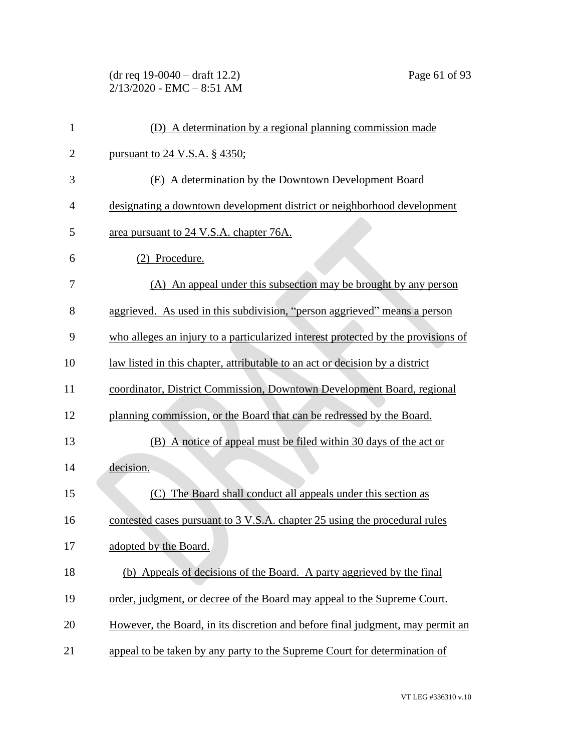(dr req 19-0040 – draft 12.2) Page 61 of 93 2/13/2020 - EMC – 8:51 AM

| $\mathbf{1}$   | (D) A determination by a regional planning commission made                        |
|----------------|-----------------------------------------------------------------------------------|
| $\overline{2}$ | <u>pursuant to 24 V.S.A. § 4350;</u>                                              |
| 3              | (E) A determination by the Downtown Development Board                             |
| $\overline{4}$ | designating a downtown development district or neighborhood development           |
| 5              | area pursuant to 24 V.S.A. chapter 76A.                                           |
| 6              | (2) Procedure.                                                                    |
| 7              | (A) An appeal under this subsection may be brought by any person                  |
| 8              | aggrieved. As used in this subdivision, "person aggrieved" means a person         |
| 9              | who alleges an injury to a particularized interest protected by the provisions of |
| 10             | law listed in this chapter, attributable to an act or decision by a district      |
| 11             | coordinator, District Commission, Downtown Development Board, regional            |
| 12             | planning commission, or the Board that can be redressed by the Board.             |
| 13             | (B) A notice of appeal must be filed within 30 days of the act or                 |
| 14             | decision.                                                                         |
| 15             | (C) The Board shall conduct all appeals under this section as                     |
| 16             | contested cases pursuant to 3 V.S.A. chapter 25 using the procedural rules        |
| 17             | adopted by the Board.                                                             |
| 18             | (b) Appeals of decisions of the Board. A party aggrieved by the final             |
| 19             | order, judgment, or decree of the Board may appeal to the Supreme Court.          |
| 20             | However, the Board, in its discretion and before final judgment, may permit an    |
| 21             | appeal to be taken by any party to the Supreme Court for determination of         |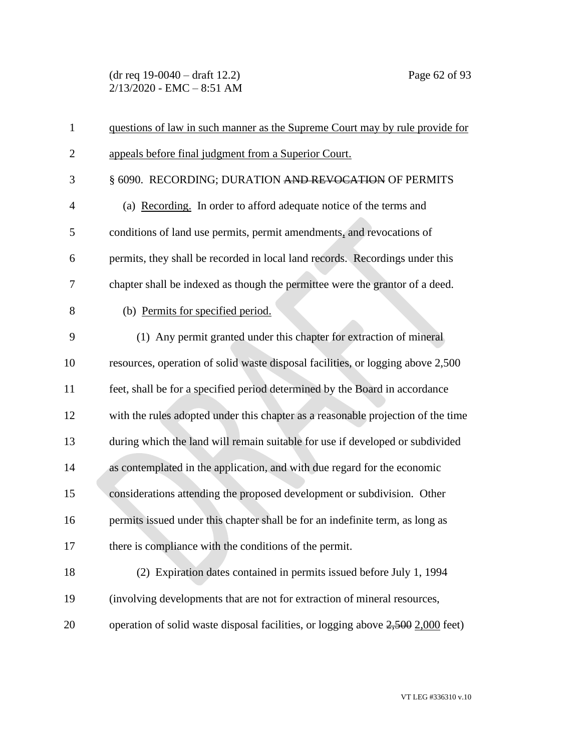(dr req 19-0040 – draft 12.2) Page 62 of 93  $2/13/2020$  - EMC - 8:51 AM

| $\mathbf{1}$   | questions of law in such manner as the Supreme Court may by rule provide for       |
|----------------|------------------------------------------------------------------------------------|
| $\overline{2}$ | appeals before final judgment from a Superior Court.                               |
| 3              | § 6090. RECORDING; DURATION AND REVOCATION OF PERMITS                              |
| $\overline{4}$ | (a) Recording. In order to afford adequate notice of the terms and                 |
| 5              | conditions of land use permits, permit amendments, and revocations of              |
| 6              | permits, they shall be recorded in local land records. Recordings under this       |
| 7              | chapter shall be indexed as though the permittee were the grantor of a deed.       |
| 8              | (b) Permits for specified period.                                                  |
| 9              | (1) Any permit granted under this chapter for extraction of mineral                |
| 10             | resources, operation of solid waste disposal facilities, or logging above 2,500    |
| 11             | feet, shall be for a specified period determined by the Board in accordance        |
| 12             | with the rules adopted under this chapter as a reasonable projection of the time   |
| 13             | during which the land will remain suitable for use if developed or subdivided      |
| 14             | as contemplated in the application, and with due regard for the economic           |
| 15             | considerations attending the proposed development or subdivision. Other            |
| 16             | permits issued under this chapter shall be for an indefinite term, as long as      |
| 17             | there is compliance with the conditions of the permit.                             |
| 18             | (2) Expiration dates contained in permits issued before July 1, 1994               |
| 19             | (involving developments that are not for extraction of mineral resources,          |
| 20             | operation of solid waste disposal facilities, or logging above $2,500$ 2,000 feet) |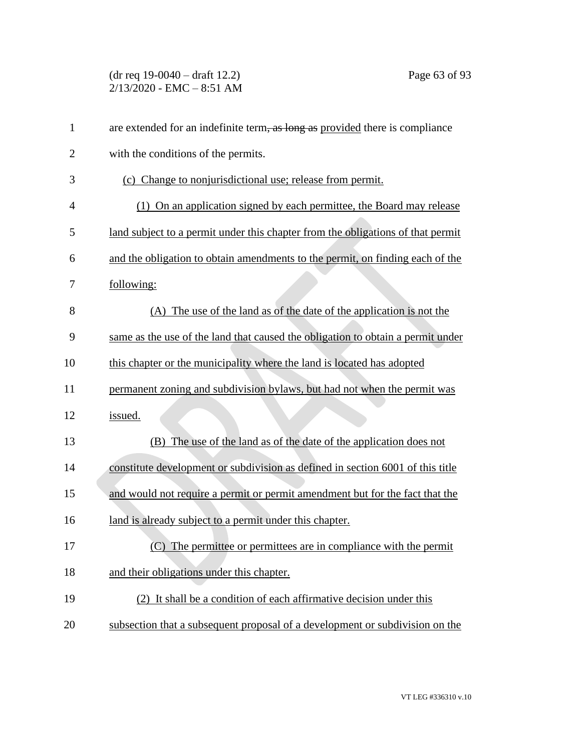(dr req 19-0040 – draft 12.2) Page 63 of 93 2/13/2020 - EMC – 8:51 AM

| $\mathbf{1}$   | are extended for an indefinite term, as long as provided there is compliance    |
|----------------|---------------------------------------------------------------------------------|
| $\overline{2}$ | with the conditions of the permits.                                             |
| 3              | (c) Change to nonjurisdictional use; release from permit.                       |
| $\overline{4}$ | (1) On an application signed by each permittee, the Board may release           |
| 5              | land subject to a permit under this chapter from the obligations of that permit |
| 6              | and the obligation to obtain amendments to the permit, on finding each of the   |
| 7              | following:                                                                      |
| 8              | (A) The use of the land as of the date of the application is not the            |
| 9              | same as the use of the land that caused the obligation to obtain a permit under |
| 10             | this chapter or the municipality where the land is located has adopted          |
| 11             | permanent zoning and subdivision bylaws, but had not when the permit was        |
| 12             | issued.                                                                         |
| 13             | The use of the land as of the date of the application does not<br>(B)           |
| 14             | constitute development or subdivision as defined in section 6001 of this title  |
| 15             | and would not require a permit or permit amendment but for the fact that the    |
| 16             | land is already subject to a permit under this chapter.                         |
| 17             | (C) The permittee or permittees are in compliance with the permit               |
| 18             | and their obligations under this chapter.                                       |
| 19             | (2) It shall be a condition of each affirmative decision under this             |
| 20             | subsection that a subsequent proposal of a development or subdivision on the    |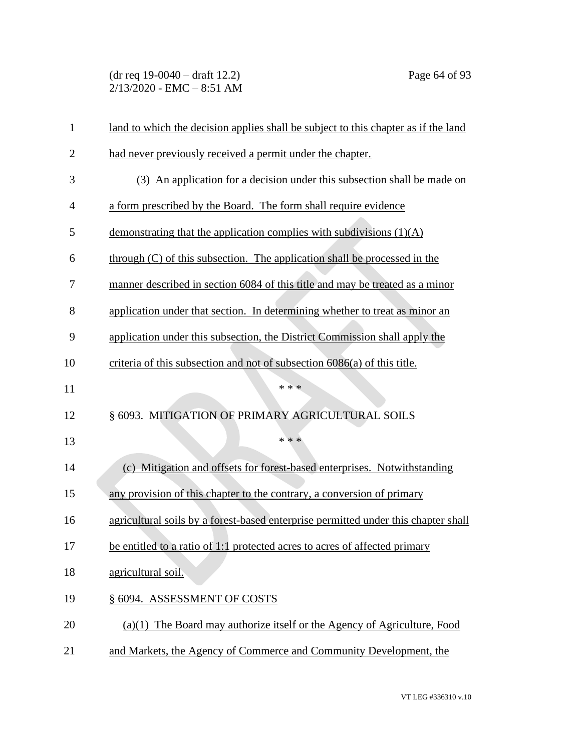(dr req 19-0040 – draft 12.2) Page 64 of 93 2/13/2020 - EMC – 8:51 AM

|                | land to which the decision applies shall be subject to this chapter as if the land |
|----------------|------------------------------------------------------------------------------------|
| $\overline{c}$ | had never previously received a permit under the chapter.                          |
| 3              | (3) An application for a decision under this subsection shall be made on           |
| $\overline{4}$ | a form prescribed by the Board. The form shall require evidence                    |
| 5              | demonstrating that the application complies with subdivisions $(1)(A)$             |
| 6              | $through (C)$ of this subsection. The application shall be processed in the        |
| 7              | manner described in section 6084 of this title and may be treated as a minor       |
| 8              | application under that section. In determining whether to treat as minor an        |
| 9              | application under this subsection, the District Commission shall apply the         |
| 10             | criteria of this subsection and not of subsection 6086(a) of this title.           |
| 11             | * * *                                                                              |
| 12             | § 6093. MITIGATION OF PRIMARY AGRICULTURAL SOILS                                   |
| 13             | * * *                                                                              |
|                |                                                                                    |
| 14             | (c) Mitigation and offsets for forest-based enterprises. Notwithstanding           |
| 15             | any provision of this chapter to the contrary, a conversion of primary             |
| 16             | agricultural soils by a forest-based enterprise permitted under this chapter shall |
| 17             | be entitled to a ratio of 1:1 protected acres to acres of affected primary         |
| 18             | agricultural soil.                                                                 |
| 19             | § 6094. ASSESSMENT OF COSTS                                                        |
| 20             | $(a)(1)$ The Board may authorize itself or the Agency of Agriculture, Food         |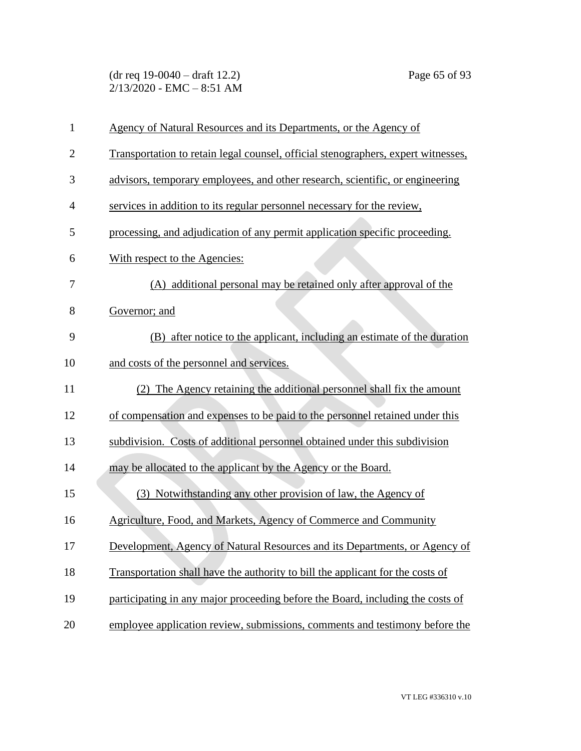(dr req 19-0040 – draft 12.2) Page 65 of 93 2/13/2020 - EMC – 8:51 AM

| $\mathbf{1}$   | Agency of Natural Resources and its Departments, or the Agency of                 |
|----------------|-----------------------------------------------------------------------------------|
| $\overline{2}$ | Transportation to retain legal counsel, official stenographers, expert witnesses, |
| 3              | advisors, temporary employees, and other research, scientific, or engineering     |
| 4              | services in addition to its regular personnel necessary for the review.           |
| 5              | processing, and adjudication of any permit application specific proceeding.       |
| 6              | With respect to the Agencies:                                                     |
| 7              | (A) additional personal may be retained only after approval of the                |
| 8              | Governor; and                                                                     |
| 9              | (B) after notice to the applicant, including an estimate of the duration          |
| 10             | and costs of the personnel and services.                                          |
| 11             | (2) The Agency retaining the additional personnel shall fix the amount            |
| 12             | of compensation and expenses to be paid to the personnel retained under this      |
| 13             | subdivision. Costs of additional personnel obtained under this subdivision        |
| 14             | may be allocated to the applicant by the Agency or the Board.                     |
| 15             | (3) Notwithstanding any other provision of law, the Agency of                     |
| 16             | Agriculture, Food, and Markets, Agency of Commerce and Community                  |
| 17             | Development, Agency of Natural Resources and its Departments, or Agency of        |
| 18             | Transportation shall have the authority to bill the applicant for the costs of    |
| 19             | participating in any major proceeding before the Board, including the costs of    |
| 20             | employee application review, submissions, comments and testimony before the       |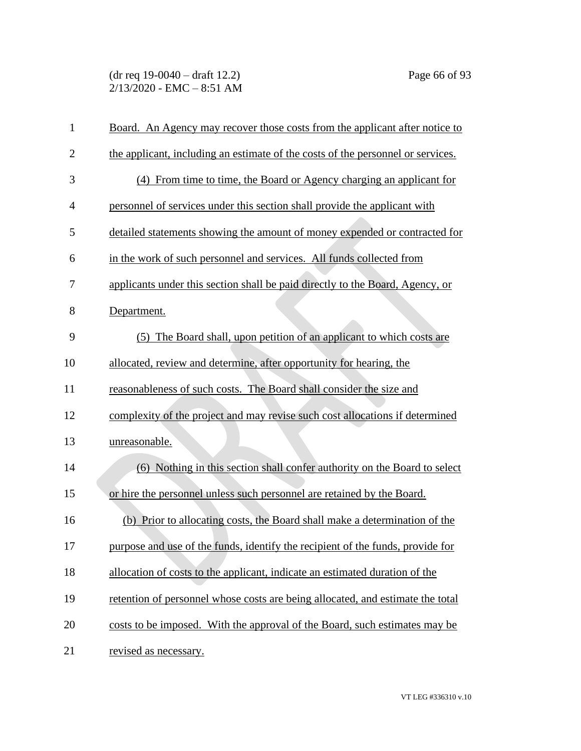(dr req 19-0040 – draft 12.2) Page 66 of 93  $2/13/2020$  - EMC - 8:51 AM

| $\mathbf{1}$   | Board. An Agency may recover those costs from the applicant after notice to     |
|----------------|---------------------------------------------------------------------------------|
| $\overline{2}$ | the applicant, including an estimate of the costs of the personnel or services. |
| 3              | (4) From time to time, the Board or Agency charging an applicant for            |
| $\overline{4}$ | personnel of services under this section shall provide the applicant with       |
| 5              | detailed statements showing the amount of money expended or contracted for      |
| 6              | in the work of such personnel and services. All funds collected from            |
| 7              | applicants under this section shall be paid directly to the Board, Agency, or   |
| 8              | Department.                                                                     |
| 9              | (5) The Board shall, upon petition of an applicant to which costs are           |
| 10             | allocated, review and determine, after opportunity for hearing, the             |
| 11             | reasonableness of such costs. The Board shall consider the size and             |
| 12             | complexity of the project and may revise such cost allocations if determined    |
| 13             | unreasonable.                                                                   |
| 14             | (6) Nothing in this section shall confer authority on the Board to select       |
| 15             | or hire the personnel unless such personnel are retained by the Board.          |
| 16             | (b) Prior to allocating costs, the Board shall make a determination of the      |
| 17             | purpose and use of the funds, identify the recipient of the funds, provide for  |
| 18             | allocation of costs to the applicant, indicate an estimated duration of the     |
| 19             | retention of personnel whose costs are being allocated, and estimate the total  |
| 20             | costs to be imposed. With the approval of the Board, such estimates may be      |
| 21             | revised as necessary.                                                           |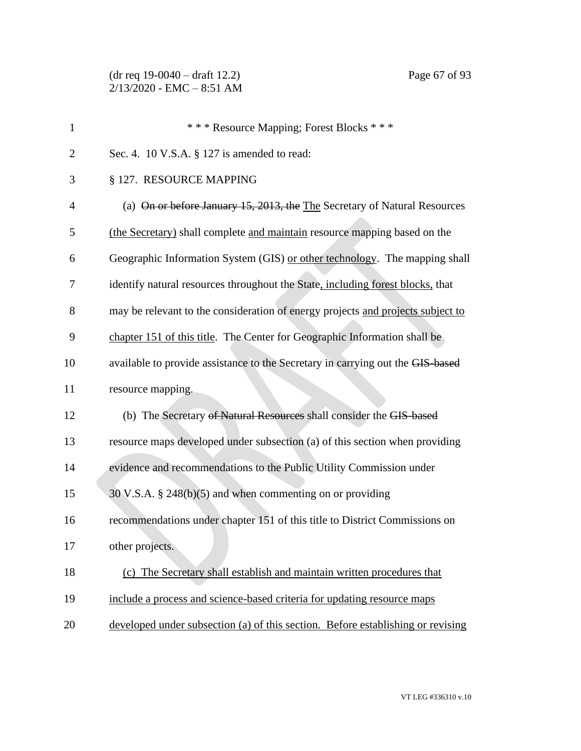| $\mathbf{1}$   | *** Resource Mapping; Forest Blocks ***                                         |
|----------------|---------------------------------------------------------------------------------|
| $\overline{2}$ | Sec. 4. 10 V.S.A. § 127 is amended to read:                                     |
| 3              | § 127. RESOURCE MAPPING                                                         |
| $\overline{4}$ | (a) On or before January 15, 2013, the The Secretary of Natural Resources       |
| 5              | (the Secretary) shall complete and maintain resource mapping based on the       |
| 6              | Geographic Information System (GIS) or other technology. The mapping shall      |
| 7              | identify natural resources throughout the State, including forest blocks, that  |
| 8              | may be relevant to the consideration of energy projects and projects subject to |
| 9              | chapter 151 of this title. The Center for Geographic Information shall be       |
| 10             | available to provide assistance to the Secretary in carrying out the GIS-based  |
| 11             | resource mapping.                                                               |
| 12             | (b) The Secretary of Natural Resources shall consider the GIS-based             |
| 13             | resource maps developed under subsection (a) of this section when providing     |
| 14             | evidence and recommendations to the Public Utility Commission under             |
| 15             | $30$ V.S.A. § 248(b)(5) and when commenting on or providing                     |
| 16             | recommendations under chapter 151 of this title to District Commissions on      |
| 17             | other projects.                                                                 |
| 18             | (c) The Secretary shall establish and maintain written procedures that          |
| 19             | include a process and science-based criteria for updating resource maps         |
| 20             | developed under subsection (a) of this section. Before establishing or revising |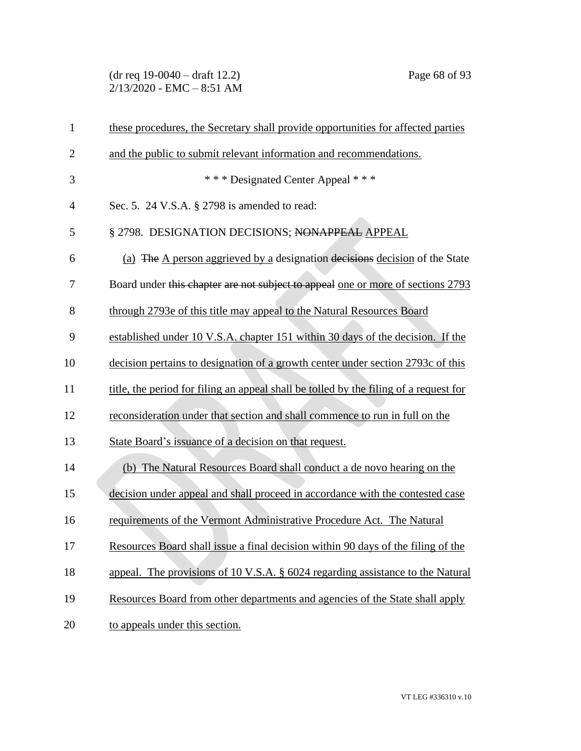(dr req 19-0040 – draft 12.2) Page 68 of 93 2/13/2020 - EMC – 8:51 AM

| $\mathbf{1}$   | these procedures, the Secretary shall provide opportunities for affected parties      |
|----------------|---------------------------------------------------------------------------------------|
| $\overline{2}$ | and the public to submit relevant information and recommendations.                    |
| 3              | *** Designated Center Appeal ***                                                      |
| $\overline{4}$ | Sec. 5. 24 V.S.A. § 2798 is amended to read:                                          |
| 5              | § 2798. DESIGNATION DECISIONS; NONAPPEAL APPEAL                                       |
| 6              | (a) The A person aggrieved by a designation decisions decision of the State           |
| 7              | Board under this chapter are not subject to appeal one or more of sections 2793       |
| 8              | through 2793e of this title may appeal to the Natural Resources Board                 |
| 9              | established under 10 V.S.A. chapter 151 within 30 days of the decision. If the        |
| 10             | decision pertains to designation of a growth center under section 2793c of this       |
| 11             | title, the period for filing an appeal shall be tolled by the filing of a request for |
| 12             | reconsideration under that section and shall commence to run in full on the           |
| 13             | State Board's issuance of a decision on that request.                                 |
| 14             | (b) The Natural Resources Board shall conduct a de novo hearing on the                |
| 15             | decision under appeal and shall proceed in accordance with the contested case         |
| 16             | requirements of the Vermont Administrative Procedure Act. The Natural                 |
| 17             | Resources Board shall issue a final decision within 90 days of the filing of the      |
| 18             | appeal. The provisions of 10 V.S.A. § 6024 regarding assistance to the Natural        |
| 19             | Resources Board from other departments and agencies of the State shall apply          |
| 20             | to appeals under this section.                                                        |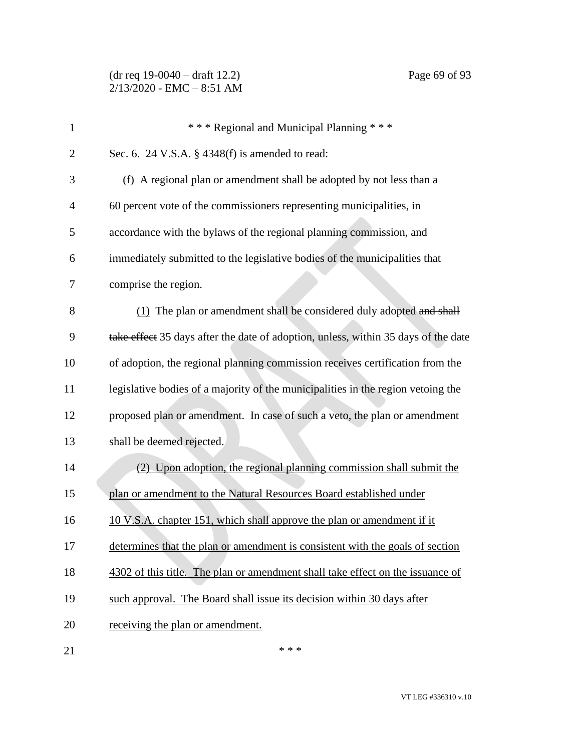(dr req 19-0040 – draft 12.2) Page 69 of 93 2/13/2020 - EMC – 8:51 AM

| $\overline{2}$ | Sec. 6. 24 V.S.A. $\S$ 4348(f) is amended to read:                                 |
|----------------|------------------------------------------------------------------------------------|
| 3              | (f) A regional plan or amendment shall be adopted by not less than a               |
| $\overline{4}$ | 60 percent vote of the commissioners representing municipalities, in               |
| 5              | accordance with the bylaws of the regional planning commission, and                |
| 6              | immediately submitted to the legislative bodies of the municipalities that         |
| 7              | comprise the region.                                                               |
| 8              | (1) The plan or amendment shall be considered duly adopted and shall               |
| 9              | take effect 35 days after the date of adoption, unless, within 35 days of the date |
| 10             | of adoption, the regional planning commission receives certification from the      |
| 11             | legislative bodies of a majority of the municipalities in the region vetoing the   |
| 12             | proposed plan or amendment. In case of such a veto, the plan or amendment          |
| 13             | shall be deemed rejected.                                                          |
| 14             | (2) Upon adoption, the regional planning commission shall submit the               |
| 15             | plan or amendment to the Natural Resources Board established under                 |
| 16             | 10 V.S.A. chapter 151, which shall approve the plan or amendment if it             |
| 17             | determines that the plan or amendment is consistent with the goals of section      |
| 18             | 4302 of this title. The plan or amendment shall take effect on the issuance of     |
| 19             | such approval. The Board shall issue its decision within 30 days after             |
| 20             | receiving the plan or amendment.                                                   |
| 21             | * * *                                                                              |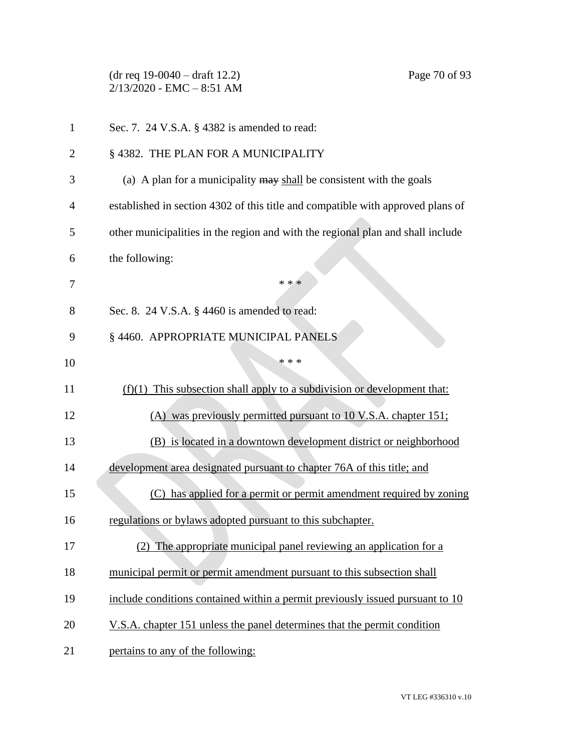(dr req 19-0040 – draft 12.2) Page 70 of 93 2/13/2020 - EMC – 8:51 AM Sec. 7. 24 V.S.A. § 4382 is amended to read: 2 § 4382. THE PLAN FOR A MUNICIPALITY (a) A plan for a municipality may shall be consistent with the goals established in section 4302 of this title and compatible with approved plans of other municipalities in the region and with the regional plan and shall include the following:  $* * *$ 8 Sec. 8. 24 V.S.A. § 4460 is amended to read: § 4460. APPROPRIATE MUNICIPAL PANELS \*\*\* (f)(1) This subsection shall apply to a subdivision or development that: (A) was previously permitted pursuant to 10 V.S.A. chapter 151; (B) is located in a downtown development district or neighborhood development area designated pursuant to chapter 76A of this title; and (C) has applied for a permit or permit amendment required by zoning 16 regulations or bylaws adopted pursuant to this subchapter. (2) The appropriate municipal panel reviewing an application for a municipal permit or permit amendment pursuant to this subsection shall include conditions contained within a permit previously issued pursuant to 10 20 V.S.A. chapter 151 unless the panel determines that the permit condition

21 pertains to any of the following: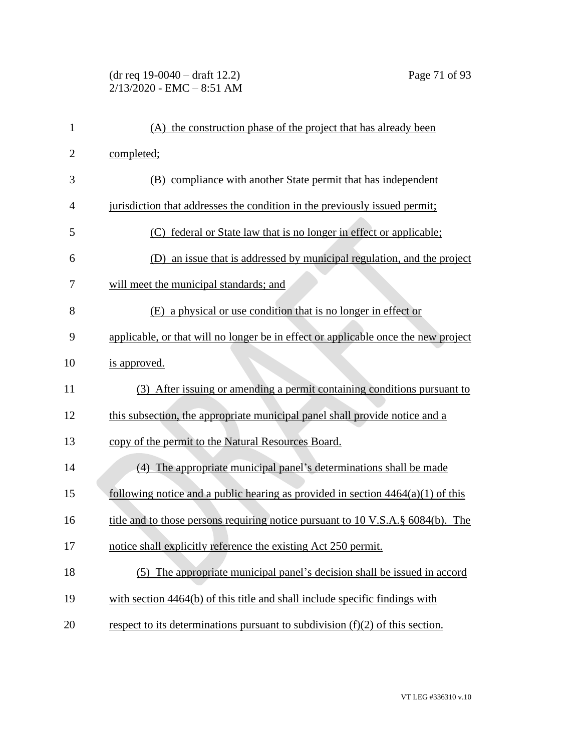# (dr req 19-0040 – draft 12.2) Page 71 of 93  $2/13/2020$  - EMC - 8:51 AM

| 1              | (A) the construction phase of the project that has already been                    |
|----------------|------------------------------------------------------------------------------------|
| $\overline{2}$ | completed;                                                                         |
| 3              | (B) compliance with another State permit that has independent                      |
| 4              | jurisdiction that addresses the condition in the previously issued permit;         |
| 5              | federal or State law that is no longer in effect or applicable;                    |
| 6              | an issue that is addressed by municipal regulation, and the project<br>(D)         |
| 7              | will meet the municipal standards; and                                             |
| 8              | (E) a physical or use condition that is no longer in effect or                     |
| 9              | applicable, or that will no longer be in effect or applicable once the new project |
| 10             | is approved.                                                                       |
| 11             | (3) After issuing or amending a permit containing conditions pursuant to           |
| 12             | this subsection, the appropriate municipal panel shall provide notice and a        |
| 13             | copy of the permit to the Natural Resources Board.                                 |
| 14             | (4) The appropriate municipal panel's determinations shall be made                 |
| 15             | following notice and a public hearing as provided in section $4464(a)(1)$ of this  |
| 16             | title and to those persons requiring notice pursuant to 10 V.S.A.§ 6084(b). The    |
| 17             | notice shall explicitly reference the existing Act 250 permit.                     |
| 18             | The appropriate municipal panel's decision shall be issued in accord<br>(5)        |
| 19             | with section 4464(b) of this title and shall include specific findings with        |
| 20             | respect to its determinations pursuant to subdivision $(f)(2)$ of this section.    |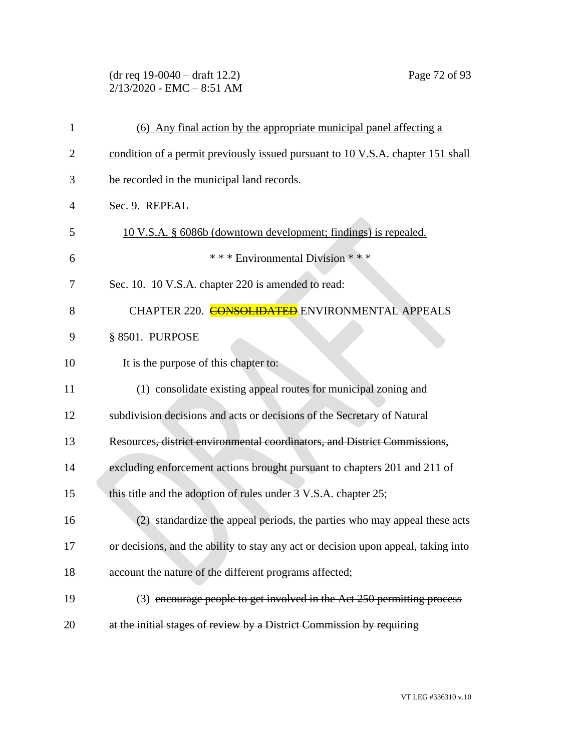(dr req 19-0040 – draft 12.2) Page 72 of 93 2/13/2020 - EMC – 8:51 AM

| 1  | (6) Any final action by the appropriate municipal panel affecting a                |
|----|------------------------------------------------------------------------------------|
| 2  | condition of a permit previously issued pursuant to 10 V.S.A. chapter 151 shall    |
| 3  | be recorded in the municipal land records.                                         |
| 4  | Sec. 9. REPEAL                                                                     |
| 5  | 10 V.S.A. § 6086b (downtown development; findings) is repealed.                    |
| 6  | *** Environmental Division ***                                                     |
| 7  | Sec. 10. 10 V.S.A. chapter 220 is amended to read:                                 |
| 8  | CHAPTER 220. CONSOLIDATED ENVIRONMENTAL APPEALS                                    |
| 9  | § 8501. PURPOSE                                                                    |
| 10 | It is the purpose of this chapter to:                                              |
| 11 | (1) consolidate existing appeal routes for municipal zoning and                    |
| 12 | subdivision decisions and acts or decisions of the Secretary of Natural            |
| 13 | Resources, district environmental coordinators, and District Commissions,          |
| 14 | excluding enforcement actions brought pursuant to chapters 201 and 211 of          |
| 15 | this title and the adoption of rules under 3 V.S.A. chapter 25;                    |
| 16 | (2) standardize the appeal periods, the parties who may appeal these acts          |
| 17 | or decisions, and the ability to stay any act or decision upon appeal, taking into |
| 18 | account the nature of the different programs affected;                             |
| 19 | (3) encourage people to get involved in the Act 250 permitting process             |
| 20 | at the initial stages of review by a District Commission by requiring              |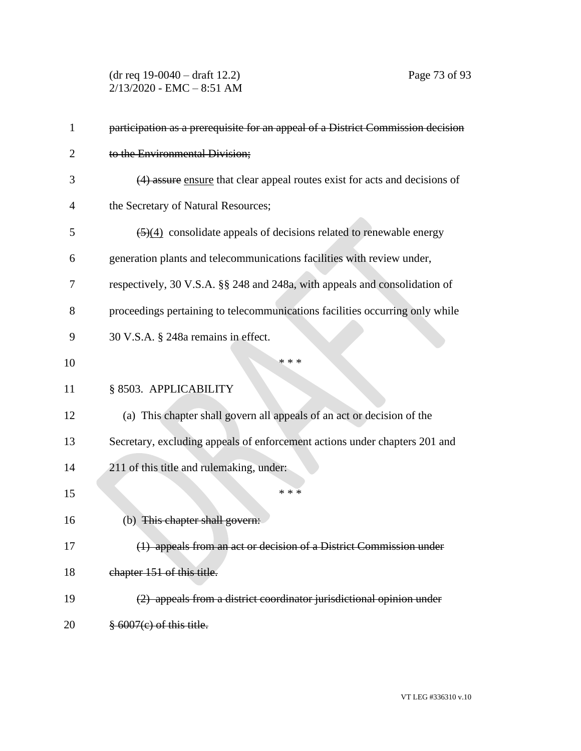(dr req 19-0040 – draft 12.2) Page 73 of 93  $2/13/2020$  - EMC - 8:51 AM

| 1  | participation as a prerequisite for an appeal of a District Commission decision         |
|----|-----------------------------------------------------------------------------------------|
| 2  | to the Environmental Division;                                                          |
| 3  | (4) assure ensure that clear appeal routes exist for acts and decisions of              |
| 4  | the Secretary of Natural Resources;                                                     |
| 5  | $\left(\frac{5}{4}\right)$ consolidate appeals of decisions related to renewable energy |
| 6  | generation plants and telecommunications facilities with review under,                  |
| 7  | respectively, 30 V.S.A. §§ 248 and 248a, with appeals and consolidation of              |
| 8  | proceedings pertaining to telecommunications facilities occurring only while            |
| 9  | 30 V.S.A. § 248a remains in effect.                                                     |
| 10 | * * *                                                                                   |
| 11 | § 8503. APPLICABILITY                                                                   |
| 12 | (a) This chapter shall govern all appeals of an act or decision of the                  |
| 13 | Secretary, excluding appeals of enforcement actions under chapters 201 and              |
| 14 | 211 of this title and rulemaking, under:                                                |
| 15 | * * *                                                                                   |
| 16 | (b) This chapter shall govern:                                                          |
| 17 | (1) appeals from an act or decision of a District Commission under                      |
| 18 | chapter 151 of this title.                                                              |
| 19 | (2) appeals from a district coordinator jurisdictional opinion under                    |
| 20 | $\frac{8}{3}$ 6007(e) of this title.                                                    |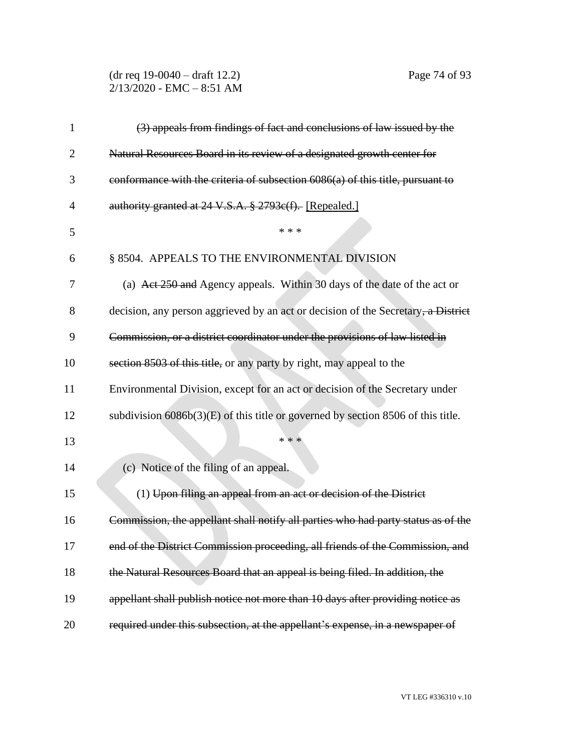(dr req 19-0040 – draft 12.2) Page 74 of 93 2/13/2020 - EMC – 8:51 AM

| 1              | (3) appeals from findings of fact and conclusions of law issued by the            |
|----------------|-----------------------------------------------------------------------------------|
| $\overline{2}$ | Natural Resources Board in its review of a designated growth center for           |
| 3              | conformance with the criteria of subsection 6086(a) of this title, pursuant to    |
| 4              | authority granted at 24 V.S.A. § 2793e(f). [Repealed.]                            |
| 5              | * * *                                                                             |
| 6              | § 8504. APPEALS TO THE ENVIRONMENTAL DIVISION                                     |
| 7              | (a) Act 250 and Agency appeals. Within 30 days of the date of the act or          |
| 8              | decision, any person aggrieved by an act or decision of the Secretary, a District |
| 9              | Commission, or a district coordinator under the provisions of law listed in       |
| 10             | section 8503 of this title, or any party by right, may appeal to the              |
| 11             | Environmental Division, except for an act or decision of the Secretary under      |
| 12             | subdivision 6086b(3)(E) of this title or governed by section 8506 of this title.  |
| 13             | * * *                                                                             |
| 14             | (c) Notice of the filing of an appeal.                                            |
| 15             | (1) Upon filing an appeal from an act or decision of the District                 |
| 16             | Commission, the appellant shall notify all parties who had party status as of the |
| 17             | end of the District Commission proceeding, all friends of the Commission, and     |
| 18             | the Natural Resources Board that an appeal is being filed. In addition, the       |
| 19             | appellant shall publish notice not more than 10 days after providing notice as    |
| 20             | required under this subsection, at the appellant's expense, in a newspaper of     |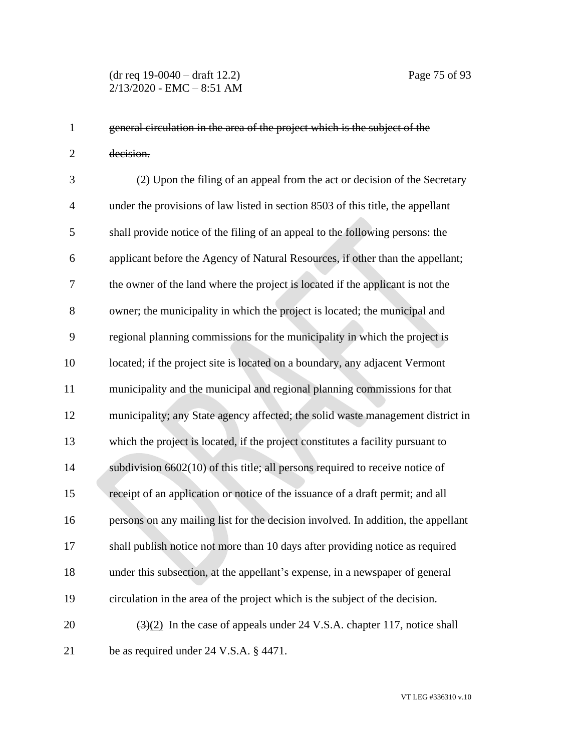general circulation in the area of the project which is the subject of the decision.

 (2) Upon the filing of an appeal from the act or decision of the Secretary under the provisions of law listed in section 8503 of this title, the appellant shall provide notice of the filing of an appeal to the following persons: the applicant before the Agency of Natural Resources, if other than the appellant; the owner of the land where the project is located if the applicant is not the owner; the municipality in which the project is located; the municipal and regional planning commissions for the municipality in which the project is located; if the project site is located on a boundary, any adjacent Vermont municipality and the municipal and regional planning commissions for that municipality; any State agency affected; the solid waste management district in which the project is located, if the project constitutes a facility pursuant to subdivision 6602(10) of this title; all persons required to receive notice of receipt of an application or notice of the issuance of a draft permit; and all persons on any mailing list for the decision involved. In addition, the appellant shall publish notice not more than 10 days after providing notice as required under this subsection, at the appellant's expense, in a newspaper of general circulation in the area of the project which is the subject of the decision.  $(3)(2)$  In the case of appeals under 24 V.S.A. chapter 117, notice shall be as required under 24 V.S.A. § 4471.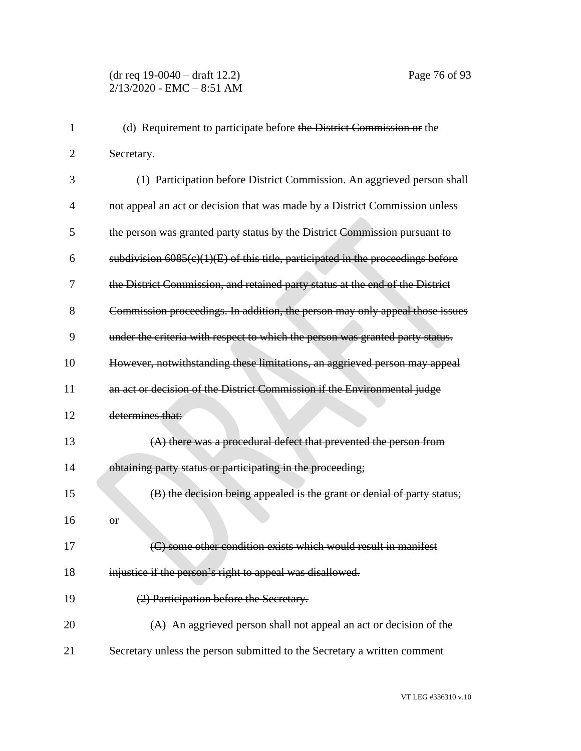| 1  | (d) Requirement to participate before the District Commission or the              |
|----|-----------------------------------------------------------------------------------|
| 2  | Secretary.                                                                        |
| 3  | (1) Participation before District Commission. An aggrieved person shall           |
| 4  | not appeal an act or decision that was made by a District Commission unless       |
| 5  | the person was granted party status by the District Commission pursuant to        |
| 6  | subdivision $6085(c)(1)(E)$ of this title, participated in the proceedings before |
| 7  | the District Commission, and retained party status at the end of the District     |
| 8  | Commission proceedings. In addition, the person may only appeal those issues      |
| 9  | under the criteria with respect to which the person was granted party status.     |
| 10 | However, notwithstanding these limitations, an aggrieved person may appeal        |
| 11 | an act or decision of the District Commission if the Environmental judge          |
| 12 | determines that:                                                                  |
| 13 | (A) there was a procedural defect that prevented the person from                  |
| 14 | obtaining party status or participating in the proceeding;                        |
| 15 | (B) the decision being appealed is the grant or denial of party status;           |
| 16 | Θr                                                                                |
| 17 | (C) some other condition exists which would result in manifest                    |
| 18 | injustice if the person's right to appeal was disallowed.                         |
| 19 | (2) Participation before the Secretary.                                           |
| 20 | (A) An aggrieved person shall not appeal an act or decision of the                |
| 21 | Secretary unless the person submitted to the Secretary a written comment          |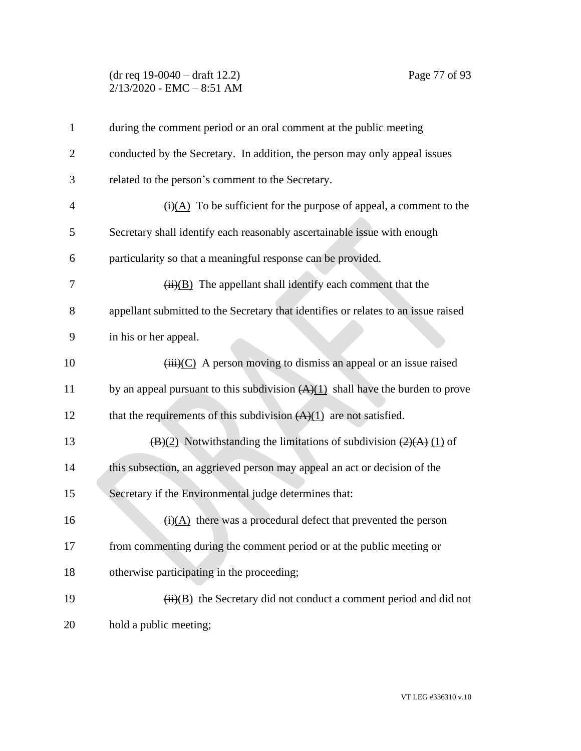## (dr req 19-0040 – draft 12.2) Page 77 of 93  $2/13/2020$  - EMC - 8:51 AM

| $\mathbf{1}$   | during the comment period or an oral comment at the public meeting                           |
|----------------|----------------------------------------------------------------------------------------------|
| $\overline{2}$ | conducted by the Secretary. In addition, the person may only appeal issues                   |
| 3              | related to the person's comment to the Secretary.                                            |
| 4              | $\overline{(i)(A)}$ To be sufficient for the purpose of appeal, a comment to the             |
| 5              | Secretary shall identify each reasonably ascertainable issue with enough                     |
| 6              | particularity so that a meaningful response can be provided.                                 |
| 7              | $\overline{(ii)(B)}$ The appellant shall identify each comment that the                      |
| 8              | appellant submitted to the Secretary that identifies or relates to an issue raised           |
| 9              | in his or her appeal.                                                                        |
| 10             | $(iii)(C)$ A person moving to dismiss an appeal or an issue raised                           |
| 11             | by an appeal pursuant to this subdivision $(A)(1)$ shall have the burden to prove            |
| 12             | that the requirements of this subdivision $(A)(1)$ are not satisfied.                        |
| 13             | $\overline{(B)(2)}$ Notwithstanding the limitations of subdivision $\overline{(2)(A)(1)}$ of |
| 14             | this subsection, an aggrieved person may appeal an act or decision of the                    |
| 15             | Secretary if the Environmental judge determines that:                                        |
| 16             | $\overline{(i)(A)}$ there was a procedural defect that prevented the person                  |
| 17             | from commenting during the comment period or at the public meeting or                        |
| 18             | otherwise participating in the proceeding;                                                   |
| 19             | $\overline{(ii)(B)}$ the Secretary did not conduct a comment period and did not              |
| 20             | hold a public meeting;                                                                       |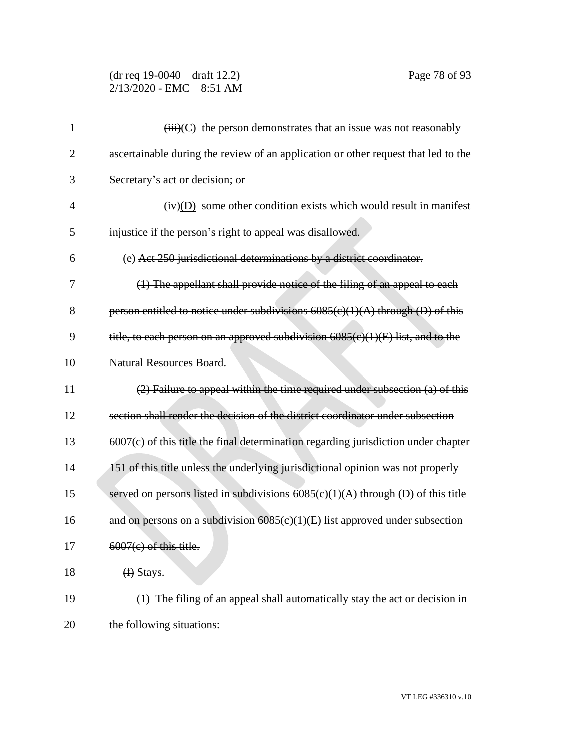## (dr req 19-0040 – draft 12.2) Page 78 of 93 2/13/2020 - EMC – 8:51 AM

| 1              | $\overrightarrow{(\text{iii})}$ (C) the person demonstrates that an issue was not reasonably |
|----------------|----------------------------------------------------------------------------------------------|
| $\overline{2}$ | ascertainable during the review of an application or other request that led to the           |
| 3              | Secretary's act or decision; or                                                              |
| $\overline{4}$ | $\overline{(iv)(D)}$ some other condition exists which would result in manifest              |
| 5              | injustice if the person's right to appeal was disallowed.                                    |
| 6              | (e) Act 250 jurisdictional determinations by a district coordinator.                         |
| 7              | (1) The appellant shall provide notice of the filing of an appeal to each                    |
| 8              | person entitled to notice under subdivisions $6085(c)(1)(A)$ through (D) of this             |
| 9              | title, to each person on an approved subdivision 6085(c)(1)(E) list, and to the              |
| 10             | <b>Natural Resources Board.</b>                                                              |
| 11             | (2) Failure to appeal within the time required under subsection (a) of this                  |
| 12             | section shall render the decision of the district coordinator under subsection               |
| 13             | $6007(c)$ of this title the final determination regarding jurisdiction under chapter         |
| 14             | 151 of this title unless the underlying jurisdictional opinion was not properly              |
| 15             | served on persons listed in subdivisions 6085(c)(1)(A) through (D) of this title             |
| 16             | and on persons on a subdivision $6085(c)(1)(E)$ list approved under subsection               |
| 17             | $6007(c)$ of this title.                                                                     |
| 18             | $(f)$ Stays.                                                                                 |
| 19             | (1) The filing of an appeal shall automatically stay the act or decision in                  |
| 20             | the following situations:                                                                    |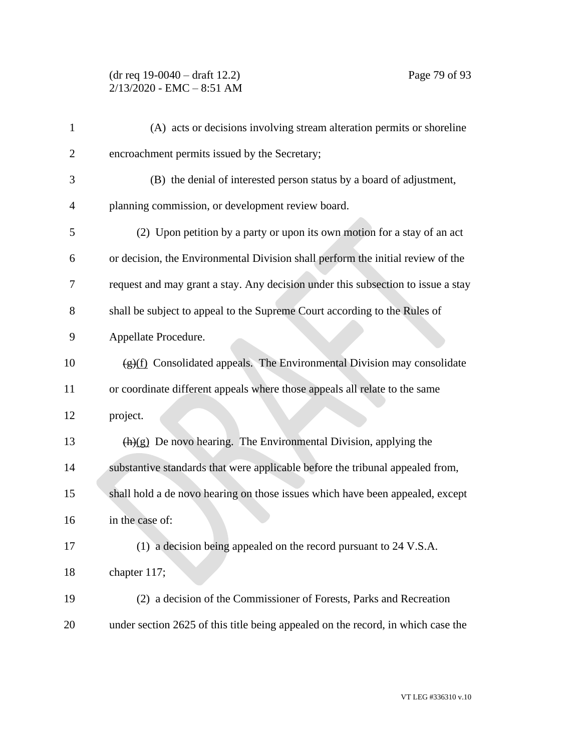| $\mathbf{1}$ | (A) acts or decisions involving stream alteration permits or shoreline                  |
|--------------|-----------------------------------------------------------------------------------------|
| 2            | encroachment permits issued by the Secretary;                                           |
| 3            | (B) the denial of interested person status by a board of adjustment,                    |
| 4            | planning commission, or development review board.                                       |
| 5            | (2) Upon petition by a party or upon its own motion for a stay of an act                |
| 6            | or decision, the Environmental Division shall perform the initial review of the         |
| 7            | request and may grant a stay. Any decision under this subsection to issue a stay        |
| 8            | shall be subject to appeal to the Supreme Court according to the Rules of               |
| 9            | Appellate Procedure.                                                                    |
| 10           | $\frac{f(g)(f)}{g(f)}$ Consolidated appeals. The Environmental Division may consolidate |
| 11           | or coordinate different appeals where those appeals all relate to the same              |
| 12           | project.                                                                                |
| 13           | $\frac{h(x)}{g}$ De novo hearing. The Environmental Division, applying the              |
| 14           | substantive standards that were applicable before the tribunal appealed from,           |
| 15           | shall hold a de novo hearing on those issues which have been appealed, except           |
| 16           | in the case of:                                                                         |
| 17           | (1) a decision being appealed on the record pursuant to 24 V.S.A.                       |
| 18           | chapter 117;                                                                            |
| 19           | (2) a decision of the Commissioner of Forests, Parks and Recreation                     |
| 20           | under section 2625 of this title being appealed on the record, in which case the        |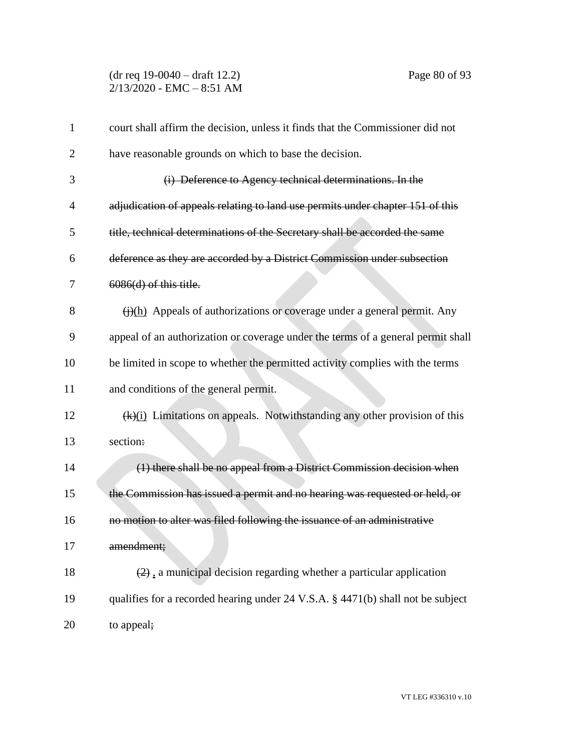(dr req 19-0040 – draft 12.2) Page 80 of 93  $2/13/2020$  - EMC - 8:51 AM

| $\mathbf{1}$   | court shall affirm the decision, unless it finds that the Commissioner did not         |
|----------------|----------------------------------------------------------------------------------------|
| $\overline{2}$ | have reasonable grounds on which to base the decision.                                 |
| 3              | (i) Deference to Agency technical determinations. In the                               |
| $\overline{4}$ | adjudication of appeals relating to land use permits under chapter 151 of this         |
| 5              | title, technical determinations of the Secretary shall be accorded the same            |
| 6              | deference as they are accorded by a District Commission under subsection               |
| 7              | $6086(d)$ of this title.                                                               |
| 8              | $\frac{f(\cdot)}{h}$ Appeals of authorizations or coverage under a general permit. Any |
| 9              | appeal of an authorization or coverage under the terms of a general permit shall       |
| 10             | be limited in scope to whether the permitted activity complies with the terms          |
| 11             | and conditions of the general permit.                                                  |
| 12             | (k)(i) Limitations on appeals. Notwithstanding any other provision of this             |
| 13             | section:                                                                               |
| 14             | (1) there shall be no appeal from a District Commission decision when                  |
| 15             | the Commission has issued a permit and no hearing was requested or held, or            |
| 16             | no motion to alter was filed following the issuance of an administrative               |
| 17             | amendment;                                                                             |
| 18             | $(2)$ , a municipal decision regarding whether a particular application                |
| 19             | qualifies for a recorded hearing under 24 V.S.A. § 4471(b) shall not be subject        |
| 20             | to appeal;                                                                             |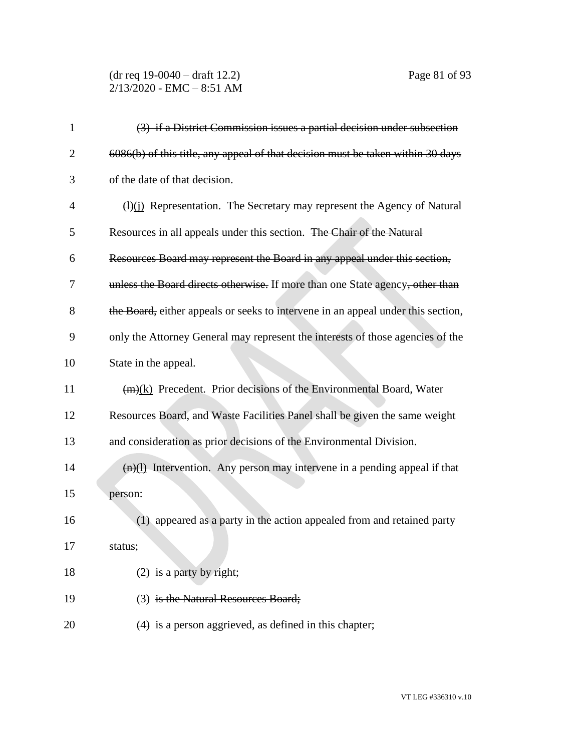(dr req 19-0040 – draft 12.2) Page 81 of 93 2/13/2020 - EMC – 8:51 AM

| $\mathbf{1}$   | (3) if a District Commission issues a partial decision under subsection                |
|----------------|----------------------------------------------------------------------------------------|
| $\overline{2}$ | 6086(b) of this title, any appeal of that decision must be taken within 30 days        |
| 3              | of the date of that decision.                                                          |
| 4              | $\frac{H(x)}{H(x)}$ Representation. The Secretary may represent the Agency of Natural  |
| 5              | Resources in all appeals under this section. The Chair of the Natural                  |
| 6              | Resources Board may represent the Board in any appeal under this section,              |
| 7              | unless the Board directs otherwise. If more than one State agency, other than          |
| 8              | the Board, either appeals or seeks to intervene in an appeal under this section,       |
| 9              | only the Attorney General may represent the interests of those agencies of the         |
| 10             | State in the appeal.                                                                   |
| 11             | $(m)(k)$ Precedent. Prior decisions of the Environmental Board, Water                  |
| 12             | Resources Board, and Waste Facilities Panel shall be given the same weight             |
| 13             | and consideration as prior decisions of the Environmental Division.                    |
| 14             | $\frac{f(n)(1)}{n}$ Intervention. Any person may intervene in a pending appeal if that |
| 15             | person:                                                                                |
| 16             | (1) appeared as a party in the action appealed from and retained party                 |
| 17             | status;                                                                                |
| 18             | $(2)$ is a party by right;                                                             |
| 19             | (3) is the Natural Resources Board;                                                    |
| 20             | $(4)$ is a person aggrieved, as defined in this chapter;                               |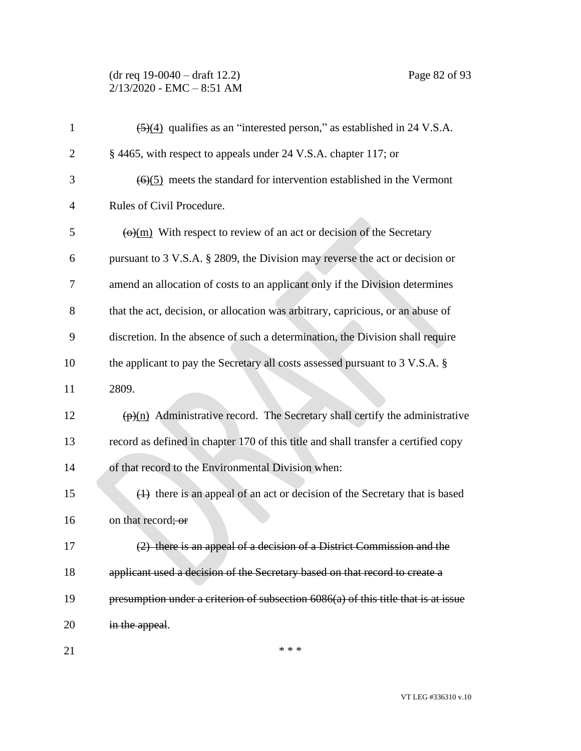(dr req 19-0040 – draft 12.2) Page 82 of 93 2/13/2020 - EMC – 8:51 AM

| $\mathbf{1}$ | $\frac{5(4)}{2}$ qualifies as an "interested person," as established in 24 V.S.A.                               |
|--------------|-----------------------------------------------------------------------------------------------------------------|
| 2            | § 4465, with respect to appeals under 24 V.S.A. chapter 117; or                                                 |
| 3            | $(6)(5)$ meets the standard for intervention established in the Vermont                                         |
| 4            | Rules of Civil Procedure.                                                                                       |
| 5            | $\left(\Theta\right)(m)$ With respect to review of an act or decision of the Secretary                          |
| 6            | pursuant to 3 V.S.A. § 2809, the Division may reverse the act or decision or                                    |
| 7            | amend an allocation of costs to an applicant only if the Division determines                                    |
| 8            | that the act, decision, or allocation was arbitrary, capricious, or an abuse of                                 |
| 9            | discretion. In the absence of such a determination, the Division shall require                                  |
| 10           | the applicant to pay the Secretary all costs assessed pursuant to 3 V.S.A. §                                    |
| 11           | 2809.                                                                                                           |
| 12           | $\frac{(\mathbf{p})(n)}{(\mathbf{p})(n)}$ Administrative record. The Secretary shall certify the administrative |
| 13           | record as defined in chapter 170 of this title and shall transfer a certified copy                              |
| 14           | of that record to the Environmental Division when:                                                              |
| 15           | (1) there is an appeal of an act or decision of the Secretary that is based                                     |
| 16           | on that record; or                                                                                              |
| 17           | (2) there is an appeal of a decision of a District Commission and the                                           |
| 18           | applicant used a decision of the Secretary based on that record to create a                                     |
| 19           | presumption under a criterion of subsection 6086(a) of this title that is at issue                              |
| 20           | in the appeal.                                                                                                  |
|              |                                                                                                                 |

 $***$ 

VT LEG #336310 v.10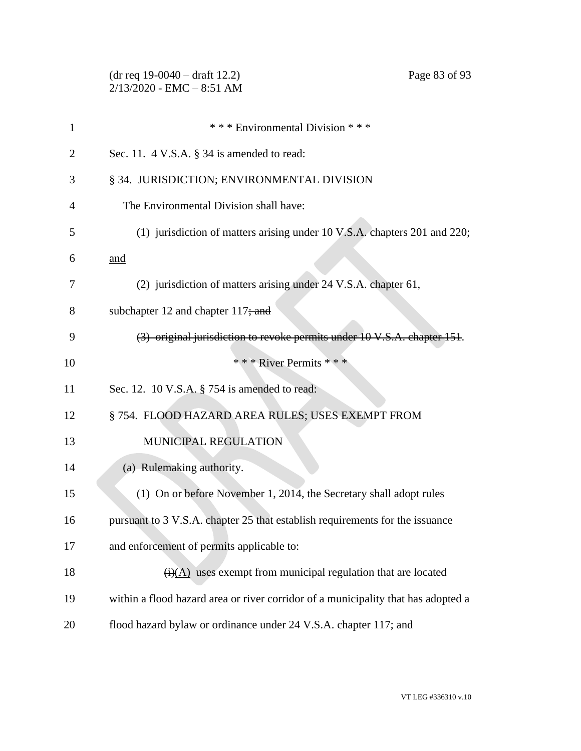|              | $(dr \text{ req } 19-0040 - draft 12.2)$<br>Page 83 of 93<br>$2/13/2020$ - EMC - 8:51 AM |
|--------------|------------------------------------------------------------------------------------------|
| $\mathbf{1}$ | *** Environmental Division ***                                                           |
| 2            | Sec. 11. $4$ V.S.A. $\S$ 34 is amended to read:                                          |
| 3            | § 34. JURISDICTION; ENVIRONMENTAL DIVISION                                               |
| 4            | The Environmental Division shall have:                                                   |
| 5            | (1) jurisdiction of matters arising under 10 V.S.A. chapters 201 and 220;                |
| 6            | and                                                                                      |
| 7            | (2) jurisdiction of matters arising under 24 V.S.A. chapter 61,                          |
| 8            | subchapter 12 and chapter $117$ ; and                                                    |
| 9            | (3) original jurisdiction to revoke permits under 10 V.S.A. chapter 151.                 |
| 10           | * * * River Permits * * *                                                                |
| 11           | Sec. 12. 10 V.S.A. $\S$ 754 is amended to read:                                          |
| 12           | § 754. FLOOD HAZARD AREA RULES; USES EXEMPT FROM                                         |
| 13           | MUNICIPAL REGULATION                                                                     |
| 14           | (a) Rulemaking authority.                                                                |
| 15           | (1) On or before November 1, 2014, the Secretary shall adopt rules                       |
| 16           | pursuant to 3 V.S.A. chapter 25 that establish requirements for the issuance             |
| 17           | and enforcement of permits applicable to:                                                |
| 18           | $\overline{(i)(A)}$ uses exempt from municipal regulation that are located               |
| 19           | within a flood hazard area or river corridor of a municipality that has adopted a        |
| 20           | flood hazard bylaw or ordinance under 24 V.S.A. chapter 117; and                         |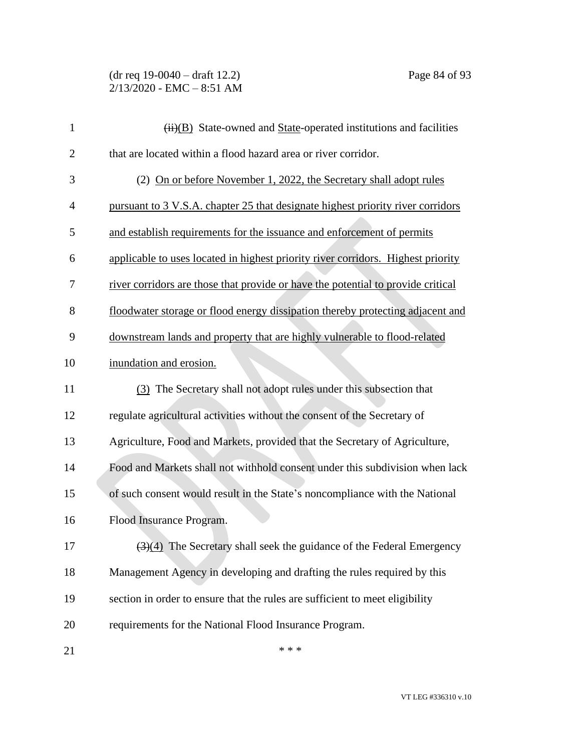(dr req 19-0040 – draft 12.2) Page 84 of 93 2/13/2020 - EMC – 8:51 AM

| $\mathbf{1}$   | $\overline{(ii)(B)}$ State-owned and State-operated institutions and facilities           |
|----------------|-------------------------------------------------------------------------------------------|
| $\overline{2}$ | that are located within a flood hazard area or river corridor.                            |
| 3              | (2) On or before November 1, 2022, the Secretary shall adopt rules                        |
| 4              | pursuant to 3 V.S.A. chapter 25 that designate highest priority river corridors           |
| 5              | and establish requirements for the issuance and enforcement of permits                    |
| 6              | applicable to uses located in highest priority river corridors. Highest priority          |
| 7              | river corridors are those that provide or have the potential to provide critical          |
| 8              | floodwater storage or flood energy dissipation thereby protecting adjacent and            |
| 9              | downstream lands and property that are highly vulnerable to flood-related                 |
| 10             | inundation and erosion.                                                                   |
| 11             | (3) The Secretary shall not adopt rules under this subsection that                        |
| 12             | regulate agricultural activities without the consent of the Secretary of                  |
| 13             | Agriculture, Food and Markets, provided that the Secretary of Agriculture,                |
| 14             | Food and Markets shall not withhold consent under this subdivision when lack              |
| 15             | of such consent would result in the State's noncompliance with the National               |
| 16             | Flood Insurance Program.                                                                  |
| 17             | $\left(\frac{3}{4}\right)$ The Secretary shall seek the guidance of the Federal Emergency |
| 18             | Management Agency in developing and drafting the rules required by this                   |
| 19             | section in order to ensure that the rules are sufficient to meet eligibility              |
| 20             | requirements for the National Flood Insurance Program.                                    |
| 21             | * * *                                                                                     |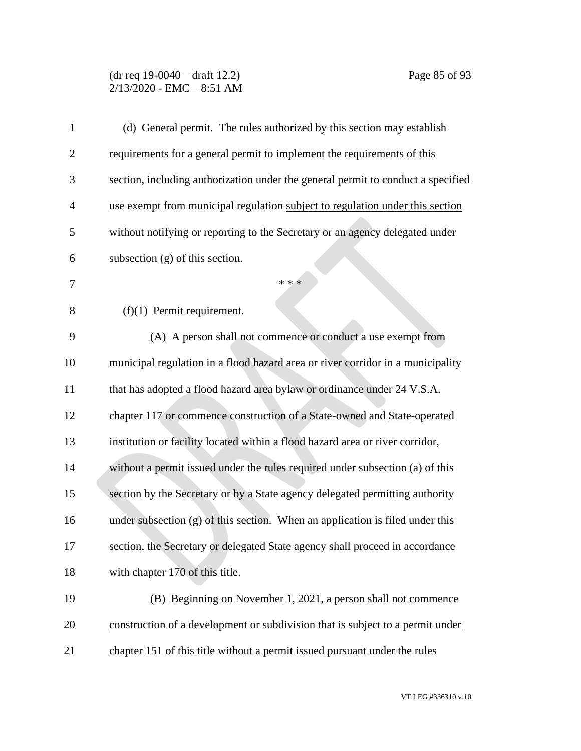## (dr req 19-0040 – draft 12.2) Page 85 of 93 2/13/2020 - EMC – 8:51 AM

| 1              | (d) General permit. The rules authorized by this section may establish           |
|----------------|----------------------------------------------------------------------------------|
| $\overline{2}$ | requirements for a general permit to implement the requirements of this          |
| 3              | section, including authorization under the general permit to conduct a specified |
| 4              | use exempt from municipal regulation subject to regulation under this section    |
| 5              | without notifying or reporting to the Secretary or an agency delegated under     |
| 6              | subsection $(g)$ of this section.                                                |
| 7              | * * *                                                                            |
| 8              | $(f)(1)$ Permit requirement.                                                     |
| 9              | (A) A person shall not commence or conduct a use exempt from                     |
| 10             | municipal regulation in a flood hazard area or river corridor in a municipality  |
| 11             | that has adopted a flood hazard area bylaw or ordinance under 24 V.S.A.          |
| 12             | chapter 117 or commence construction of a State-owned and State-operated         |
| 13             | institution or facility located within a flood hazard area or river corridor,    |
| 14             | without a permit issued under the rules required under subsection (a) of this    |
| 15             | section by the Secretary or by a State agency delegated permitting authority     |
| 16             | under subsection (g) of this section. When an application is filed under this    |
| 17             | section, the Secretary or delegated State agency shall proceed in accordance     |
| 18             | with chapter 170 of this title.                                                  |
| 19             | (B) Beginning on November 1, 2021, a person shall not commence                   |
| 20             | construction of a development or subdivision that is subject to a permit under   |
| 21             | chapter 151 of this title without a permit issued pursuant under the rules       |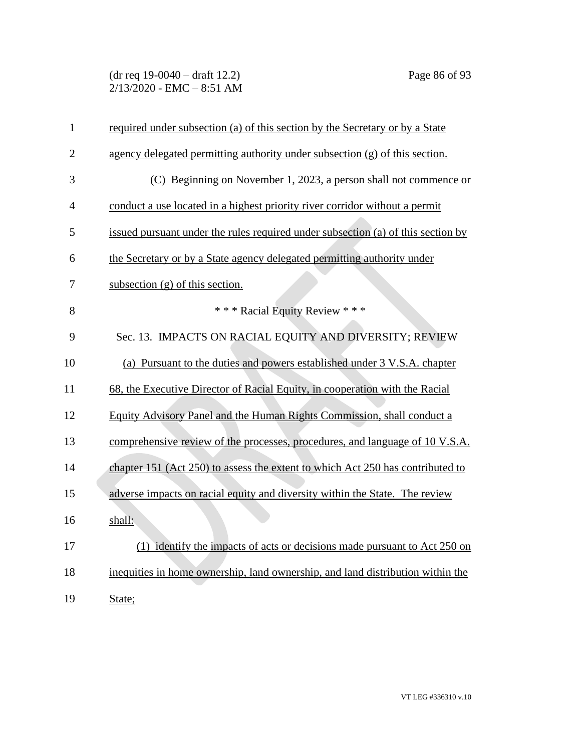(dr req 19-0040 – draft 12.2) Page 86 of 93 2/13/2020 - EMC – 8:51 AM

| $\mathbf{1}$   | required under subsection (a) of this section by the Secretary or by a State     |
|----------------|----------------------------------------------------------------------------------|
| $\overline{2}$ | agency delegated permitting authority under subsection $(g)$ of this section.    |
| 3              | (C) Beginning on November 1, 2023, a person shall not commence or                |
| 4              | conduct a use located in a highest priority river corridor without a permit      |
| 5              | issued pursuant under the rules required under subsection (a) of this section by |
| 6              | the Secretary or by a State agency delegated permitting authority under          |
| 7              | subsection $(g)$ of this section.                                                |
| 8              | *** Racial Equity Review ***                                                     |
| 9              | Sec. 13. IMPACTS ON RACIAL EQUITY AND DIVERSITY; REVIEW                          |
| 10             | (a) Pursuant to the duties and powers established under 3 V.S.A. chapter         |
| 11             | 68, the Executive Director of Racial Equity, in cooperation with the Racial      |
| 12             | Equity Advisory Panel and the Human Rights Commission, shall conduct a           |
| 13             | comprehensive review of the processes, procedures, and language of 10 V.S.A.     |
| 14             | chapter 151 (Act 250) to assess the extent to which Act 250 has contributed to   |
| 15             | adverse impacts on racial equity and diversity within the State. The review      |
| 16             | shall:                                                                           |
| 17             | (1) identify the impacts of acts or decisions made pursuant to Act 250 on        |
| 18             | inequities in home ownership, land ownership, and land distribution within the   |
| 19             | State;                                                                           |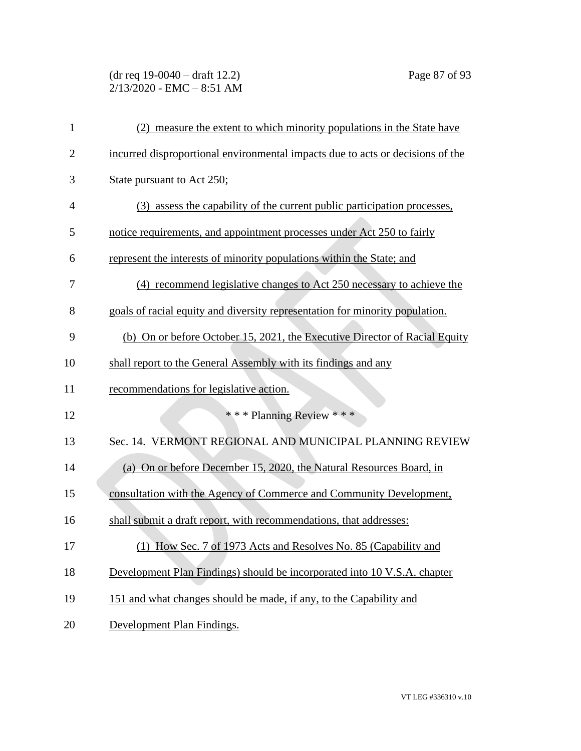(dr req 19-0040 – draft 12.2) Page 87 of 93 2/13/2020 - EMC – 8:51 AM

| $\mathbf{1}$   | measure the extent to which minority populations in the State have<br>(2)      |
|----------------|--------------------------------------------------------------------------------|
| $\overline{2}$ | incurred disproportional environmental impacts due to acts or decisions of the |
| 3              | State pursuant to Act 250;                                                     |
| $\overline{4}$ | (3) assess the capability of the current public participation processes,       |
| 5              | notice requirements, and appointment processes under Act 250 to fairly         |
| 6              | represent the interests of minority populations within the State; and          |
| 7              | (4) recommend legislative changes to Act 250 necessary to achieve the          |
| 8              | goals of racial equity and diversity representation for minority population.   |
| 9              | (b) On or before October 15, 2021, the Executive Director of Racial Equity     |
| 10             | shall report to the General Assembly with its findings and any                 |
| 11             | recommendations for legislative action.                                        |
| 12             | *** Planning Review ***                                                        |
| 13             | Sec. 14. VERMONT REGIONAL AND MUNICIPAL PLANNING REVIEW                        |
| 14             | (a) On or before December 15, 2020, the Natural Resources Board, in            |
| 15             | consultation with the Agency of Commerce and Community Development,            |
| 16             | shall submit a draft report, with recommendations, that addresses:             |
| 17             | (1) How Sec. 7 of 1973 Acts and Resolves No. 85 (Capability and                |
| 18             | Development Plan Findings) should be incorporated into 10 V.S.A. chapter       |
| 19             | 151 and what changes should be made, if any, to the Capability and             |
| 20             | Development Plan Findings.                                                     |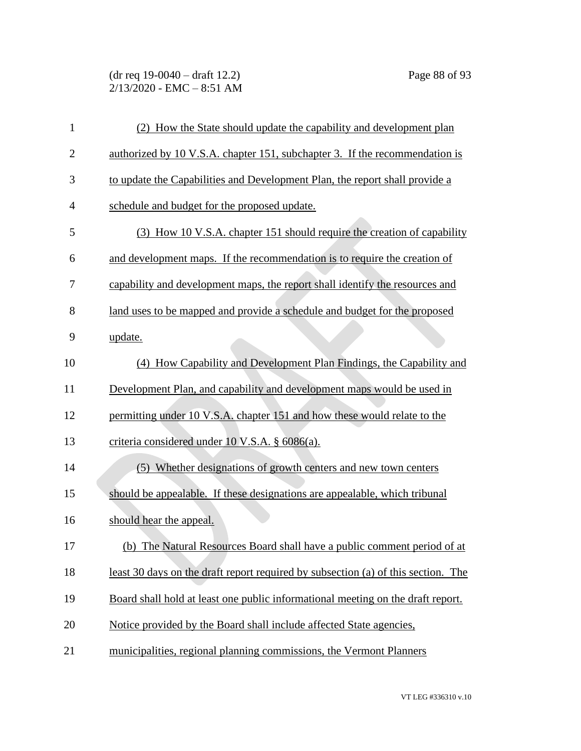(dr req 19-0040 – draft 12.2) Page 88 of 93  $2/13/2020$  - EMC - 8:51 AM

| $\mathbf{1}$   | (2) How the State should update the capability and development plan               |
|----------------|-----------------------------------------------------------------------------------|
| $\overline{c}$ | authorized by 10 V.S.A. chapter 151, subchapter 3. If the recommendation is       |
| 3              | to update the Capabilities and Development Plan, the report shall provide a       |
| $\overline{4}$ | schedule and budget for the proposed update.                                      |
| 5              | (3) How 10 V.S.A. chapter 151 should require the creation of capability           |
| 6              | and development maps. If the recommendation is to require the creation of         |
| 7              | capability and development maps, the report shall identify the resources and      |
| 8              | land uses to be mapped and provide a schedule and budget for the proposed         |
| 9              | update.                                                                           |
| 10             | (4) How Capability and Development Plan Findings, the Capability and              |
| 11             | Development Plan, and capability and development maps would be used in            |
| 12             | permitting under 10 V.S.A. chapter 151 and how these would relate to the          |
| 13             | criteria considered under 10 V.S.A. § 6086(a).                                    |
| 14             | (5) Whether designations of growth centers and new town centers                   |
| 15             | should be appealable. If these designations are appealable, which tribunal        |
| 16             | should hear the appeal.                                                           |
| 17             | (b) The Natural Resources Board shall have a public comment period of at          |
| 18             | least 30 days on the draft report required by subsection (a) of this section. The |
| 19             | Board shall hold at least one public informational meeting on the draft report.   |
| 20             | Notice provided by the Board shall include affected State agencies,               |
| 21             | municipalities, regional planning commissions, the Vermont Planners               |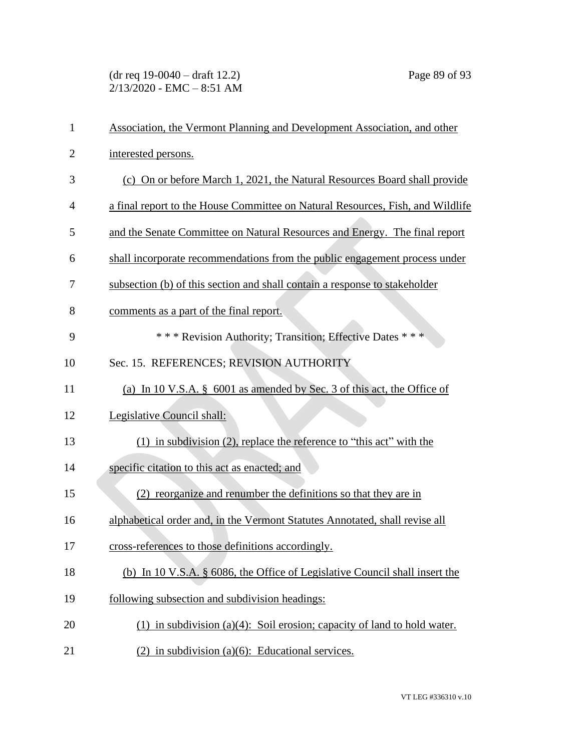(dr req 19-0040 – draft 12.2) Page 89 of 93 2/13/2020 - EMC – 8:51 AM

| $\mathbf{1}$   | Association, the Vermont Planning and Development Association, and other       |
|----------------|--------------------------------------------------------------------------------|
| $\overline{2}$ | interested persons.                                                            |
| 3              | (c) On or before March 1, 2021, the Natural Resources Board shall provide      |
| $\overline{4}$ | a final report to the House Committee on Natural Resources, Fish, and Wildlife |
| 5              | and the Senate Committee on Natural Resources and Energy. The final report     |
| 6              | shall incorporate recommendations from the public engagement process under     |
| 7              | subsection (b) of this section and shall contain a response to stakeholder     |
| 8              | comments as a part of the final report.                                        |
| 9              | *** Revision Authority; Transition; Effective Dates ***                        |
| 10             | Sec. 15. REFERENCES; REVISION AUTHORITY                                        |
| 11             | (a) In 10 V.S.A. § 6001 as amended by Sec. 3 of this act, the Office of        |
| 12             | Legislative Council shall:                                                     |
| 13             | $(1)$ in subdivision $(2)$ , replace the reference to "this act" with the      |
| 14             | specific citation to this act as enacted; and                                  |
| 15             | (2) reorganize and renumber the definitions so that they are in                |
| 16             | alphabetical order and, in the Vermont Statutes Annotated, shall revise all    |
| 17             | cross-references to those definitions accordingly.                             |
| 18             | (b) In 10 V.S.A. § 6086, the Office of Legislative Council shall insert the    |
| 19             | following subsection and subdivision headings:                                 |
| 20             | (1) in subdivision (a)(4): Soil erosion; capacity of land to hold water.       |
| 21             | $(2)$ in subdivision (a)(6): Educational services.                             |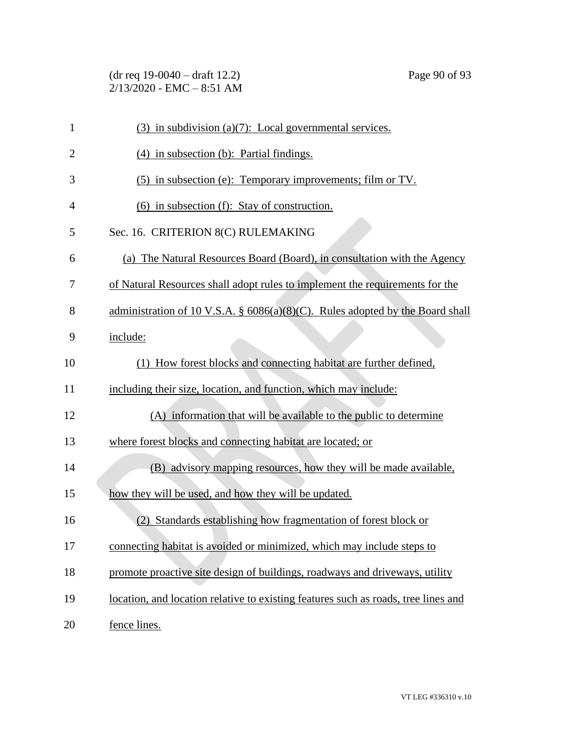(dr req 19-0040 – draft 12.2) Page 90 of 93 2/13/2020 - EMC – 8:51 AM

| $\mathbf{1}$   | $(3)$ in subdivision $(a)(7)$ : Local governmental services.                       |
|----------------|------------------------------------------------------------------------------------|
| $\overline{2}$ | (4) in subsection (b): Partial findings.                                           |
| 3              | (5) in subsection (e): Temporary improvements; film or TV.                         |
| 4              | (6) in subsection (f): Stay of construction.                                       |
| 5              | Sec. 16. CRITERION 8(C) RULEMAKING                                                 |
| 6              | (a) The Natural Resources Board (Board), in consultation with the Agency           |
| 7              | of Natural Resources shall adopt rules to implement the requirements for the       |
| 8              | administration of 10 V.S.A. $\S$ 6086(a)(8)(C). Rules adopted by the Board shall   |
| 9              | include:                                                                           |
| 10             | (1) How forest blocks and connecting habitat are further defined,                  |
| 11             | including their size, location, and function, which may include:                   |
| 12             | (A) information that will be available to the public to determine                  |
| 13             | where forest blocks and connecting habitat are located; or                         |
| 14             | (B) advisory mapping resources, how they will be made available,                   |
| 15             | how they will be used, and how they will be updated.                               |
| 16             | (2) Standards establishing how fragmentation of forest block or                    |
| 17             | connecting habitat is avoided or minimized, which may include steps to             |
| 18             | promote proactive site design of buildings, roadways and driveways, utility        |
| 19             | location, and location relative to existing features such as roads, tree lines and |
| 20             | fence lines.                                                                       |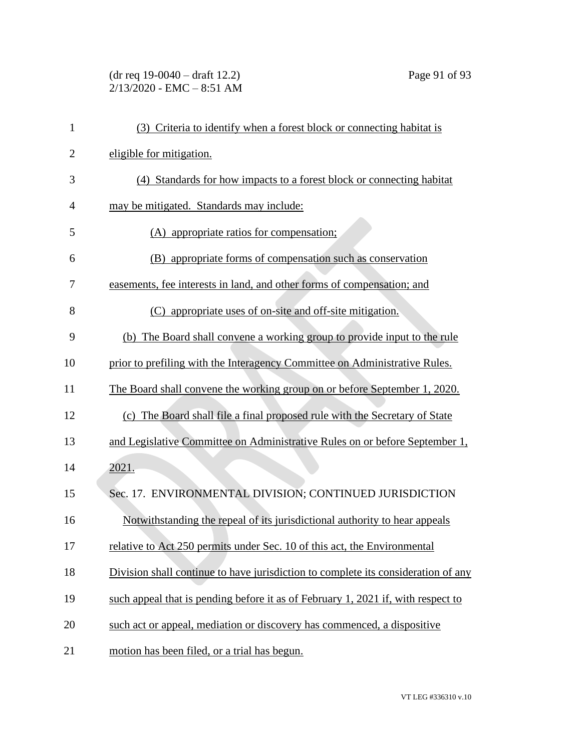(dr req 19-0040 – draft 12.2) Page 91 of 93 2/13/2020 - EMC – 8:51 AM

| $\mathbf{1}$   | (3) Criteria to identify when a forest block or connecting habitat is             |
|----------------|-----------------------------------------------------------------------------------|
| $\overline{2}$ | eligible for mitigation.                                                          |
| 3              | (4) Standards for how impacts to a forest block or connecting habitat             |
| $\overline{4}$ | may be mitigated. Standards may include:                                          |
| 5              | (A) appropriate ratios for compensation;                                          |
| 6              | (B) appropriate forms of compensation such as conservation                        |
| 7              | easements, fee interests in land, and other forms of compensation; and            |
| 8              | (C) appropriate uses of on-site and off-site mitigation.                          |
| 9              | (b) The Board shall convene a working group to provide input to the rule          |
| 10             | prior to prefiling with the Interagency Committee on Administrative Rules.        |
| 11             | The Board shall convene the working group on or before September 1, 2020.         |
| 12             | (c) The Board shall file a final proposed rule with the Secretary of State        |
| 13             | and Legislative Committee on Administrative Rules on or before September 1,       |
| 14             | 2021.                                                                             |
| 15             | Sec. 17. ENVIRONMENTAL DIVISION; CONTINUED JURISDICTION                           |
| 16             | Notwithstanding the repeal of its jurisdictional authority to hear appeals        |
| 17             | relative to Act 250 permits under Sec. 10 of this act, the Environmental          |
| 18             | Division shall continue to have jurisdiction to complete its consideration of any |
| 19             | such appeal that is pending before it as of February 1, 2021 if, with respect to  |
| 20             | such act or appeal, mediation or discovery has commenced, a dispositive           |
| 21             | motion has been filed, or a trial has begun.                                      |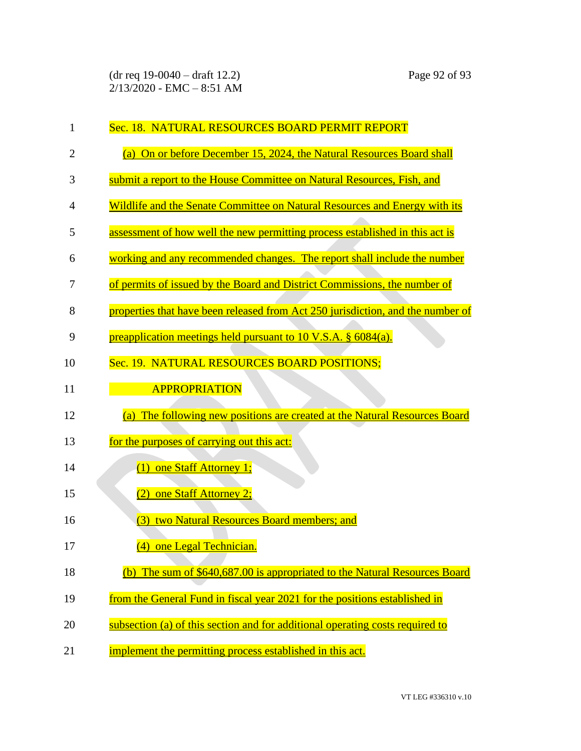| 1              | Sec. 18. NATURAL RESOURCES BOARD PERMIT REPORT                                  |
|----------------|---------------------------------------------------------------------------------|
| $\overline{2}$ | (a) On or before December 15, 2024, the Natural Resources Board shall           |
| 3              | submit a report to the House Committee on Natural Resources, Fish, and          |
| $\overline{4}$ | Wildlife and the Senate Committee on Natural Resources and Energy with its      |
| 5              | assessment of how well the new permitting process established in this act is    |
| 6              | working and any recommended changes. The report shall include the number        |
| 7              | of permits of issued by the Board and District Commissions, the number of       |
| 8              | properties that have been released from Act 250 jurisdiction, and the number of |
| 9              | preapplication meetings held pursuant to 10 V.S.A. $\S$ 6084(a).                |
| 10             | Sec. 19. NATURAL RESOURCES BOARD POSITIONS;                                     |
| 11             | APPROPRIATION                                                                   |
| 12             | (a) The following new positions are created at the Natural Resources Board      |
| 13             | for the purposes of carrying out this act:                                      |
| 14             | (1) one Staff Attorney 1;                                                       |
| 15             | (2) one Staff Attorney 2;                                                       |
| 16             | two Natural Resources Board members; and<br>(3)                                 |
| 17             | (4) one Legal Technician.                                                       |
| 18             | The sum of \$640,687.00 is appropriated to the Natural Resources Board<br>(h)   |
| 19             | from the General Fund in fiscal year 2021 for the positions established in      |
| 20             | subsection (a) of this section and for additional operating costs required to   |
| 21             | implement the permitting process established in this act.                       |